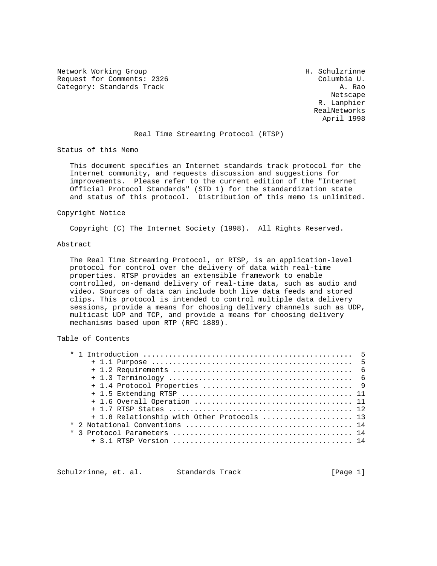Network Working Group Network Morking Group H. Schulzrinne Request for Comments: 2326 Columbia U. Category: Standards Track A. Rao

 Netscape R. Lanphier RealNetworks April 1998

### Real Time Streaming Protocol (RTSP)

Status of this Memo

 This document specifies an Internet standards track protocol for the Internet community, and requests discussion and suggestions for improvements. Please refer to the current edition of the "Internet Official Protocol Standards" (STD 1) for the standardization state and status of this protocol. Distribution of this memo is unlimited.

#### Copyright Notice

Copyright (C) The Internet Society (1998). All Rights Reserved.

# Abstract

 The Real Time Streaming Protocol, or RTSP, is an application-level protocol for control over the delivery of data with real-time properties. RTSP provides an extensible framework to enable controlled, on-demand delivery of real-time data, such as audio and video. Sources of data can include both live data feeds and stored clips. This protocol is intended to control multiple data delivery sessions, provide a means for choosing delivery channels such as UDP, multicast UDP and TCP, and provide a means for choosing delivery mechanisms based upon RTP (RFC 1889).

# Table of Contents

| + 1.8 Relationship with Other Protocols  13 |
|---------------------------------------------|
|                                             |
|                                             |
|                                             |

Schulzrinne, et. al. Standards Track (Page 1)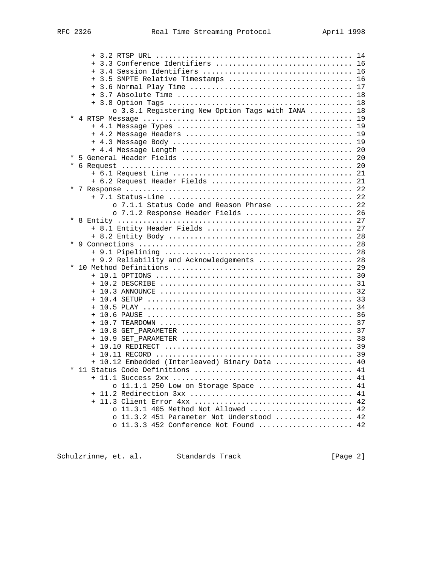|   | 3.3 Conference Identifiers  16                    |     |
|---|---------------------------------------------------|-----|
|   |                                                   |     |
|   | 3.5 SMPTE Relative Timestamps                     | 16  |
|   |                                                   | 17  |
|   |                                                   | 18  |
|   |                                                   | 18  |
|   | o 3.8.1 Registering New Option Tags with IANA  18 |     |
|   | $^\star$                                          | 19  |
|   |                                                   | 19  |
|   |                                                   | 19  |
|   |                                                   | 19  |
|   |                                                   | 20  |
| * |                                                   | 20  |
|   | *                                                 | 20  |
|   |                                                   |     |
|   |                                                   | 21  |
|   | + 6.2 Request Header Fields                       | 21  |
|   | *                                                 | -22 |
|   |                                                   | 22  |
|   | o 7.1.1 Status Code and Reason Phrase  22         |     |
|   | o 7.1.2 Response Header Fields                    | 26  |
|   | $\star$                                           | 27  |
|   | + 8.1 Entity Header Fields                        | 27  |
|   |                                                   | 28  |
|   | $\star$                                           | 28  |
|   |                                                   | 28  |
|   | + 9.2 Reliability and Acknowledgements            | 28  |
| * |                                                   | 29  |
|   |                                                   | 30  |
|   |                                                   | 31  |
|   |                                                   | 32  |
|   | $^{+}$                                            |     |
|   |                                                   | 34  |
|   |                                                   | 36  |
|   |                                                   | 37  |
|   |                                                   | 37  |
|   |                                                   | 38  |
|   | $^{+}$                                            |     |
|   |                                                   |     |
|   | + 10.12 Embedded (Interleaved) Binary Data  40    |     |
|   |                                                   |     |
|   |                                                   | 41  |
|   | $\circ$ 11.1.1 250 Low on Storage Space           | 41  |
|   |                                                   |     |
|   |                                                   | 42  |
|   | $\circ$ 11.3.1 405 Method Not Allowed             | 42  |
|   | o 11.3.2 451 Parameter Not Understood  42         |     |
|   | o 11.3.3 452 Conference Not Found  42             |     |
|   |                                                   |     |

Schulzrinne, et. al. Standards Track (Page 2)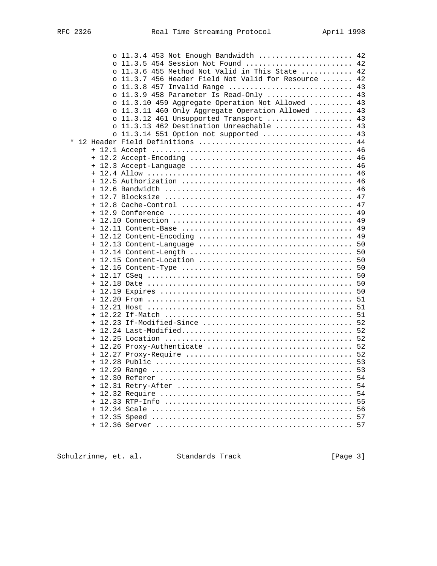| $\circ$ 11.3.4 453 Not Enough Bandwidth                                                                                 | 42 |
|-------------------------------------------------------------------------------------------------------------------------|----|
| $\circ$ 11.3.5 454 Session Not Found                                                                                    | 42 |
| o 11.3.6 455 Method Not Valid in This State                                                                             | 42 |
| 11.3.7 456 Header Field Not Valid for Resource                                                                          | 42 |
| o 11.3.8 457 Invalid Range                                                                                              | 43 |
| 11.3.9 458 Parameter Is Read-Only                                                                                       | 43 |
| 11.3.10 459 Aggregate Operation Not Allowed<br>$\Omega$                                                                 | 43 |
| o 11.3.11 460 Only Aggregate Operation Allowed                                                                          | 43 |
| o 11.3.12 461 Unsupported Transport                                                                                     | 43 |
| o 11.3.13 462 Destination Unreachable                                                                                   | 43 |
| $\circ$ 11.3.14 551 Option not supported                                                                                | 43 |
| *                                                                                                                       | 44 |
|                                                                                                                         | 46 |
|                                                                                                                         | 46 |
| $\ddot{}$                                                                                                               | 46 |
| $^{+}$                                                                                                                  | 46 |
|                                                                                                                         | 46 |
|                                                                                                                         | 46 |
| $^{+}$                                                                                                                  | 47 |
| $^{+}$                                                                                                                  | 47 |
|                                                                                                                         | 49 |
|                                                                                                                         | 49 |
|                                                                                                                         | 49 |
|                                                                                                                         | 49 |
|                                                                                                                         | 50 |
| $\ddot{}$                                                                                                               | 50 |
| $^{+}$                                                                                                                  | 50 |
|                                                                                                                         |    |
| 12.16 Content-Type $\ldots \ldots \ldots \ldots \ldots \ldots \ldots \ldots \ldots \ldots \ldots \ldots \ldots$<br>$^+$ | 50 |
| $\ddot{}$                                                                                                               | 50 |
|                                                                                                                         | 50 |
| $\ddot{}$                                                                                                               | 50 |
| $^{+}$                                                                                                                  | 51 |
|                                                                                                                         | 51 |
|                                                                                                                         | 51 |
|                                                                                                                         | 52 |
|                                                                                                                         | 52 |
| $^{+}$                                                                                                                  | 52 |
| $\ddot{}$                                                                                                               | 52 |
|                                                                                                                         | 52 |
|                                                                                                                         | 53 |
| $^{+}$                                                                                                                  | 53 |
|                                                                                                                         | 54 |
|                                                                                                                         | 54 |
| $\ddot{}$                                                                                                               | 54 |
|                                                                                                                         | 55 |
|                                                                                                                         |    |
| $^{+}$                                                                                                                  |    |
|                                                                                                                         |    |
|                                                                                                                         |    |

Schulzrinne, et. al. Standards Track (Page 3)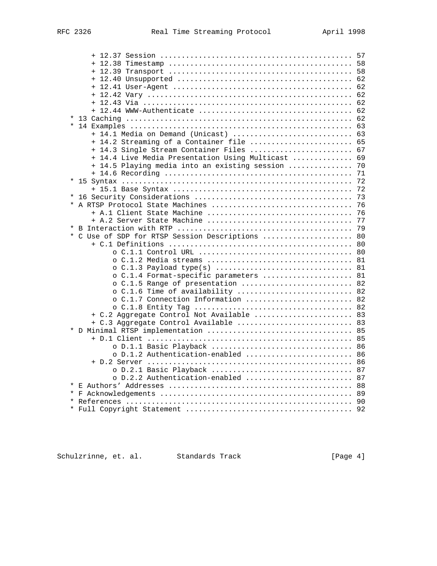|                                               | 57 |
|-----------------------------------------------|----|
|                                               | 58 |
|                                               |    |
| $+$                                           | 62 |
|                                               | 62 |
| $+$                                           | 62 |
|                                               | 62 |
|                                               | 62 |
| $^\star$                                      | 62 |
|                                               | 63 |
| + 14.1 Media on Demand (Unicast)              | 63 |
| + 14.2 Streaming of a Container file          | 65 |
| 14.3 Single Stream Container Files            | 67 |
| 14.4 Live Media Presentation Using Multicast  | 69 |
|                                               |    |
| + 14.5 Playing media into an existing session | 70 |
|                                               | 71 |
| *                                             | 72 |
|                                               | 72 |
| *                                             | 73 |
| A RTSP Protocol State Machines<br>*           | 76 |
| + A.1 Client State Machine                    | 76 |
| + A.2 Server State Machine                    | 77 |
| *                                             | 79 |
| C Use of SDP for RTSP Session Descriptions    | 80 |
|                                               | 80 |
|                                               | 80 |
| o C.1.2 Media streams                         | 81 |
| o $C.1.3$ Payload type(s)                     | 81 |
| o C.1.4 Format-specific parameters            | 81 |
| o C.1.5 Range of presentation                 | 82 |
| o C.1.6 Time of availability                  | 82 |
| o C.1.7 Connection Information                | 82 |
|                                               | 82 |
| + C.2 Aggregate Control Not Available         | 83 |
| + C.3 Aggregate Control Available             | 83 |
|                                               | 85 |
|                                               | 85 |
| o D.1.1 Basic Playback                        | 86 |
| o D.1.2 Authentication-enabled                | 86 |
|                                               | 86 |
| o D.2.1 Basic Playback                        | 87 |
| o D.2.2 Authentication-enabled                | 87 |
| *                                             | 88 |
| $^\star$                                      | 89 |
| *                                             | 90 |
| $\star$                                       |    |
|                                               |    |

Schulzrinne, et. al. Standards Track (Page 4)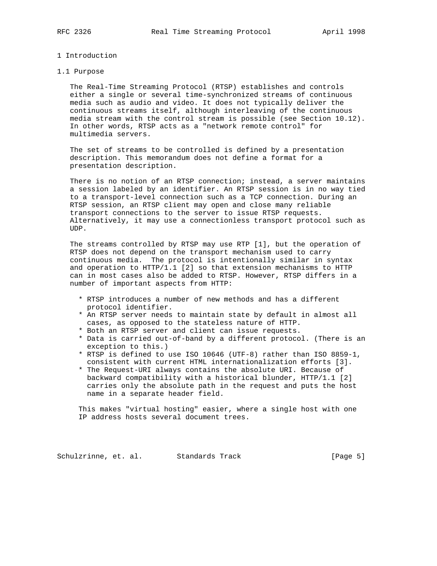# 1 Introduction

### 1.1 Purpose

 The Real-Time Streaming Protocol (RTSP) establishes and controls either a single or several time-synchronized streams of continuous media such as audio and video. It does not typically deliver the continuous streams itself, although interleaving of the continuous media stream with the control stream is possible (see Section 10.12). In other words, RTSP acts as a "network remote control" for multimedia servers.

 The set of streams to be controlled is defined by a presentation description. This memorandum does not define a format for a presentation description.

There is no notion of an RTSP connection; instead, a server maintains a session labeled by an identifier. An RTSP session is in no way tied to a transport-level connection such as a TCP connection. During an RTSP session, an RTSP client may open and close many reliable transport connections to the server to issue RTSP requests. Alternatively, it may use a connectionless transport protocol such as UDP.

 The streams controlled by RTSP may use RTP [1], but the operation of RTSP does not depend on the transport mechanism used to carry continuous media. The protocol is intentionally similar in syntax and operation to HTTP/1.1 [2] so that extension mechanisms to HTTP can in most cases also be added to RTSP. However, RTSP differs in a number of important aspects from HTTP:

- \* RTSP introduces a number of new methods and has a different protocol identifier.
- \* An RTSP server needs to maintain state by default in almost all cases, as opposed to the stateless nature of HTTP.
- \* Both an RTSP server and client can issue requests.
- \* Data is carried out-of-band by a different protocol. (There is an exception to this.)
- \* RTSP is defined to use ISO 10646 (UTF-8) rather than ISO 8859-1, consistent with current HTML internationalization efforts [3].
- \* The Request-URI always contains the absolute URI. Because of backward compatibility with a historical blunder, HTTP/1.1 [2] carries only the absolute path in the request and puts the host name in a separate header field.

 This makes "virtual hosting" easier, where a single host with one IP address hosts several document trees.

Schulzrinne, et. al. Standards Track [Page 5]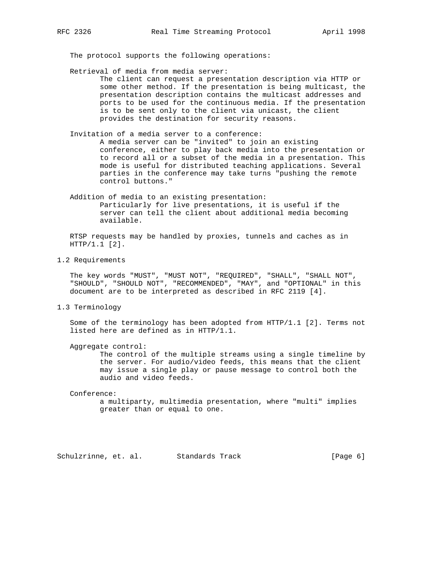The protocol supports the following operations:

Retrieval of media from media server:

 The client can request a presentation description via HTTP or some other method. If the presentation is being multicast, the presentation description contains the multicast addresses and ports to be used for the continuous media. If the presentation is to be sent only to the client via unicast, the client provides the destination for security reasons.

 Invitation of a media server to a conference: A media server can be "invited" to join an existing conference, either to play back media into the presentation or to record all or a subset of the media in a presentation. This mode is useful for distributed teaching applications. Several parties in the conference may take turns "pushing the remote control buttons."

 Addition of media to an existing presentation: Particularly for live presentations, it is useful if the server can tell the client about additional media becoming available.

 RTSP requests may be handled by proxies, tunnels and caches as in HTTP/1.1 [2].

1.2 Requirements

 The key words "MUST", "MUST NOT", "REQUIRED", "SHALL", "SHALL NOT", "SHOULD", "SHOULD NOT", "RECOMMENDED", "MAY", and "OPTIONAL" in this document are to be interpreted as described in RFC 2119 [4].

1.3 Terminology

 Some of the terminology has been adopted from HTTP/1.1 [2]. Terms not listed here are defined as in HTTP/1.1.

Aggregate control:

 The control of the multiple streams using a single timeline by the server. For audio/video feeds, this means that the client may issue a single play or pause message to control both the audio and video feeds.

#### Conference:

 a multiparty, multimedia presentation, where "multi" implies greater than or equal to one.

Schulzrinne, et. al. Standards Track [Page 6]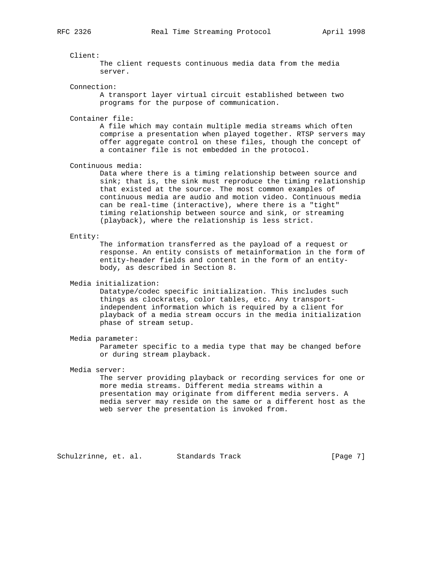#### Client:

 The client requests continuous media data from the media server.

### Connection:

 A transport layer virtual circuit established between two programs for the purpose of communication.

Container file:

 A file which may contain multiple media streams which often comprise a presentation when played together. RTSP servers may offer aggregate control on these files, though the concept of a container file is not embedded in the protocol.

Continuous media:

 Data where there is a timing relationship between source and sink; that is, the sink must reproduce the timing relationship that existed at the source. The most common examples of continuous media are audio and motion video. Continuous media can be real-time (interactive), where there is a "tight" timing relationship between source and sink, or streaming (playback), where the relationship is less strict.

Entity:

 The information transferred as the payload of a request or response. An entity consists of metainformation in the form of entity-header fields and content in the form of an entity body, as described in Section 8.

## Media initialization:

 Datatype/codec specific initialization. This includes such things as clockrates, color tables, etc. Any transport independent information which is required by a client for playback of a media stream occurs in the media initialization phase of stream setup.

Media parameter:

 Parameter specific to a media type that may be changed before or during stream playback.

Media server:

 The server providing playback or recording services for one or more media streams. Different media streams within a presentation may originate from different media servers. A media server may reside on the same or a different host as the web server the presentation is invoked from.

Schulzrinne, et. al. Standards Track [Page 7]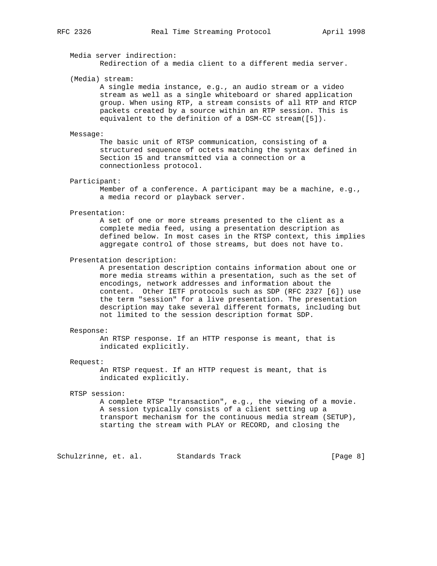### Media server indirection: Redirection of a media client to a different media server.

(Media) stream:

 A single media instance, e.g., an audio stream or a video stream as well as a single whiteboard or shared application group. When using RTP, a stream consists of all RTP and RTCP packets created by a source within an RTP session. This is equivalent to the definition of a DSM-CC stream([5]).

#### Message:

 The basic unit of RTSP communication, consisting of a structured sequence of octets matching the syntax defined in Section 15 and transmitted via a connection or a connectionless protocol.

#### Participant:

 Member of a conference. A participant may be a machine, e.g., a media record or playback server.

#### Presentation:

 A set of one or more streams presented to the client as a complete media feed, using a presentation description as defined below. In most cases in the RTSP context, this implies aggregate control of those streams, but does not have to.

#### Presentation description:

 A presentation description contains information about one or more media streams within a presentation, such as the set of encodings, network addresses and information about the content. Other IETF protocols such as SDP (RFC 2327 [6]) use the term "session" for a live presentation. The presentation description may take several different formats, including but not limited to the session description format SDP.

#### Response:

 An RTSP response. If an HTTP response is meant, that is indicated explicitly.

#### Request:

 An RTSP request. If an HTTP request is meant, that is indicated explicitly.

#### RTSP session:

 A complete RTSP "transaction", e.g., the viewing of a movie. A session typically consists of a client setting up a transport mechanism for the continuous media stream (SETUP), starting the stream with PLAY or RECORD, and closing the

Schulzrinne, et. al. Standards Track [Page 8]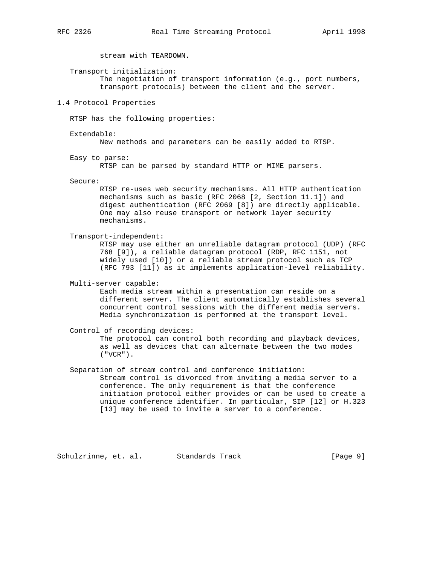stream with TEARDOWN.

 Transport initialization: The negotiation of transport information (e.g., port numbers, transport protocols) between the client and the server.

#### 1.4 Protocol Properties

RTSP has the following properties:

Extendable:

New methods and parameters can be easily added to RTSP.

Easy to parse:

RTSP can be parsed by standard HTTP or MIME parsers.

Secure:

 RTSP re-uses web security mechanisms. All HTTP authentication mechanisms such as basic (RFC 2068 [2, Section 11.1]) and digest authentication (RFC 2069 [8]) are directly applicable. One may also reuse transport or network layer security mechanisms.

Transport-independent:

 RTSP may use either an unreliable datagram protocol (UDP) (RFC 768 [9]), a reliable datagram protocol (RDP, RFC 1151, not widely used [10]) or a reliable stream protocol such as TCP (RFC 793 [11]) as it implements application-level reliability.

Multi-server capable:

 Each media stream within a presentation can reside on a different server. The client automatically establishes several concurrent control sessions with the different media servers. Media synchronization is performed at the transport level.

 Control of recording devices: The protocol can control both recording and playback devices, as well as devices that can alternate between the two modes ("VCR").

 Separation of stream control and conference initiation: Stream control is divorced from inviting a media server to a conference. The only requirement is that the conference initiation protocol either provides or can be used to create a unique conference identifier. In particular, SIP [12] or H.323 [13] may be used to invite a server to a conference.

Schulzrinne, et. al. Standards Track [Page 9]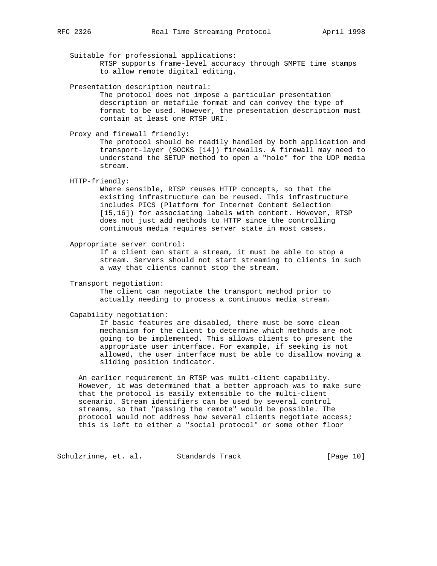Suitable for professional applications: RTSP supports frame-level accuracy through SMPTE time stamps to allow remote digital editing.

Presentation description neutral:

 The protocol does not impose a particular presentation description or metafile format and can convey the type of format to be used. However, the presentation description must contain at least one RTSP URI.

Proxy and firewall friendly:

 The protocol should be readily handled by both application and transport-layer (SOCKS [14]) firewalls. A firewall may need to understand the SETUP method to open a "hole" for the UDP media stream.

HTTP-friendly:

 Where sensible, RTSP reuses HTTP concepts, so that the existing infrastructure can be reused. This infrastructure includes PICS (Platform for Internet Content Selection [15,16]) for associating labels with content. However, RTSP does not just add methods to HTTP since the controlling continuous media requires server state in most cases.

Appropriate server control:

 If a client can start a stream, it must be able to stop a stream. Servers should not start streaming to clients in such a way that clients cannot stop the stream.

Transport negotiation:

 The client can negotiate the transport method prior to actually needing to process a continuous media stream.

Capability negotiation:

 If basic features are disabled, there must be some clean mechanism for the client to determine which methods are not going to be implemented. This allows clients to present the appropriate user interface. For example, if seeking is not allowed, the user interface must be able to disallow moving a sliding position indicator.

 An earlier requirement in RTSP was multi-client capability. However, it was determined that a better approach was to make sure that the protocol is easily extensible to the multi-client scenario. Stream identifiers can be used by several control streams, so that "passing the remote" would be possible. The protocol would not address how several clients negotiate access; this is left to either a "social protocol" or some other floor

Schulzrinne, et. al. Standards Track [Page 10]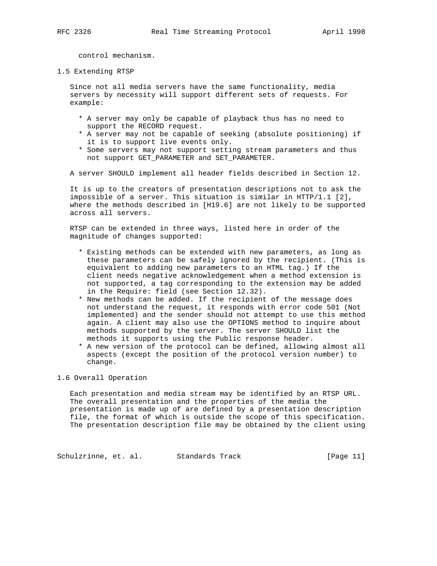control mechanism.

1.5 Extending RTSP

 Since not all media servers have the same functionality, media servers by necessity will support different sets of requests. For example:

- \* A server may only be capable of playback thus has no need to support the RECORD request.
- \* A server may not be capable of seeking (absolute positioning) if it is to support live events only.
- \* Some servers may not support setting stream parameters and thus not support GET\_PARAMETER and SET\_PARAMETER.

A server SHOULD implement all header fields described in Section 12.

 It is up to the creators of presentation descriptions not to ask the impossible of a server. This situation is similar in HTTP/1.1 [2], where the methods described in [H19.6] are not likely to be supported across all servers.

 RTSP can be extended in three ways, listed here in order of the magnitude of changes supported:

- \* Existing methods can be extended with new parameters, as long as these parameters can be safely ignored by the recipient. (This is equivalent to adding new parameters to an HTML tag.) If the client needs negative acknowledgement when a method extension is not supported, a tag corresponding to the extension may be added in the Require: field (see Section 12.32).
- \* New methods can be added. If the recipient of the message does not understand the request, it responds with error code 501 (Not implemented) and the sender should not attempt to use this method again. A client may also use the OPTIONS method to inquire about methods supported by the server. The server SHOULD list the methods it supports using the Public response header.
- \* A new version of the protocol can be defined, allowing almost all aspects (except the position of the protocol version number) to change.

### 1.6 Overall Operation

 Each presentation and media stream may be identified by an RTSP URL. The overall presentation and the properties of the media the presentation is made up of are defined by a presentation description file, the format of which is outside the scope of this specification. The presentation description file may be obtained by the client using

Schulzrinne, et. al. Standards Track (Page 11)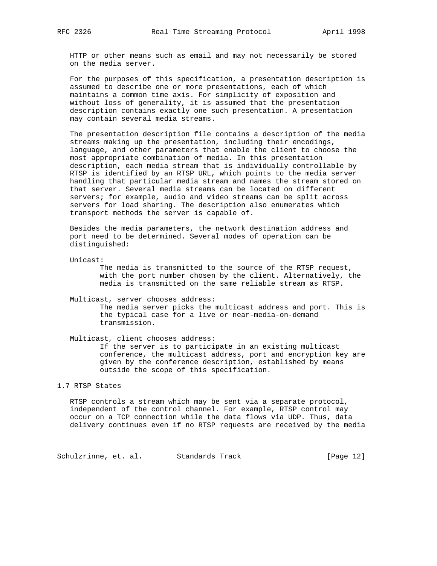HTTP or other means such as email and may not necessarily be stored on the media server.

 For the purposes of this specification, a presentation description is assumed to describe one or more presentations, each of which maintains a common time axis. For simplicity of exposition and without loss of generality, it is assumed that the presentation description contains exactly one such presentation. A presentation may contain several media streams.

 The presentation description file contains a description of the media streams making up the presentation, including their encodings, language, and other parameters that enable the client to choose the most appropriate combination of media. In this presentation description, each media stream that is individually controllable by RTSP is identified by an RTSP URL, which points to the media server handling that particular media stream and names the stream stored on that server. Several media streams can be located on different servers; for example, audio and video streams can be split across servers for load sharing. The description also enumerates which transport methods the server is capable of.

 Besides the media parameters, the network destination address and port need to be determined. Several modes of operation can be distinguished:

Unicast:

 The media is transmitted to the source of the RTSP request, with the port number chosen by the client. Alternatively, the media is transmitted on the same reliable stream as RTSP.

 Multicast, server chooses address: The media server picks the multicast address and port. This is the typical case for a live or near-media-on-demand transmission.

Multicast, client chooses address:

 If the server is to participate in an existing multicast conference, the multicast address, port and encryption key are given by the conference description, established by means outside the scope of this specification.

### 1.7 RTSP States

 RTSP controls a stream which may be sent via a separate protocol, independent of the control channel. For example, RTSP control may occur on a TCP connection while the data flows via UDP. Thus, data delivery continues even if no RTSP requests are received by the media

Schulzrinne, et. al. Standards Track [Page 12]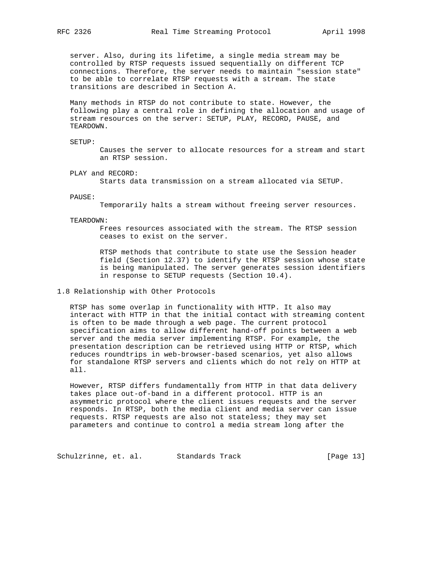server. Also, during its lifetime, a single media stream may be controlled by RTSP requests issued sequentially on different TCP connections. Therefore, the server needs to maintain "session state" to be able to correlate RTSP requests with a stream. The state transitions are described in Section A.

 Many methods in RTSP do not contribute to state. However, the following play a central role in defining the allocation and usage of stream resources on the server: SETUP, PLAY, RECORD, PAUSE, and TEARDOWN.

SETUP:

 Causes the server to allocate resources for a stream and start an RTSP session.

PLAY and RECORD:

Starts data transmission on a stream allocated via SETUP.

PAUSE:

Temporarily halts a stream without freeing server resources.

TEARDOWN:

 Frees resources associated with the stream. The RTSP session ceases to exist on the server.

 RTSP methods that contribute to state use the Session header field (Section 12.37) to identify the RTSP session whose state is being manipulated. The server generates session identifiers in response to SETUP requests (Section 10.4).

## 1.8 Relationship with Other Protocols

 RTSP has some overlap in functionality with HTTP. It also may interact with HTTP in that the initial contact with streaming content is often to be made through a web page. The current protocol specification aims to allow different hand-off points between a web server and the media server implementing RTSP. For example, the presentation description can be retrieved using HTTP or RTSP, which reduces roundtrips in web-browser-based scenarios, yet also allows for standalone RTSP servers and clients which do not rely on HTTP at all.

 However, RTSP differs fundamentally from HTTP in that data delivery takes place out-of-band in a different protocol. HTTP is an asymmetric protocol where the client issues requests and the server responds. In RTSP, both the media client and media server can issue requests. RTSP requests are also not stateless; they may set parameters and continue to control a media stream long after the

Schulzrinne, et. al. Standards Track (Page 13)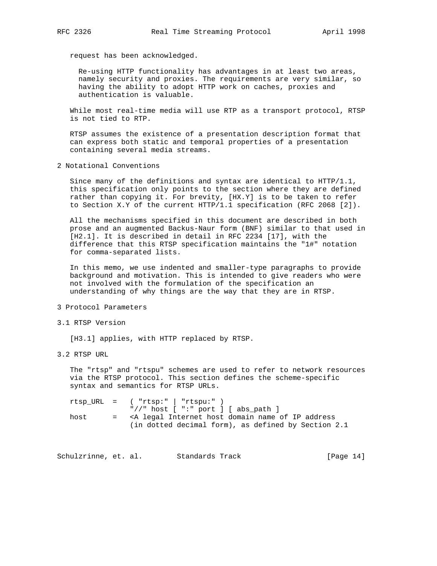request has been acknowledged.

 Re-using HTTP functionality has advantages in at least two areas, namely security and proxies. The requirements are very similar, so having the ability to adopt HTTP work on caches, proxies and authentication is valuable.

 While most real-time media will use RTP as a transport protocol, RTSP is not tied to RTP.

 RTSP assumes the existence of a presentation description format that can express both static and temporal properties of a presentation containing several media streams.

2 Notational Conventions

 Since many of the definitions and syntax are identical to HTTP/1.1, this specification only points to the section where they are defined rather than copying it. For brevity, [HX.Y] is to be taken to refer to Section X.Y of the current HTTP/1.1 specification (RFC 2068 [2]).

 All the mechanisms specified in this document are described in both prose and an augmented Backus-Naur form (BNF) similar to that used in [H2.1]. It is described in detail in RFC 2234 [17], with the difference that this RTSP specification maintains the "1#" notation for comma-separated lists.

 In this memo, we use indented and smaller-type paragraphs to provide background and motivation. This is intended to give readers who were not involved with the formulation of the specification an understanding of why things are the way that they are in RTSP.

### 3 Protocol Parameters

### 3.1 RTSP Version

[H3.1] applies, with HTTP replaced by RTSP.

### 3.2 RTSP URL

 The "rtsp" and "rtspu" schemes are used to refer to network resources via the RTSP protocol. This section defines the scheme-specific syntax and semantics for RTSP URLs.

 rtsp\_URL = ( "rtsp:" | "rtspu:" ) "//" host [ ":" port ] [ abs\_path ] host = <A legal Internet host domain name of IP address (in dotted decimal form), as defined by Section 2.1

Schulzrinne, et. al. Standards Track (Page 14)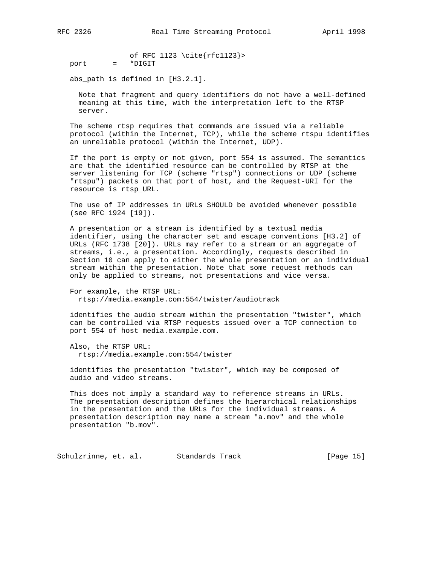of RFC 1123 \cite{rfc1123}> port = \*DIGIT

abs\_path is defined in [H3.2.1].

 Note that fragment and query identifiers do not have a well-defined meaning at this time, with the interpretation left to the RTSP server.

 The scheme rtsp requires that commands are issued via a reliable protocol (within the Internet, TCP), while the scheme rtspu identifies an unreliable protocol (within the Internet, UDP).

 If the port is empty or not given, port 554 is assumed. The semantics are that the identified resource can be controlled by RTSP at the server listening for TCP (scheme "rtsp") connections or UDP (scheme "rtspu") packets on that port of host, and the Request-URI for the resource is rtsp\_URL.

 The use of IP addresses in URLs SHOULD be avoided whenever possible (see RFC 1924 [19]).

 A presentation or a stream is identified by a textual media identifier, using the character set and escape conventions [H3.2] of URLs (RFC 1738 [20]). URLs may refer to a stream or an aggregate of streams, i.e., a presentation. Accordingly, requests described in Section 10 can apply to either the whole presentation or an individual stream within the presentation. Note that some request methods can only be applied to streams, not presentations and vice versa.

 For example, the RTSP URL: rtsp://media.example.com:554/twister/audiotrack

 identifies the audio stream within the presentation "twister", which can be controlled via RTSP requests issued over a TCP connection to port 554 of host media.example.com.

 Also, the RTSP URL: rtsp://media.example.com:554/twister

 identifies the presentation "twister", which may be composed of audio and video streams.

 This does not imply a standard way to reference streams in URLs. The presentation description defines the hierarchical relationships in the presentation and the URLs for the individual streams. A presentation description may name a stream "a.mov" and the whole presentation "b.mov".

Schulzrinne, et. al. Standards Track [Page 15]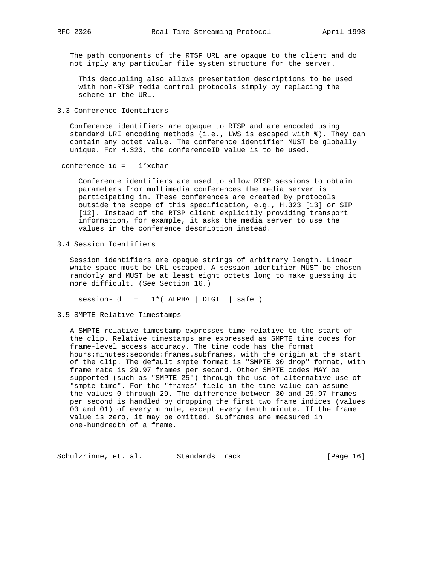The path components of the RTSP URL are opaque to the client and do not imply any particular file system structure for the server.

 This decoupling also allows presentation descriptions to be used with non-RTSP media control protocols simply by replacing the scheme in the URL.

3.3 Conference Identifiers

 Conference identifiers are opaque to RTSP and are encoded using standard URI encoding methods (i.e., LWS is escaped with %). They can contain any octet value. The conference identifier MUST be globally unique. For H.323, the conferenceID value is to be used.

 $conference-id = 1*xchar$ 

 Conference identifiers are used to allow RTSP sessions to obtain parameters from multimedia conferences the media server is participating in. These conferences are created by protocols outside the scope of this specification, e.g., H.323 [13] or SIP [12]. Instead of the RTSP client explicitly providing transport information, for example, it asks the media server to use the values in the conference description instead.

3.4 Session Identifiers

 Session identifiers are opaque strings of arbitrary length. Linear white space must be URL-escaped. A session identifier MUST be chosen randomly and MUST be at least eight octets long to make guessing it more difficult. (See Section 16.)

 $session-id = 1*(ALPHA | DIGIT | safe)$ 

3.5 SMPTE Relative Timestamps

 A SMPTE relative timestamp expresses time relative to the start of the clip. Relative timestamps are expressed as SMPTE time codes for frame-level access accuracy. The time code has the format hours:minutes:seconds:frames.subframes, with the origin at the start of the clip. The default smpte format is "SMPTE 30 drop" format, with frame rate is 29.97 frames per second. Other SMPTE codes MAY be supported (such as "SMPTE 25") through the use of alternative use of "smpte time". For the "frames" field in the time value can assume the values 0 through 29. The difference between 30 and 29.97 frames per second is handled by dropping the first two frame indices (values 00 and 01) of every minute, except every tenth minute. If the frame value is zero, it may be omitted. Subframes are measured in one-hundredth of a frame.

Schulzrinne, et. al. Standards Track (Page 16)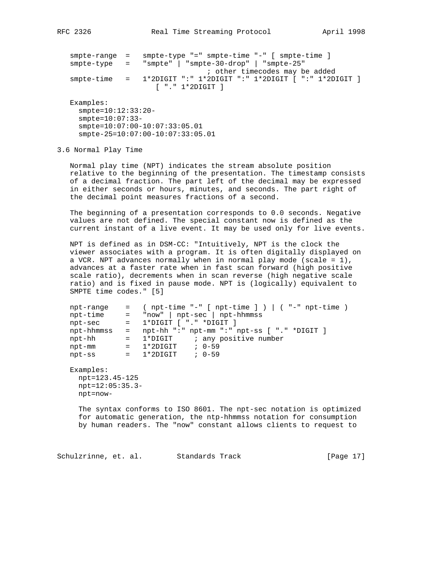```
 smpte-range = smpte-type "=" smpte-time "-" [ smpte-time ]
smpte-type = "smpte" | "smpte-30-drop" | "smpte-25"
                              ; other timecodes may be added
smpte-time = 1*2DIGIT ":" 1*2DIGIT ":" 1*2DIGIT [ ":" 1*2DIGIT ]
                  [ "." 1*2DIGIT ]
```
Examples:

 smpte=10:12:33:20 smpte=10:07:33 smpte=10:07:00-10:07:33:05.01 smpte-25=10:07:00-10:07:33:05.01

3.6 Normal Play Time

 Normal play time (NPT) indicates the stream absolute position relative to the beginning of the presentation. The timestamp consists of a decimal fraction. The part left of the decimal may be expressed in either seconds or hours, minutes, and seconds. The part right of the decimal point measures fractions of a second.

 The beginning of a presentation corresponds to 0.0 seconds. Negative values are not defined. The special constant now is defined as the current instant of a live event. It may be used only for live events.

 NPT is defined as in DSM-CC: "Intuitively, NPT is the clock the viewer associates with a program. It is often digitally displayed on a VCR. NPT advances normally when in normal play mode (scale =  $1$ ), advances at a faster rate when in fast scan forward (high positive scale ratio), decrements when in scan reverse (high negative scale ratio) and is fixed in pause mode. NPT is (logically) equivalent to SMPTE time codes." [5]

| npt-range  |         | $=$ (npt-time "-" [npt-time ])   ("-"npt-time)       |
|------------|---------|------------------------------------------------------|
| npt-time   |         | "now"   npt-sec   npt-hhmmss                         |
| npt-sec    |         | 1*DIGIT [ "." *DIGIT ]                               |
| npt-hhmmss | $=$ $-$ | $npt-hh$ ":" $npt-mm$ ":" $npt-ss$ [ "." * $DIGIT$ ] |
| npt-hh     |         | ; any positive number<br>1*DIGIT                     |
| npt-mm     |         | 1*2DIGIT<br>$7.0 - 59$                               |
| npt-ss     |         | 1*2DIGIT<br>$7.0 - 59$                               |
|            |         |                                                      |

 Examples: npt=123.45-125 npt=12:05:35.3 npt=now-

> The syntax conforms to ISO 8601. The npt-sec notation is optimized for automatic generation, the ntp-hhmmss notation for consumption by human readers. The "now" constant allows clients to request to

Schulzrinne, et. al. Standards Track [Page 17]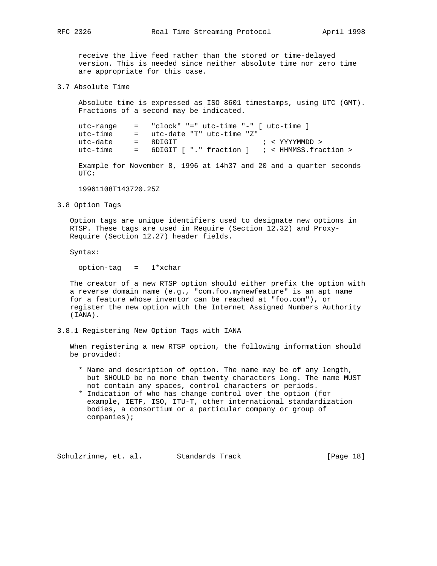receive the live feed rather than the stored or time-delayed version. This is needed since neither absolute time nor zero time are appropriate for this case.

3.7 Absolute Time

 Absolute time is expressed as ISO 8601 timestamps, using UTC (GMT). Fractions of a second may be indicated.

 utc-range = "clock" "=" utc-time "-" [ utc-time ] utc-time = utc-date "T" utc-time "Z" utc-date = 8DIGIT  $\qquad \qquad ; \qquad$  YYYYMMDD > utc-time = 6DIGIT [ "." fraction ] ; < HHMMSS.fraction >

 Example for November 8, 1996 at 14h37 and 20 and a quarter seconds UTC:

19961108T143720.25Z

3.8 Option Tags

 Option tags are unique identifiers used to designate new options in RTSP. These tags are used in Require (Section 12.32) and Proxy- Require (Section 12.27) header fields.

Syntax:

option-tag = 1\*xchar

 The creator of a new RTSP option should either prefix the option with a reverse domain name (e.g., "com.foo.mynewfeature" is an apt name for a feature whose inventor can be reached at "foo.com"), or register the new option with the Internet Assigned Numbers Authority (IANA).

3.8.1 Registering New Option Tags with IANA

 When registering a new RTSP option, the following information should be provided:

- \* Name and description of option. The name may be of any length, but SHOULD be no more than twenty characters long. The name MUST not contain any spaces, control characters or periods.
- \* Indication of who has change control over the option (for example, IETF, ISO, ITU-T, other international standardization bodies, a consortium or a particular company or group of companies);

Schulzrinne, et. al. Standards Track [Page 18]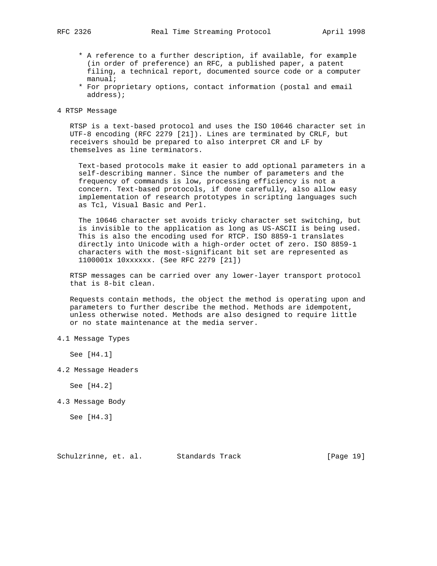- \* A reference to a further description, if available, for example (in order of preference) an RFC, a published paper, a patent filing, a technical report, documented source code or a computer manual;
- \* For proprietary options, contact information (postal and email address);
- 4 RTSP Message

 RTSP is a text-based protocol and uses the ISO 10646 character set in UTF-8 encoding (RFC 2279 [21]). Lines are terminated by CRLF, but receivers should be prepared to also interpret CR and LF by themselves as line terminators.

 Text-based protocols make it easier to add optional parameters in a self-describing manner. Since the number of parameters and the frequency of commands is low, processing efficiency is not a concern. Text-based protocols, if done carefully, also allow easy implementation of research prototypes in scripting languages such as Tcl, Visual Basic and Perl.

 The 10646 character set avoids tricky character set switching, but is invisible to the application as long as US-ASCII is being used. This is also the encoding used for RTCP. ISO 8859-1 translates directly into Unicode with a high-order octet of zero. ISO 8859-1 characters with the most-significant bit set are represented as 1100001x 10xxxxxx. (See RFC 2279 [21])

 RTSP messages can be carried over any lower-layer transport protocol that is 8-bit clean.

 Requests contain methods, the object the method is operating upon and parameters to further describe the method. Methods are idempotent, unless otherwise noted. Methods are also designed to require little or no state maintenance at the media server.

4.1 Message Types

See [H4.1]

4.2 Message Headers

See [H4.2]

4.3 Message Body

See [H4.3]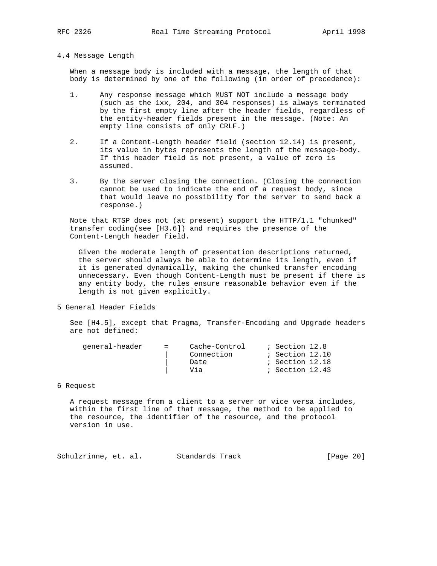### 4.4 Message Length

 When a message body is included with a message, the length of that body is determined by one of the following (in order of precedence):

- 1. Any response message which MUST NOT include a message body (such as the 1xx, 204, and 304 responses) is always terminated by the first empty line after the header fields, regardless of the entity-header fields present in the message. (Note: An empty line consists of only CRLF.)
- 2. If a Content-Length header field (section 12.14) is present, its value in bytes represents the length of the message-body. If this header field is not present, a value of zero is assumed.
- 3. By the server closing the connection. (Closing the connection cannot be used to indicate the end of a request body, since that would leave no possibility for the server to send back a response.)

 Note that RTSP does not (at present) support the HTTP/1.1 "chunked" transfer coding(see [H3.6]) and requires the presence of the Content-Length header field.

 Given the moderate length of presentation descriptions returned, the server should always be able to determine its length, even if it is generated dynamically, making the chunked transfer encoding unnecessary. Even though Content-Length must be present if there is any entity body, the rules ensure reasonable behavior even if the length is not given explicitly.

5 General Header Fields

 See [H4.5], except that Pragma, Transfer-Encoding and Upgrade headers are not defined:

| $=$ | Cache-Control |  |                                                                         |
|-----|---------------|--|-------------------------------------------------------------------------|
|     | Connection    |  |                                                                         |
|     | Date          |  |                                                                         |
|     | Via           |  |                                                                         |
|     |               |  | ; Section 12.8<br>; Section 12.10<br>; Section 12.18<br>; Section 12.43 |

6 Request

 A request message from a client to a server or vice versa includes, within the first line of that message, the method to be applied to the resource, the identifier of the resource, and the protocol version in use.

Schulzrinne, et. al. Standards Track [Page 20]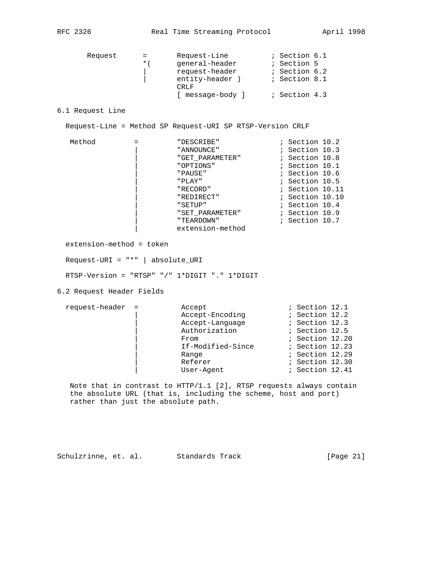| Request |         | Request-Line   | ; Section 6.1 |  |
|---------|---------|----------------|---------------|--|
|         | $\star$ | qeneral-header | ; Section 5   |  |
|         |         | request-header | ; Section 6.2 |  |
|         |         | entity-header  | ; Section 8.1 |  |
|         |         | CRLF           |               |  |
|         |         | message-body ] | ; Section 4.3 |  |

### 6.1 Request Line

Request-Line = Method SP Request-URI SP RTSP-Version CRLF

| Method | "DESCRIBE"       | ; Section $10.2$  |  |
|--------|------------------|-------------------|--|
|        | "ANNOUNCE"       | ; Section 10.3    |  |
|        | "GET PARAMETER"  | $:$ Section 10.8  |  |
|        | "OPTIONS"        | ; Section 10.1    |  |
|        | " PAUSE "        | ; Section 10.6    |  |
|        | "PIAY"           | ; Section $10.5$  |  |
|        | "RECORD"         | : Section 10.11   |  |
|        | "REDIRECT"       | ; Section $10.10$ |  |
|        | " SETUP"         | ; Section $10.4$  |  |
|        | "SET PARAMETER"  | ; Section 10.9    |  |
|        | "TEARDOWN"       | ; Section 10.7    |  |
|        | extension-method |                   |  |
|        |                  |                   |  |

extension-method = token

Request-URI = "\*" | absolute\_URI

RTSP-Version = "RTSP" "/" 1\*DIGIT "." 1\*DIGIT

6.2 Request Header Fields

| request-header | $\equiv$ | Accept            | ; Section 12.1    |  |
|----------------|----------|-------------------|-------------------|--|
|                |          | Accept-Encoding   | ; Section 12.2    |  |
|                |          | Accept-Lanquage   | ; Section 12.3    |  |
|                |          | Authorization     | ; Section 12.5    |  |
|                |          | From              | : Section 12.20   |  |
|                |          | If-Modified-Since | $i$ Section 12.23 |  |
|                |          | Range             | ; Section 12.29   |  |
|                |          | Referer           | : Section 12.30   |  |
|                |          | User-Agent        | : Section 12.41   |  |
|                |          |                   |                   |  |

 Note that in contrast to HTTP/1.1 [2], RTSP requests always contain the absolute URL (that is, including the scheme, host and port) rather than just the absolute path.

| Schulzrinne, et. al.<br>Standards Track | [Page $21$ ] |  |
|-----------------------------------------|--------------|--|
|-----------------------------------------|--------------|--|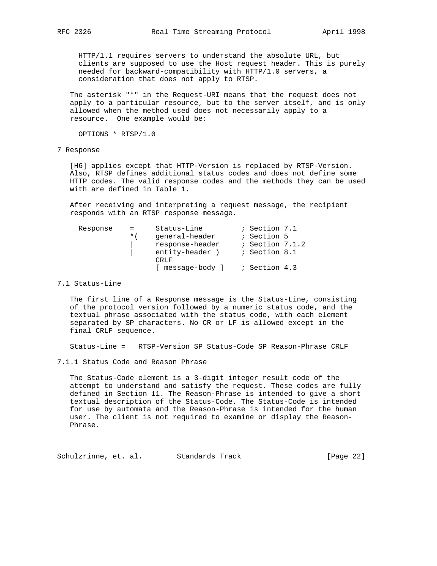HTTP/1.1 requires servers to understand the absolute URL, but clients are supposed to use the Host request header. This is purely needed for backward-compatibility with HTTP/1.0 servers, a consideration that does not apply to RTSP.

 The asterisk "\*" in the Request-URI means that the request does not apply to a particular resource, but to the server itself, and is only allowed when the method used does not necessarily apply to a resource. One example would be:

OPTIONS \* RTSP/1.0

#### 7 Response

 [H6] applies except that HTTP-Version is replaced by RTSP-Version. Also, RTSP defines additional status codes and does not define some HTTP codes. The valid response codes and the methods they can be used with are defined in Table 1.

 After receiving and interpreting a request message, the recipient responds with an RTSP response message.

| Response | $=$     | Status-Line      | ; Section 7.1     |  |
|----------|---------|------------------|-------------------|--|
|          | $\star$ | qeneral-header   | ; Section 5       |  |
|          |         | response-header  | ; Section $7.1.2$ |  |
|          |         | entity-header)   | ; Section 8.1     |  |
|          |         | CRLF             |                   |  |
|          |         | [ message-body ] | ; Section 4.3     |  |

#### 7.1 Status-Line

 The first line of a Response message is the Status-Line, consisting of the protocol version followed by a numeric status code, and the textual phrase associated with the status code, with each element separated by SP characters. No CR or LF is allowed except in the final CRLF sequence.

Status-Line = RTSP-Version SP Status-Code SP Reason-Phrase CRLF

7.1.1 Status Code and Reason Phrase

 The Status-Code element is a 3-digit integer result code of the attempt to understand and satisfy the request. These codes are fully defined in Section 11. The Reason-Phrase is intended to give a short textual description of the Status-Code. The Status-Code is intended for use by automata and the Reason-Phrase is intended for the human user. The client is not required to examine or display the Reason- Phrase.

Schulzrinne, et. al. Standards Track [Page 22]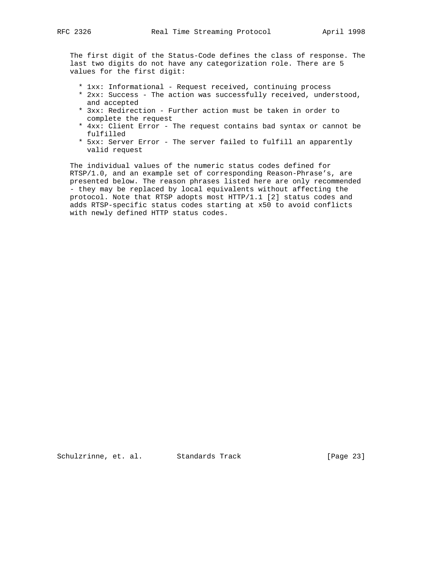The first digit of the Status-Code defines the class of response. The last two digits do not have any categorization role. There are 5 values for the first digit:

- \* 1xx: Informational Request received, continuing process
- \* 2xx: Success The action was successfully received, understood, and accepted
- \* 3xx: Redirection Further action must be taken in order to complete the request
- \* 4xx: Client Error The request contains bad syntax or cannot be fulfilled
- \* 5xx: Server Error The server failed to fulfill an apparently valid request

 The individual values of the numeric status codes defined for RTSP/1.0, and an example set of corresponding Reason-Phrase's, are presented below. The reason phrases listed here are only recommended - they may be replaced by local equivalents without affecting the protocol. Note that RTSP adopts most HTTP/1.1 [2] status codes and adds RTSP-specific status codes starting at x50 to avoid conflicts with newly defined HTTP status codes.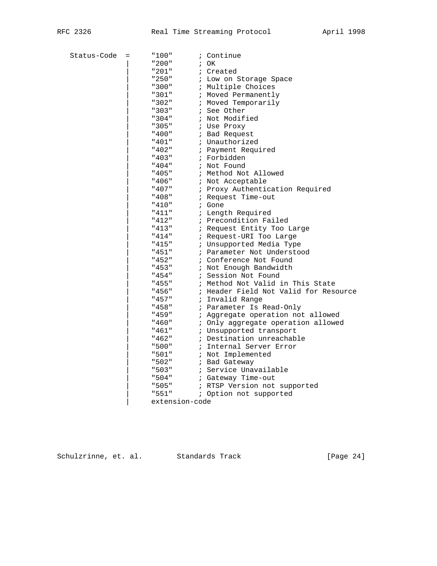| Status-Code | "100"<br>$\equiv$ | ; Continue                            |
|-------------|-------------------|---------------------------------------|
|             | "200"             | $:$ OK                                |
|             | "201"             | ; Created                             |
|             | "250"             | ; Low on Storage Space                |
|             | "300"             | ; Multiple Choices                    |
|             | "301"             |                                       |
|             | "302"             | ; Moved Permanently                   |
|             | "303"             | ; Moved Temporarily                   |
|             |                   | ; See Other                           |
|             | "304"             | ; Not Modified                        |
|             | "305"             | ; Use Proxy                           |
|             | "400"             | ; Bad Request                         |
|             | "401"             | ; Unauthorized                        |
|             | "402"             | ; Payment Required                    |
|             | "403"             | ; Forbidden                           |
|             | "404"             | ; Not Found                           |
|             | "405"             | ; Method Not Allowed                  |
|             | "406"             | ; Not Acceptable                      |
|             | "407"             | ; Proxy Authentication Required       |
|             | "408"             | ; Request Time-out                    |
|             | "410"             | ; Gone                                |
|             | "411"             | ; Length Required                     |
|             | "412"             | ; Precondition Failed                 |
|             | "413"             | ; Request Entity Too Large            |
|             | "414"             | ; Request-URI Too Large               |
|             | "415"             | ; Unsupported Media Type              |
|             | "451"             | ; Parameter Not Understood            |
|             | "452"             | ; Conference Not Found                |
|             | "453"             | ; Not Enough Bandwidth                |
|             | "454"             | ; Session Not Found                   |
|             | "455"             | ; Method Not Valid in This State      |
|             | "456"             | ; Header Field Not Valid for Resource |
|             | "457"             | ; Invalid Range                       |
|             | "458"             | ; Parameter Is Read-Only              |
|             | "459"             | ; Aggregate operation not allowed     |
|             | "460"             | ; Only aggregate operation allowed    |
|             | "461"             | ; Unsupported transport               |
|             | "462"             | ; Destination unreachable             |
|             | "500"             | ; Internal Server Error               |
|             | "501"             | ; Not Implemented                     |
|             | "502"             | ; Bad Gateway                         |
|             | "503"             | ; Service Unavailable                 |
|             |                   |                                       |
|             | "504"             | ; Gateway Time-out                    |
|             | "505"             | ; RTSP Version not supported          |
|             | "551"             | ; Option not supported                |
|             | extension-code    |                                       |

Schulzrinne, et. al. Standards Track [Page 24]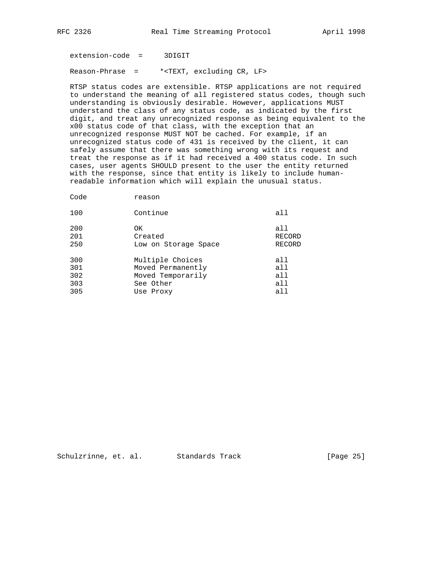extension-code = 3DIGIT

Reason-Phrase = \*<TEXT, excluding CR, LF>

 RTSP status codes are extensible. RTSP applications are not required to understand the meaning of all registered status codes, though such understanding is obviously desirable. However, applications MUST understand the class of any status code, as indicated by the first digit, and treat any unrecognized response as being equivalent to the x00 status code of that class, with the exception that an unrecognized response MUST NOT be cached. For example, if an unrecognized status code of 431 is received by the client, it can safely assume that there was something wrong with its request and treat the response as if it had received a 400 status code. In such cases, user agents SHOULD present to the user the entity returned with the response, since that entity is likely to include human readable information which will explain the unusual status.

| Code | reason               |        |
|------|----------------------|--------|
| 100  | Continue             | a11    |
| 200  | OK                   | all    |
| 201  | Created              | RECORD |
| 250  | Low on Storage Space | RECORD |
| 300  | Multiple Choices     | all    |
| 301  | Moved Permanently    | all    |
| 302  | Moved Temporarily    | all    |
| 303  | See Other            | a11    |
| 305  | Use Proxy            | a11    |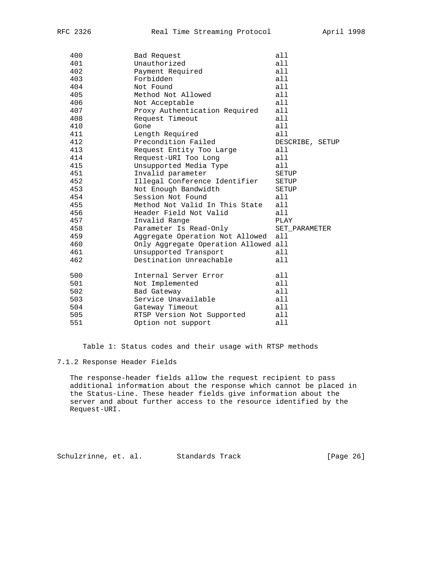| 400 | Bad Request                          | a11             |
|-----|--------------------------------------|-----------------|
| 401 | Unauthorized                         | all             |
| 402 | Payment Required                     | all             |
| 403 | Forbidden                            | a11             |
| 404 | Not Found                            | all             |
| 405 | Method Not Allowed                   | all             |
| 406 | Not Acceptable                       | all             |
| 407 | Proxy Authentication Required        | all             |
| 408 | Request Timeout                      | a11             |
| 410 | Gone                                 | a11             |
| 411 | Length Required                      | all             |
| 412 | Precondition Failed                  | DESCRIBE, SETUP |
| 413 | Request Entity Too Large             | a11             |
| 414 | Request-URI Too Long                 | all             |
| 415 | Unsupported Media Type               | all             |
| 451 | Invalid parameter                    | SETUP           |
| 452 | Illegal Conference Identifier        | SETUP           |
| 453 | Not Enough Bandwidth                 | SETUP           |
| 454 | Session Not Found                    | all             |
| 455 | Method Not Valid In This State       | all             |
| 456 | Header Field Not Valid               | all             |
| 457 | Invalid Range                        | PLAY            |
| 458 | Parameter Is Read-Only               | SET PARAMETER   |
| 459 | Aggregate Operation Not Allowed      | all             |
| 460 | Only Aggregate Operation Allowed all |                 |
| 461 | Unsupported Transport                | all             |
| 462 | Destination Unreachable              | all             |
| 500 | Internal Server Error                | a11             |
| 501 | Not Implemented                      | all             |
| 502 | Bad Gateway                          | a11             |
| 503 | Service Unavailable                  | all             |
| 504 | Gateway Timeout                      | all             |
| 505 | RTSP Version Not Supported           | all             |
| 551 | Option not support                   | a11             |
|     |                                      |                 |

Table 1: Status codes and their usage with RTSP methods

# 7.1.2 Response Header Fields

 The response-header fields allow the request recipient to pass additional information about the response which cannot be placed in the Status-Line. These header fields give information about the server and about further access to the resource identified by the Request-URI.

Schulzrinne, et. al. Standards Track (Page 26)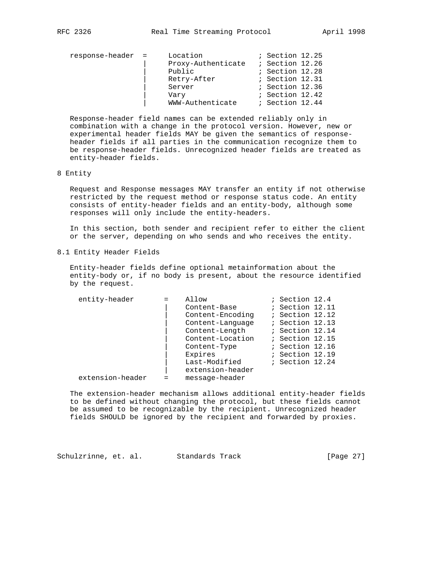| response-header = | Location           | ; Section 12.25 |  |
|-------------------|--------------------|-----------------|--|
|                   | Proxy-Authenticate | ; Section 12.26 |  |
|                   | Public             | ; Section 12.28 |  |
|                   | Retry-After        | ; Section 12.31 |  |
|                   | Server             | ; Section 12.36 |  |
|                   | Varv               | ; Section 12.42 |  |
|                   | WWW-Authenticate   | ; Section 12.44 |  |
|                   |                    |                 |  |

 Response-header field names can be extended reliably only in combination with a change in the protocol version. However, new or experimental header fields MAY be given the semantics of response header fields if all parties in the communication recognize them to be response-header fields. Unrecognized header fields are treated as entity-header fields.

### 8 Entity

 Request and Response messages MAY transfer an entity if not otherwise restricted by the request method or response status code. An entity consists of entity-header fields and an entity-body, although some responses will only include the entity-headers.

 In this section, both sender and recipient refer to either the client or the server, depending on who sends and who receives the entity.

8.1 Entity Header Fields

 Entity-header fields define optional metainformation about the entity-body or, if no body is present, about the resource identified by the request.

| Allow            |  |                                                                                                                                                                              |
|------------------|--|------------------------------------------------------------------------------------------------------------------------------------------------------------------------------|
| Content-Base     |  |                                                                                                                                                                              |
| Content-Encoding |  |                                                                                                                                                                              |
| Content-Language |  |                                                                                                                                                                              |
| Content-Length   |  |                                                                                                                                                                              |
| Content-Location |  |                                                                                                                                                                              |
| Content-Type     |  |                                                                                                                                                                              |
| Expires          |  |                                                                                                                                                                              |
| Last-Modified    |  |                                                                                                                                                                              |
| extension-header |  |                                                                                                                                                                              |
| message-header   |  |                                                                                                                                                                              |
|                  |  | ; Section 12.4<br>$:$ Section 12.11<br>Section 12.12<br>: Section 12.13<br>$i$ Section 12.14<br>: Section 12.15<br>: Section 12.16<br>; Section $12.19$<br>$i$ Section 12.24 |

 The extension-header mechanism allows additional entity-header fields to be defined without changing the protocol, but these fields cannot be assumed to be recognizable by the recipient. Unrecognized header fields SHOULD be ignored by the recipient and forwarded by proxies.

Schulzrinne, et. al. Standards Track [Page 27]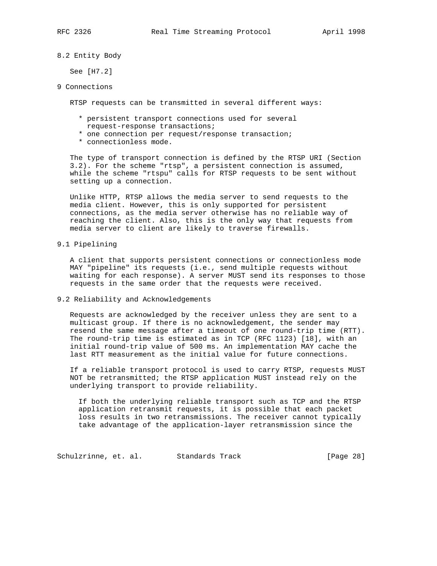8.2 Entity Body

See [H7.2]

### 9 Connections

RTSP requests can be transmitted in several different ways:

- \* persistent transport connections used for several request-response transactions;
- \* one connection per request/response transaction;
- \* connectionless mode.

 The type of transport connection is defined by the RTSP URI (Section 3.2). For the scheme "rtsp", a persistent connection is assumed, while the scheme "rtspu" calls for RTSP requests to be sent without setting up a connection.

 Unlike HTTP, RTSP allows the media server to send requests to the media client. However, this is only supported for persistent connections, as the media server otherwise has no reliable way of reaching the client. Also, this is the only way that requests from media server to client are likely to traverse firewalls.

## 9.1 Pipelining

 A client that supports persistent connections or connectionless mode MAY "pipeline" its requests (i.e., send multiple requests without waiting for each response). A server MUST send its responses to those requests in the same order that the requests were received.

9.2 Reliability and Acknowledgements

 Requests are acknowledged by the receiver unless they are sent to a multicast group. If there is no acknowledgement, the sender may resend the same message after a timeout of one round-trip time (RTT). The round-trip time is estimated as in TCP (RFC 1123) [18], with an initial round-trip value of 500 ms. An implementation MAY cache the last RTT measurement as the initial value for future connections.

 If a reliable transport protocol is used to carry RTSP, requests MUST NOT be retransmitted; the RTSP application MUST instead rely on the underlying transport to provide reliability.

 If both the underlying reliable transport such as TCP and the RTSP application retransmit requests, it is possible that each packet loss results in two retransmissions. The receiver cannot typically take advantage of the application-layer retransmission since the

Schulzrinne, et. al. Standards Track (Page 28)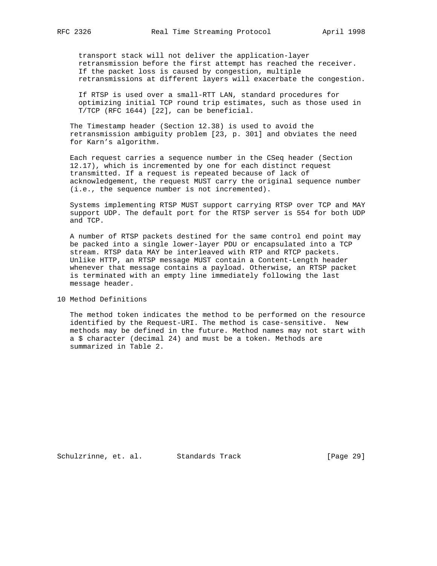transport stack will not deliver the application-layer retransmission before the first attempt has reached the receiver. If the packet loss is caused by congestion, multiple retransmissions at different layers will exacerbate the congestion.

 If RTSP is used over a small-RTT LAN, standard procedures for optimizing initial TCP round trip estimates, such as those used in T/TCP (RFC 1644) [22], can be beneficial.

 The Timestamp header (Section 12.38) is used to avoid the retransmission ambiguity problem [23, p. 301] and obviates the need for Karn's algorithm.

 Each request carries a sequence number in the CSeq header (Section 12.17), which is incremented by one for each distinct request transmitted. If a request is repeated because of lack of acknowledgement, the request MUST carry the original sequence number (i.e., the sequence number is not incremented).

 Systems implementing RTSP MUST support carrying RTSP over TCP and MAY support UDP. The default port for the RTSP server is 554 for both UDP and TCP.

 A number of RTSP packets destined for the same control end point may be packed into a single lower-layer PDU or encapsulated into a TCP stream. RTSP data MAY be interleaved with RTP and RTCP packets. Unlike HTTP, an RTSP message MUST contain a Content-Length header whenever that message contains a payload. Otherwise, an RTSP packet is terminated with an empty line immediately following the last message header.

10 Method Definitions

 The method token indicates the method to be performed on the resource identified by the Request-URI. The method is case-sensitive. New methods may be defined in the future. Method names may not start with a \$ character (decimal 24) and must be a token. Methods are summarized in Table 2.

Schulzrinne, et. al. Standards Track [Page 29]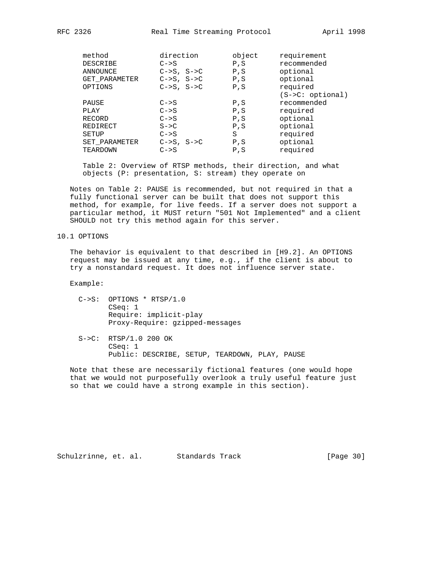| method        | direction       | object | requirement        |
|---------------|-----------------|--------|--------------------|
| DESCRIBE      | $C->S$          | P, S   | recommended        |
| ANNOUNCE      | $C->S$ , $S->C$ | P, S   | optional           |
| GET PARAMETER | $C->S$ , $S->C$ | P, S   | optional           |
| OPTIONS       | $C->S$ , $S->C$ | P, S   | required           |
|               |                 |        | $(S->C:$ optional) |
| PAUSE         | $C->S$          | P, S   | recommended        |
| PLAY          | $C->S$          | P, S   | required           |
| <b>RECORD</b> | $C->S$          | P, S   | optional           |
| REDIRECT      | $S->C$          | P,S    | optional           |
| SETUP         | $C->S$          | S      | required           |
| SET PARAMETER | $C->S$ , $S->C$ | P,S    | optional           |
| TEARDOWN      | $C->S$          | P, S   | required           |
|               |                 |        |                    |

 Table 2: Overview of RTSP methods, their direction, and what objects (P: presentation, S: stream) they operate on

 Notes on Table 2: PAUSE is recommended, but not required in that a fully functional server can be built that does not support this method, for example, for live feeds. If a server does not support a particular method, it MUST return "501 Not Implemented" and a client SHOULD not try this method again for this server.

# 10.1 OPTIONS

 The behavior is equivalent to that described in [H9.2]. An OPTIONS request may be issued at any time, e.g., if the client is about to try a nonstandard request. It does not influence server state.

Example:

- C->S: OPTIONS \* RTSP/1.0 CSeq: 1 Require: implicit-play Proxy-Require: gzipped-messages
- S->C: RTSP/1.0 200 OK CSeq: 1 Public: DESCRIBE, SETUP, TEARDOWN, PLAY, PAUSE

 Note that these are necessarily fictional features (one would hope that we would not purposefully overlook a truly useful feature just so that we could have a strong example in this section).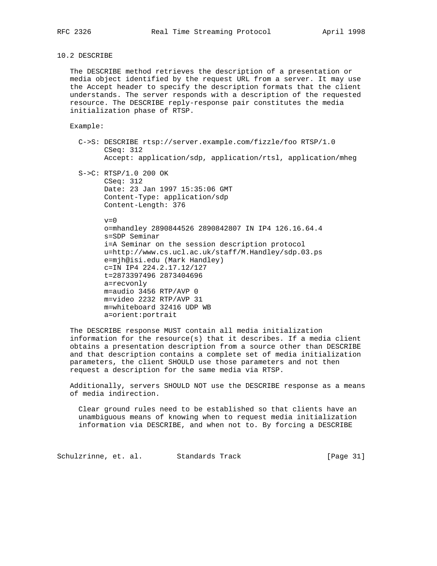# 10.2 DESCRIBE

 The DESCRIBE method retrieves the description of a presentation or media object identified by the request URL from a server. It may use the Accept header to specify the description formats that the client understands. The server responds with a description of the requested resource. The DESCRIBE reply-response pair constitutes the media initialization phase of RTSP.

### Example:

 C->S: DESCRIBE rtsp://server.example.com/fizzle/foo RTSP/1.0 CSeq: 312 Accept: application/sdp, application/rtsl, application/mheg

S->C: RTSP/1.0 200 OK

 CSeq: 312 Date: 23 Jan 1997 15:35:06 GMT Content-Type: application/sdp Content-Length: 376

#### $v=0$

 o=mhandley 2890844526 2890842807 IN IP4 126.16.64.4 s=SDP Seminar i=A Seminar on the session description protocol u=http://www.cs.ucl.ac.uk/staff/M.Handley/sdp.03.ps e=mjh@isi.edu (Mark Handley) c=IN IP4 224.2.17.12/127 t=2873397496 2873404696 a=recvonly m=audio 3456 RTP/AVP 0 m=video 2232 RTP/AVP 31 m=whiteboard 32416 UDP WB a=orient:portrait

 The DESCRIBE response MUST contain all media initialization information for the resource(s) that it describes. If a media client obtains a presentation description from a source other than DESCRIBE and that description contains a complete set of media initialization parameters, the client SHOULD use those parameters and not then request a description for the same media via RTSP.

 Additionally, servers SHOULD NOT use the DESCRIBE response as a means of media indirection.

 Clear ground rules need to be established so that clients have an unambiguous means of knowing when to request media initialization information via DESCRIBE, and when not to. By forcing a DESCRIBE

Schulzrinne, et. al. Standards Track [Page 31]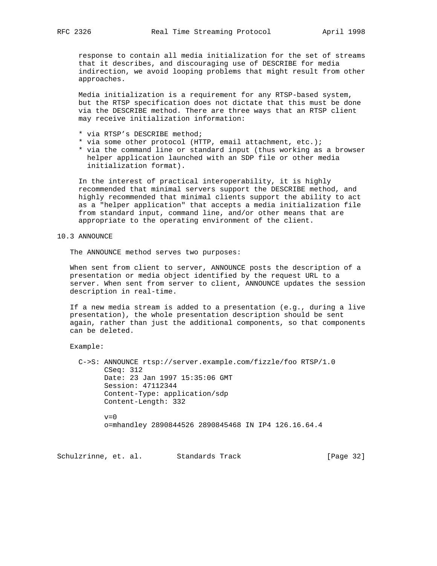response to contain all media initialization for the set of streams that it describes, and discouraging use of DESCRIBE for media indirection, we avoid looping problems that might result from other approaches.

 Media initialization is a requirement for any RTSP-based system, but the RTSP specification does not dictate that this must be done via the DESCRIBE method. There are three ways that an RTSP client may receive initialization information:

- \* via RTSP's DESCRIBE method;
- \* via some other protocol (HTTP, email attachment, etc.);
- \* via the command line or standard input (thus working as a browser helper application launched with an SDP file or other media initialization format).

 In the interest of practical interoperability, it is highly recommended that minimal servers support the DESCRIBE method, and highly recommended that minimal clients support the ability to act as a "helper application" that accepts a media initialization file from standard input, command line, and/or other means that are appropriate to the operating environment of the client.

### 10.3 ANNOUNCE

The ANNOUNCE method serves two purposes:

 When sent from client to server, ANNOUNCE posts the description of a presentation or media object identified by the request URL to a server. When sent from server to client, ANNOUNCE updates the session description in real-time.

 If a new media stream is added to a presentation (e.g., during a live presentation), the whole presentation description should be sent again, rather than just the additional components, so that components can be deleted.

Example:

 C->S: ANNOUNCE rtsp://server.example.com/fizzle/foo RTSP/1.0 CSeq: 312 Date: 23 Jan 1997 15:35:06 GMT Session: 47112344 Content-Type: application/sdp Content-Length: 332  $v=0$ o=mhandley 2890844526 2890845468 IN IP4 126.16.64.4

Schulzrinne, et. al. Standards Track [Page 32]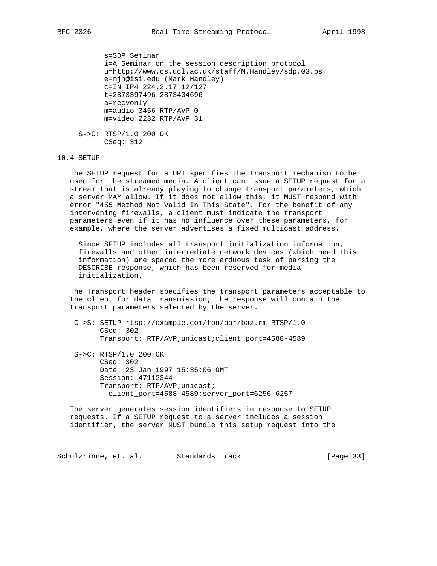s=SDP Seminar i=A Seminar on the session description protocol u=http://www.cs.ucl.ac.uk/staff/M.Handley/sdp.03.ps e=mjh@isi.edu (Mark Handley) c=IN IP4 224.2.17.12/127 t=2873397496 2873404696 a=recvonly m=audio 3456 RTP/AVP 0 m=video 2232 RTP/AVP 31 S->C: RTSP/1.0 200 OK CSeq: 312

10.4 SETUP

 The SETUP request for a URI specifies the transport mechanism to be used for the streamed media. A client can issue a SETUP request for a stream that is already playing to change transport parameters, which a server MAY allow. If it does not allow this, it MUST respond with error "455 Method Not Valid In This State". For the benefit of any intervening firewalls, a client must indicate the transport parameters even if it has no influence over these parameters, for example, where the server advertises a fixed multicast address.

 Since SETUP includes all transport initialization information, firewalls and other intermediate network devices (which need this information) are spared the more arduous task of parsing the DESCRIBE response, which has been reserved for media initialization.

 The Transport header specifies the transport parameters acceptable to the client for data transmission; the response will contain the transport parameters selected by the server.

- C->S: SETUP rtsp://example.com/foo/bar/baz.rm RTSP/1.0 CSeq: 302 Transport: RTP/AVP;unicast;client\_port=4588-4589
- S->C: RTSP/1.0 200 OK CSeq: 302 Date: 23 Jan 1997 15:35:06 GMT Session: 47112344 Transport: RTP/AVP;unicast; client\_port=4588-4589;server\_port=6256-6257

 The server generates session identifiers in response to SETUP requests. If a SETUP request to a server includes a session identifier, the server MUST bundle this setup request into the

Schulzrinne, et. al. Standards Track [Page 33]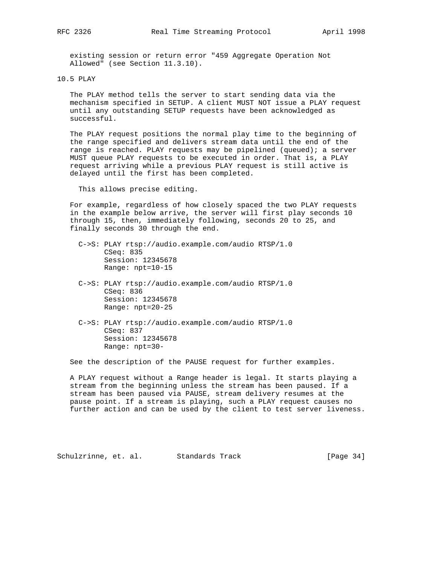existing session or return error "459 Aggregate Operation Not Allowed" (see Section 11.3.10).

### 10.5 PLAY

 The PLAY method tells the server to start sending data via the mechanism specified in SETUP. A client MUST NOT issue a PLAY request until any outstanding SETUP requests have been acknowledged as successful.

 The PLAY request positions the normal play time to the beginning of the range specified and delivers stream data until the end of the range is reached. PLAY requests may be pipelined (queued); a server MUST queue PLAY requests to be executed in order. That is, a PLAY request arriving while a previous PLAY request is still active is delayed until the first has been completed.

This allows precise editing.

 For example, regardless of how closely spaced the two PLAY requests in the example below arrive, the server will first play seconds 10 through 15, then, immediately following, seconds 20 to 25, and finally seconds 30 through the end.

- C->S: PLAY rtsp://audio.example.com/audio RTSP/1.0 CSeq: 835 Session: 12345678 Range: npt=10-15
- C->S: PLAY rtsp://audio.example.com/audio RTSP/1.0 CSeq: 836 Session: 12345678 Range: npt=20-25
- C->S: PLAY rtsp://audio.example.com/audio RTSP/1.0 CSeq: 837 Session: 12345678 Range: npt=30-

See the description of the PAUSE request for further examples.

 A PLAY request without a Range header is legal. It starts playing a stream from the beginning unless the stream has been paused. If a stream has been paused via PAUSE, stream delivery resumes at the pause point. If a stream is playing, such a PLAY request causes no further action and can be used by the client to test server liveness.

Schulzrinne, et. al. Standards Track [Page 34]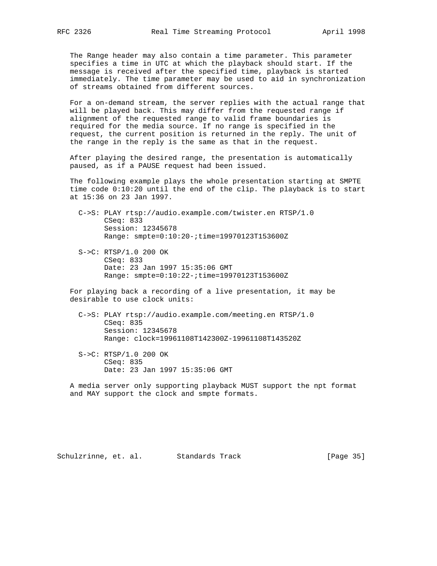The Range header may also contain a time parameter. This parameter specifies a time in UTC at which the playback should start. If the message is received after the specified time, playback is started immediately. The time parameter may be used to aid in synchronization of streams obtained from different sources.

 For a on-demand stream, the server replies with the actual range that will be played back. This may differ from the requested range if alignment of the requested range to valid frame boundaries is required for the media source. If no range is specified in the request, the current position is returned in the reply. The unit of the range in the reply is the same as that in the request.

 After playing the desired range, the presentation is automatically paused, as if a PAUSE request had been issued.

 The following example plays the whole presentation starting at SMPTE time code 0:10:20 until the end of the clip. The playback is to start at 15:36 on 23 Jan 1997.

- C->S: PLAY rtsp://audio.example.com/twister.en RTSP/1.0 CSeq: 833 Session: 12345678 Range: smpte=0:10:20-;time=19970123T153600Z
- S->C: RTSP/1.0 200 OK CSeq: 833 Date: 23 Jan 1997 15:35:06 GMT Range: smpte=0:10:22-;time=19970123T153600Z

 For playing back a recording of a live presentation, it may be desirable to use clock units:

- C->S: PLAY rtsp://audio.example.com/meeting.en RTSP/1.0 CSeq: 835 Session: 12345678 Range: clock=19961108T142300Z-19961108T143520Z
- S->C: RTSP/1.0 200 OK CSeq: 835 Date: 23 Jan 1997 15:35:06 GMT

 A media server only supporting playback MUST support the npt format and MAY support the clock and smpte formats.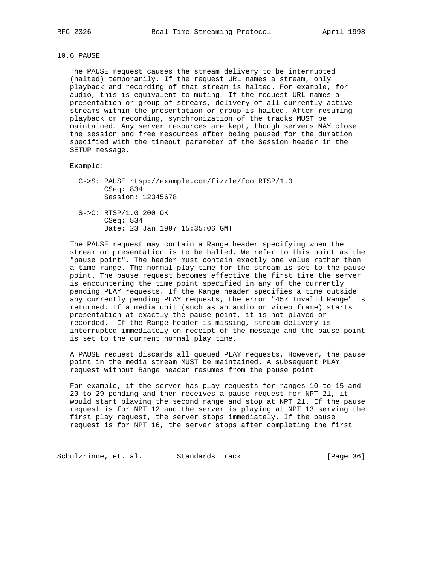# 10.6 PAUSE

 The PAUSE request causes the stream delivery to be interrupted (halted) temporarily. If the request URL names a stream, only playback and recording of that stream is halted. For example, for audio, this is equivalent to muting. If the request URL names a presentation or group of streams, delivery of all currently active streams within the presentation or group is halted. After resuming playback or recording, synchronization of the tracks MUST be maintained. Any server resources are kept, though servers MAY close the session and free resources after being paused for the duration specified with the timeout parameter of the Session header in the SETUP message.

Example:

- C->S: PAUSE rtsp://example.com/fizzle/foo RTSP/1.0 CSeq: 834 Session: 12345678
- S->C: RTSP/1.0 200 OK CSeq: 834 Date: 23 Jan 1997 15:35:06 GMT

 The PAUSE request may contain a Range header specifying when the stream or presentation is to be halted. We refer to this point as the "pause point". The header must contain exactly one value rather than a time range. The normal play time for the stream is set to the pause point. The pause request becomes effective the first time the server is encountering the time point specified in any of the currently pending PLAY requests. If the Range header specifies a time outside any currently pending PLAY requests, the error "457 Invalid Range" is returned. If a media unit (such as an audio or video frame) starts presentation at exactly the pause point, it is not played or recorded. If the Range header is missing, stream delivery is interrupted immediately on receipt of the message and the pause point is set to the current normal play time.

 A PAUSE request discards all queued PLAY requests. However, the pause point in the media stream MUST be maintained. A subsequent PLAY request without Range header resumes from the pause point.

 For example, if the server has play requests for ranges 10 to 15 and 20 to 29 pending and then receives a pause request for NPT 21, it would start playing the second range and stop at NPT 21. If the pause request is for NPT 12 and the server is playing at NPT 13 serving the first play request, the server stops immediately. If the pause request is for NPT 16, the server stops after completing the first

Schulzrinne, et. al. Standards Track (Page 36)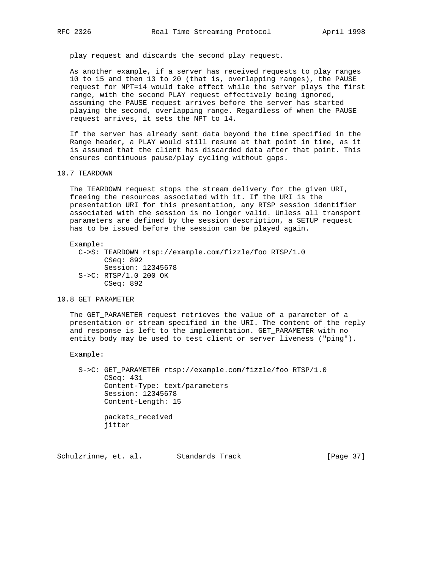play request and discards the second play request.

 As another example, if a server has received requests to play ranges 10 to 15 and then 13 to 20 (that is, overlapping ranges), the PAUSE request for NPT=14 would take effect while the server plays the first range, with the second PLAY request effectively being ignored, assuming the PAUSE request arrives before the server has started playing the second, overlapping range. Regardless of when the PAUSE request arrives, it sets the NPT to 14.

 If the server has already sent data beyond the time specified in the Range header, a PLAY would still resume at that point in time, as it is assumed that the client has discarded data after that point. This ensures continuous pause/play cycling without gaps.

#### 10.7 TEARDOWN

 The TEARDOWN request stops the stream delivery for the given URI, freeing the resources associated with it. If the URI is the presentation URI for this presentation, any RTSP session identifier associated with the session is no longer valid. Unless all transport parameters are defined by the session description, a SETUP request has to be issued before the session can be played again.

#### Example:

 C->S: TEARDOWN rtsp://example.com/fizzle/foo RTSP/1.0 CSeq: 892 Session: 12345678 S->C: RTSP/1.0 200 OK CSeq: 892

10.8 GET\_PARAMETER

 The GET\_PARAMETER request retrieves the value of a parameter of a presentation or stream specified in the URI. The content of the reply and response is left to the implementation. GET\_PARAMETER with no entity body may be used to test client or server liveness ("ping").

Example:

 S->C: GET\_PARAMETER rtsp://example.com/fizzle/foo RTSP/1.0 CSeq: 431 Content-Type: text/parameters Session: 12345678 Content-Length: 15 packets\_received jitter

Schulzrinne, et. al. Standards Track [Page 37]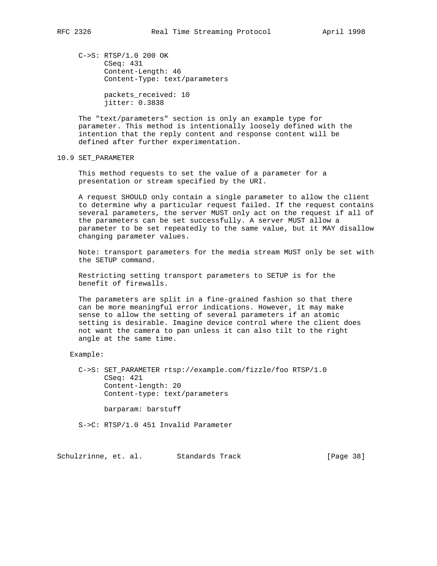C->S: RTSP/1.0 200 OK CSeq: 431 Content-Length: 46 Content-Type: text/parameters

 packets\_received: 10 jitter: 0.3838

 The "text/parameters" section is only an example type for parameter. This method is intentionally loosely defined with the intention that the reply content and response content will be defined after further experimentation.

## 10.9 SET\_PARAMETER

 This method requests to set the value of a parameter for a presentation or stream specified by the URI.

 A request SHOULD only contain a single parameter to allow the client to determine why a particular request failed. If the request contains several parameters, the server MUST only act on the request if all of the parameters can be set successfully. A server MUST allow a parameter to be set repeatedly to the same value, but it MAY disallow changing parameter values.

 Note: transport parameters for the media stream MUST only be set with the SETUP command.

 Restricting setting transport parameters to SETUP is for the benefit of firewalls.

 The parameters are split in a fine-grained fashion so that there can be more meaningful error indications. However, it may make sense to allow the setting of several parameters if an atomic setting is desirable. Imagine device control where the client does not want the camera to pan unless it can also tilt to the right angle at the same time.

Example:

 C->S: SET\_PARAMETER rtsp://example.com/fizzle/foo RTSP/1.0 CSeq: 421 Content-length: 20 Content-type: text/parameters

barparam: barstuff

S->C: RTSP/1.0 451 Invalid Parameter

Schulzrinne, et. al. Standards Track [Page 38]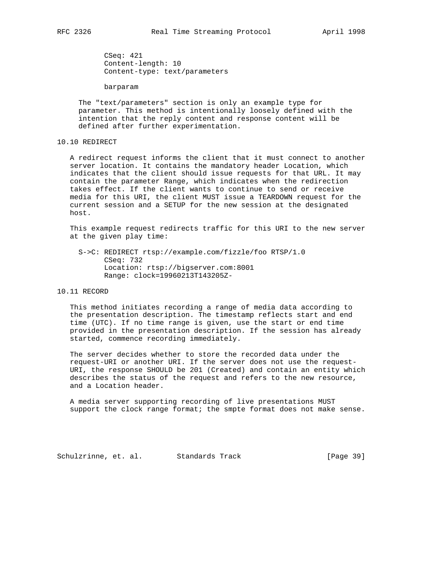CSeq: 421 Content-length: 10 Content-type: text/parameters

barparam

 The "text/parameters" section is only an example type for parameter. This method is intentionally loosely defined with the intention that the reply content and response content will be defined after further experimentation.

## 10.10 REDIRECT

 A redirect request informs the client that it must connect to another server location. It contains the mandatory header Location, which indicates that the client should issue requests for that URL. It may contain the parameter Range, which indicates when the redirection takes effect. If the client wants to continue to send or receive media for this URI, the client MUST issue a TEARDOWN request for the current session and a SETUP for the new session at the designated host.

 This example request redirects traffic for this URI to the new server at the given play time:

 S->C: REDIRECT rtsp://example.com/fizzle/foo RTSP/1.0 CSeq: 732 Location: rtsp://bigserver.com:8001 Range: clock=19960213T143205Z-

## 10.11 RECORD

 This method initiates recording a range of media data according to the presentation description. The timestamp reflects start and end time (UTC). If no time range is given, use the start or end time provided in the presentation description. If the session has already started, commence recording immediately.

 The server decides whether to store the recorded data under the request-URI or another URI. If the server does not use the request- URI, the response SHOULD be 201 (Created) and contain an entity which describes the status of the request and refers to the new resource, and a Location header.

 A media server supporting recording of live presentations MUST support the clock range format; the smpte format does not make sense.

Schulzrinne, et. al. Standards Track [Page 39]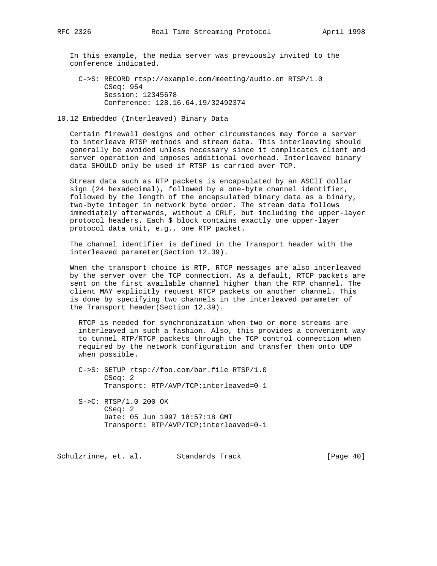In this example, the media server was previously invited to the conference indicated.

- C->S: RECORD rtsp://example.com/meeting/audio.en RTSP/1.0 CSeq: 954 Session: 12345678 Conference: 128.16.64.19/32492374
- 10.12 Embedded (Interleaved) Binary Data

 Certain firewall designs and other circumstances may force a server to interleave RTSP methods and stream data. This interleaving should generally be avoided unless necessary since it complicates client and server operation and imposes additional overhead. Interleaved binary data SHOULD only be used if RTSP is carried over TCP.

 Stream data such as RTP packets is encapsulated by an ASCII dollar sign (24 hexadecimal), followed by a one-byte channel identifier, followed by the length of the encapsulated binary data as a binary, two-byte integer in network byte order. The stream data follows immediately afterwards, without a CRLF, but including the upper-layer protocol headers. Each \$ block contains exactly one upper-layer protocol data unit, e.g., one RTP packet.

 The channel identifier is defined in the Transport header with the interleaved parameter(Section 12.39).

 When the transport choice is RTP, RTCP messages are also interleaved by the server over the TCP connection. As a default, RTCP packets are sent on the first available channel higher than the RTP channel. The client MAY explicitly request RTCP packets on another channel. This is done by specifying two channels in the interleaved parameter of the Transport header(Section 12.39).

 RTCP is needed for synchronization when two or more streams are interleaved in such a fashion. Also, this provides a convenient way to tunnel RTP/RTCP packets through the TCP control connection when required by the network configuration and transfer them onto UDP when possible.

 C->S: SETUP rtsp://foo.com/bar.file RTSP/1.0 CSeq: 2 Transport: RTP/AVP/TCP;interleaved=0-1

 S->C: RTSP/1.0 200 OK CSeq: 2 Date: 05 Jun 1997 18:57:18 GMT Transport: RTP/AVP/TCP;interleaved=0-1

Schulzrinne, et. al. Standards Track [Page 40]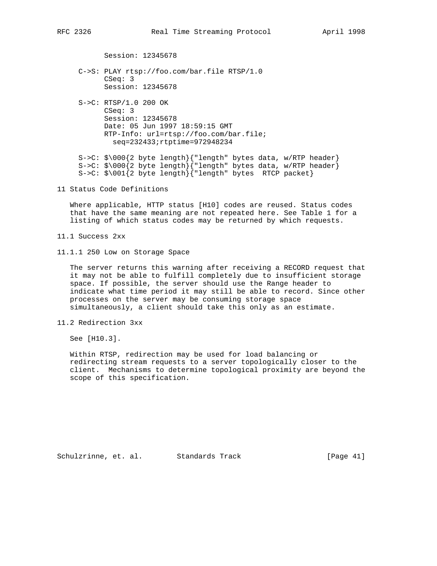Session: 12345678

 C->S: PLAY rtsp://foo.com/bar.file RTSP/1.0 CSeq: 3 Session: 12345678 S->C: RTSP/1.0 200 OK CSeq: 3 Session: 12345678 Date: 05 Jun 1997 18:59:15 GMT RTP-Info: url=rtsp://foo.com/bar.file; seq=232433;rtptime=972948234

 S->C: \$\000{2 byte length}{"length" bytes data, w/RTP header} S->C: \$\000{2 byte length}{"length" bytes data, w/RTP header} S->C:  $\sqrt{001}$  byte length  $\frac{1}{2}$  length" bytes RTCP packet }

11 Status Code Definitions

 Where applicable, HTTP status [H10] codes are reused. Status codes that have the same meaning are not repeated here. See Table 1 for a listing of which status codes may be returned by which requests.

- 11.1 Success 2xx
- 11.1.1 250 Low on Storage Space

 The server returns this warning after receiving a RECORD request that it may not be able to fulfill completely due to insufficient storage space. If possible, the server should use the Range header to indicate what time period it may still be able to record. Since other processes on the server may be consuming storage space simultaneously, a client should take this only as an estimate.

11.2 Redirection 3xx

See [H10.3].

 Within RTSP, redirection may be used for load balancing or redirecting stream requests to a server topologically closer to the client. Mechanisms to determine topological proximity are beyond the scope of this specification.

Schulzrinne, et. al. Standards Track [Page 41]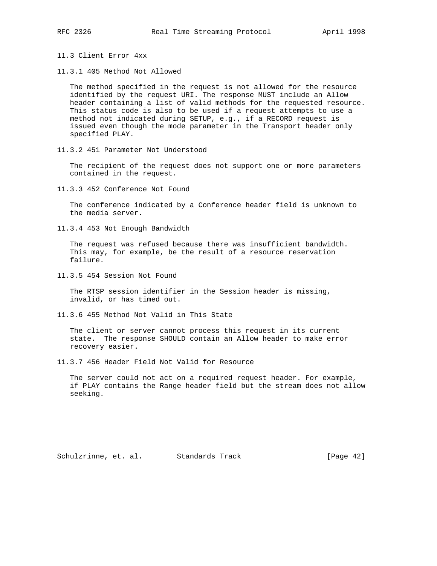11.3 Client Error 4xx

11.3.1 405 Method Not Allowed

 The method specified in the request is not allowed for the resource identified by the request URI. The response MUST include an Allow header containing a list of valid methods for the requested resource. This status code is also to be used if a request attempts to use a method not indicated during SETUP, e.g., if a RECORD request is issued even though the mode parameter in the Transport header only specified PLAY.

11.3.2 451 Parameter Not Understood

 The recipient of the request does not support one or more parameters contained in the request.

11.3.3 452 Conference Not Found

 The conference indicated by a Conference header field is unknown to the media server.

11.3.4 453 Not Enough Bandwidth

 The request was refused because there was insufficient bandwidth. This may, for example, be the result of a resource reservation failure.

11.3.5 454 Session Not Found

 The RTSP session identifier in the Session header is missing, invalid, or has timed out.

11.3.6 455 Method Not Valid in This State

 The client or server cannot process this request in its current state. The response SHOULD contain an Allow header to make error recovery easier.

11.3.7 456 Header Field Not Valid for Resource

 The server could not act on a required request header. For example, if PLAY contains the Range header field but the stream does not allow seeking.

Schulzrinne, et. al. Standards Track [Page 42]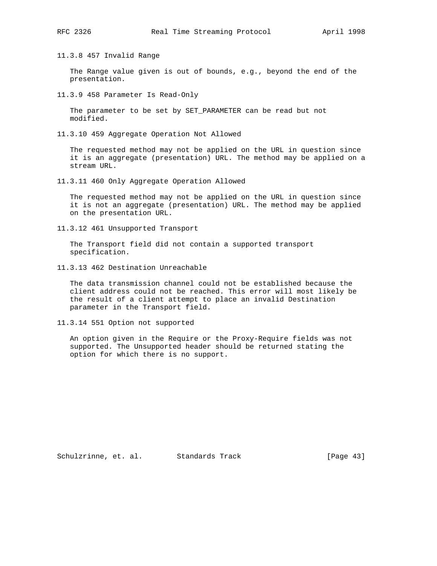11.3.8 457 Invalid Range

 The Range value given is out of bounds, e.g., beyond the end of the presentation.

11.3.9 458 Parameter Is Read-Only

 The parameter to be set by SET\_PARAMETER can be read but not modified.

11.3.10 459 Aggregate Operation Not Allowed

 The requested method may not be applied on the URL in question since it is an aggregate (presentation) URL. The method may be applied on a stream URL.

11.3.11 460 Only Aggregate Operation Allowed

 The requested method may not be applied on the URL in question since it is not an aggregate (presentation) URL. The method may be applied on the presentation URL.

11.3.12 461 Unsupported Transport

 The Transport field did not contain a supported transport specification.

11.3.13 462 Destination Unreachable

 The data transmission channel could not be established because the client address could not be reached. This error will most likely be the result of a client attempt to place an invalid Destination parameter in the Transport field.

11.3.14 551 Option not supported

 An option given in the Require or the Proxy-Require fields was not supported. The Unsupported header should be returned stating the option for which there is no support.

Schulzrinne, et. al. Standards Track [Page 43]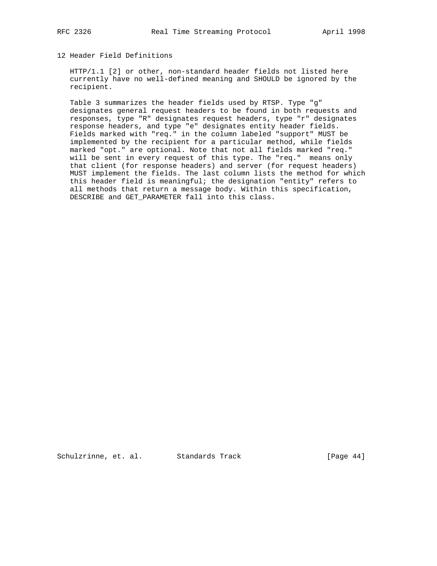### 12 Header Field Definitions

 HTTP/1.1 [2] or other, non-standard header fields not listed here currently have no well-defined meaning and SHOULD be ignored by the recipient.

 Table 3 summarizes the header fields used by RTSP. Type "g" designates general request headers to be found in both requests and responses, type "R" designates request headers, type "r" designates response headers, and type "e" designates entity header fields. Fields marked with "req." in the column labeled "support" MUST be implemented by the recipient for a particular method, while fields marked "opt." are optional. Note that not all fields marked "req." will be sent in every request of this type. The "req." means only that client (for response headers) and server (for request headers) MUST implement the fields. The last column lists the method for which this header field is meaningful; the designation "entity" refers to all methods that return a message body. Within this specification, DESCRIBE and GET\_PARAMETER fall into this class.

Schulzrinne, et. al. Standards Track [Page 44]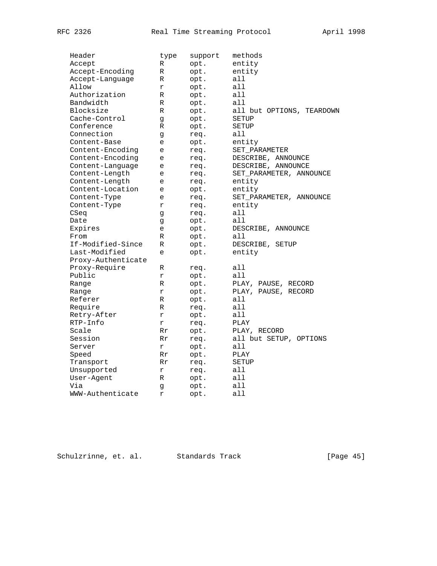| Header             | type        | support | methods                   |
|--------------------|-------------|---------|---------------------------|
| Accept             | R           | opt.    | entity                    |
| Accept-Encoding    | R           | opt.    | entity                    |
| Accept-Language    | R           | opt.    | all                       |
| Allow              | $\Upsilon$  | opt.    | all                       |
| Authorization      | R           | opt.    | all                       |
| Bandwidth          | R           | opt.    | all                       |
| Blocksize          | R           | opt.    | all but OPTIONS, TEARDOWN |
| Cache-Control      | g           | opt.    | SETUP                     |
| Conference         | R           | opt.    | SETUP                     |
| Connection         | đ           | req.    | all                       |
| Content-Base       | e           | opt.    | entity                    |
| Content-Encoding   | e           | req.    | SET_PARAMETER             |
| Content-Encoding   | e           | req.    | DESCRIBE, ANNOUNCE        |
| Content-Language   | e           | req.    | DESCRIBE, ANNOUNCE        |
| Content-Length     | e           | req.    | SET PARAMETER, ANNOUNCE   |
| Content-Length     | e           | req.    | entity                    |
| Content-Location   | e           | opt.    | entity                    |
| Content-Type       | e           | req.    | SET PARAMETER, ANNOUNCE   |
| Content-Type       | r           | req.    | entity                    |
| CSeq               | đ           | req.    | all                       |
| Date               | g           | opt.    | all                       |
| Expires            | e           | opt.    | DESCRIBE, ANNOUNCE        |
| From               | R           | opt.    | all                       |
| If-Modified-Since  | R           | opt.    | DESCRIBE, SETUP           |
| Last-Modified      | e           | opt.    | entity                    |
| Proxy-Authenticate |             |         |                           |
| Proxy-Require      | R           | req.    | all                       |
| Public             | r           | opt.    | a11                       |
| Range              | R           | opt.    | PLAY, PAUSE, RECORD       |
| Range              | $\Upsilon$  | opt.    | PLAY, PAUSE, RECORD       |
| Referer            | R           | opt.    | all                       |
| Require            | R           | req.    | all                       |
| Retry-After        | r           | opt.    | a11                       |
| RTP-Info           | r           | req.    | PLAY                      |
| Scale              | Rr          | opt.    | PLAY, RECORD              |
| Session            | Rr          | req.    | all but SETUP, OPTIONS    |
| Server             | r           | opt.    | all                       |
| Speed              | Rr          | opt.    | PLAY                      |
| Transport          | Rr          | req.    | SETUP                     |
| Unsupported        | r           | req.    | all                       |
| User-Agent         | R           | opt.    | a11                       |
| Via                | đ           | opt.    | a11                       |
| WWW-Authenticate   | $\mathbf r$ | opt.    | a11                       |

Schulzrinne, et. al. Standards Track [Page 45]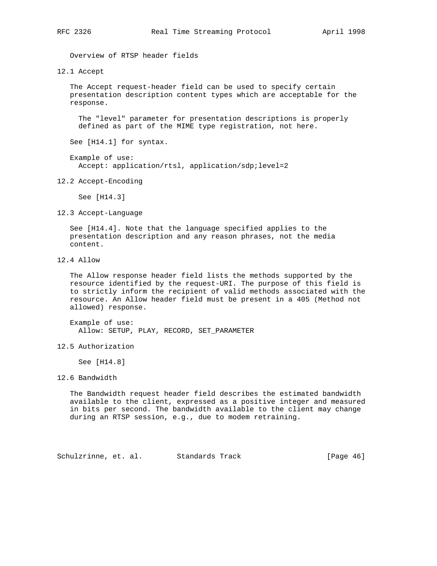Overview of RTSP header fields

12.1 Accept

 The Accept request-header field can be used to specify certain presentation description content types which are acceptable for the response.

 The "level" parameter for presentation descriptions is properly defined as part of the MIME type registration, not here.

See [H14.1] for syntax.

```
 Example of use:
   Accept: application/rtsl, application/sdp;level=2
```
12.2 Accept-Encoding

See [H14.3]

12.3 Accept-Language

 See [H14.4]. Note that the language specified applies to the presentation description and any reason phrases, not the media content.

12.4 Allow

 The Allow response header field lists the methods supported by the resource identified by the request-URI. The purpose of this field is to strictly inform the recipient of valid methods associated with the resource. An Allow header field must be present in a 405 (Method not allowed) response.

 Example of use: Allow: SETUP, PLAY, RECORD, SET\_PARAMETER

12.5 Authorization

See [H14.8]

12.6 Bandwidth

 The Bandwidth request header field describes the estimated bandwidth available to the client, expressed as a positive integer and measured in bits per second. The bandwidth available to the client may change during an RTSP session, e.g., due to modem retraining.

Schulzrinne, et. al. Standards Track [Page 46]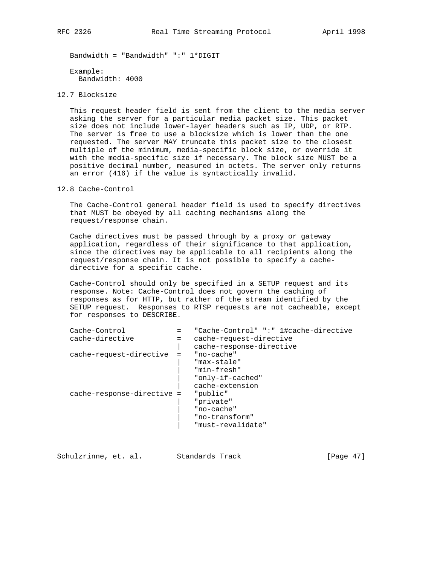Bandwidth = "Bandwidth" ":" 1\*DIGIT

 Example: Bandwidth: 4000

12.7 Blocksize

 This request header field is sent from the client to the media server asking the server for a particular media packet size. This packet size does not include lower-layer headers such as IP, UDP, or RTP. The server is free to use a blocksize which is lower than the one requested. The server MAY truncate this packet size to the closest multiple of the minimum, media-specific block size, or override it with the media-specific size if necessary. The block size MUST be a positive decimal number, measured in octets. The server only returns an error (416) if the value is syntactically invalid.

12.8 Cache-Control

 The Cache-Control general header field is used to specify directives that MUST be obeyed by all caching mechanisms along the request/response chain.

 Cache directives must be passed through by a proxy or gateway application, regardless of their significance to that application, since the directives may be applicable to all recipients along the request/response chain. It is not possible to specify a cache directive for a specific cache.

 Cache-Control should only be specified in a SETUP request and its response. Note: Cache-Control does not govern the caching of responses as for HTTP, but rather of the stream identified by the SETUP request. Responses to RTSP requests are not cacheable, except for responses to DESCRIBE.

| Cache-Control              |     | "Cache-Control" ":" 1#cache-directive |
|----------------------------|-----|---------------------------------------|
| cache-directive            | $=$ | cache-request-directive               |
|                            |     | cache-response-directive              |
| cache-request-directive    |     | "no-cache"                            |
|                            |     | "max-stale"                           |
|                            |     | "min-fresh"                           |
|                            |     | "only-if-cached"                      |
|                            |     | cache-extension                       |
| cache-response-directive = |     | "public"                              |
|                            |     | "private"                             |
|                            |     | "no-cache"                            |
|                            |     | "no-transform"                        |
|                            |     | "must-revalidate"                     |
|                            |     |                                       |

| Schulzrinne, et. al. | Standards Track | [Page 47] |
|----------------------|-----------------|-----------|
|----------------------|-----------------|-----------|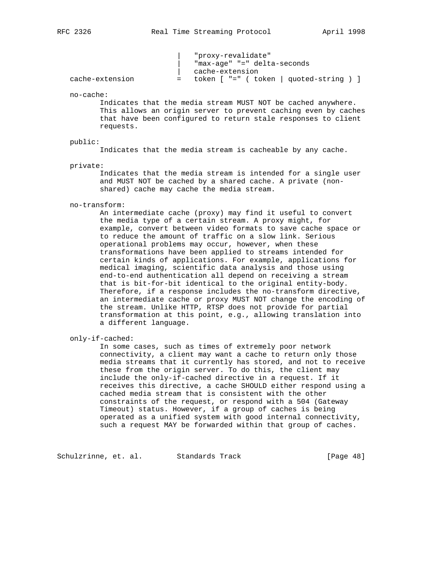|                 | "proxy-revalidate"                              |
|-----------------|-------------------------------------------------|
|                 | "max-age" "=" delta-seconds                     |
|                 | cache-extension                                 |
| cache-extension | token $[$ "=" $($ token $ $ quoted-string $)$ ] |

no-cache:

 Indicates that the media stream MUST NOT be cached anywhere. This allows an origin server to prevent caching even by caches that have been configured to return stale responses to client requests.

#### public:

Indicates that the media stream is cacheable by any cache.

private:

 Indicates that the media stream is intended for a single user and MUST NOT be cached by a shared cache. A private (non shared) cache may cache the media stream.

#### no-transform:

 An intermediate cache (proxy) may find it useful to convert the media type of a certain stream. A proxy might, for example, convert between video formats to save cache space or to reduce the amount of traffic on a slow link. Serious operational problems may occur, however, when these transformations have been applied to streams intended for certain kinds of applications. For example, applications for medical imaging, scientific data analysis and those using end-to-end authentication all depend on receiving a stream that is bit-for-bit identical to the original entity-body. Therefore, if a response includes the no-transform directive, an intermediate cache or proxy MUST NOT change the encoding of the stream. Unlike HTTP, RTSP does not provide for partial transformation at this point, e.g., allowing translation into a different language.

only-if-cached:

 In some cases, such as times of extremely poor network connectivity, a client may want a cache to return only those media streams that it currently has stored, and not to receive these from the origin server. To do this, the client may include the only-if-cached directive in a request. If it receives this directive, a cache SHOULD either respond using a cached media stream that is consistent with the other constraints of the request, or respond with a 504 (Gateway Timeout) status. However, if a group of caches is being operated as a unified system with good internal connectivity, such a request MAY be forwarded within that group of caches.

Schulzrinne, et. al. Standards Track (Page 48)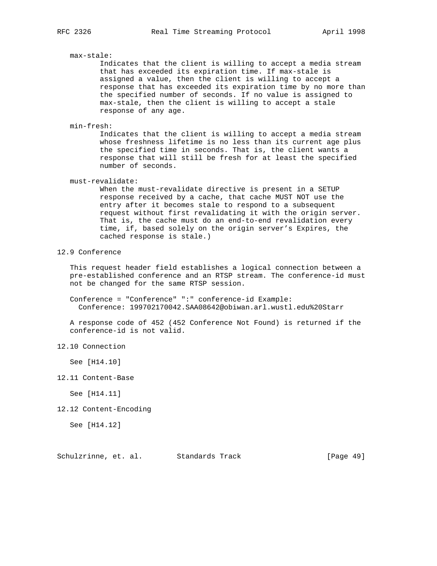## max-stale:

 Indicates that the client is willing to accept a media stream that has exceeded its expiration time. If max-stale is assigned a value, then the client is willing to accept a response that has exceeded its expiration time by no more than the specified number of seconds. If no value is assigned to max-stale, then the client is willing to accept a stale response of any age.

```
 min-fresh:
```
 Indicates that the client is willing to accept a media stream whose freshness lifetime is no less than its current age plus the specified time in seconds. That is, the client wants a response that will still be fresh for at least the specified number of seconds.

#### must-revalidate:

 When the must-revalidate directive is present in a SETUP response received by a cache, that cache MUST NOT use the entry after it becomes stale to respond to a subsequent request without first revalidating it with the origin server. That is, the cache must do an end-to-end revalidation every time, if, based solely on the origin server's Expires, the cached response is stale.)

# 12.9 Conference

 This request header field establishes a logical connection between a pre-established conference and an RTSP stream. The conference-id must not be changed for the same RTSP session.

 Conference = "Conference" ":" conference-id Example: Conference: 199702170042.SAA08642@obiwan.arl.wustl.edu%20Starr

 A response code of 452 (452 Conference Not Found) is returned if the conference-id is not valid.

# 12.10 Connection

See [H14.10]

12.11 Content-Base

See [H14.11]

12.12 Content-Encoding

See [H14.12]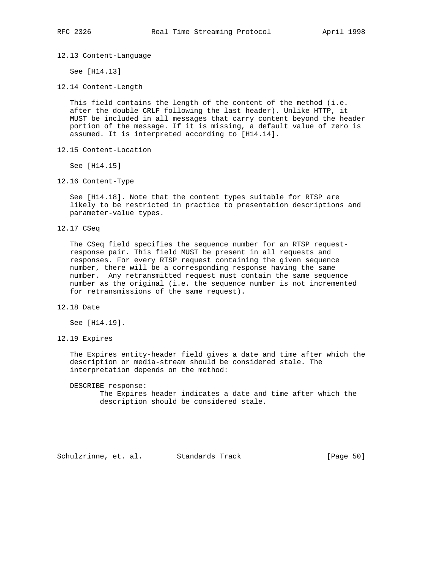12.13 Content-Language

See [H14.13]

12.14 Content-Length

 This field contains the length of the content of the method (i.e. after the double CRLF following the last header). Unlike HTTP, it MUST be included in all messages that carry content beyond the header portion of the message. If it is missing, a default value of zero is assumed. It is interpreted according to [H14.14].

12.15 Content-Location

See [H14.15]

12.16 Content-Type

 See [H14.18]. Note that the content types suitable for RTSP are likely to be restricted in practice to presentation descriptions and parameter-value types.

12.17 CSeq

 The CSeq field specifies the sequence number for an RTSP request response pair. This field MUST be present in all requests and responses. For every RTSP request containing the given sequence number, there will be a corresponding response having the same number. Any retransmitted request must contain the same sequence number as the original (i.e. the sequence number is not incremented for retransmissions of the same request).

12.18 Date

See [H14.19].

12.19 Expires

 The Expires entity-header field gives a date and time after which the description or media-stream should be considered stale. The interpretation depends on the method:

DESCRIBE response:

 The Expires header indicates a date and time after which the description should be considered stale.

Schulzrinne, et. al. Standards Track [Page 50]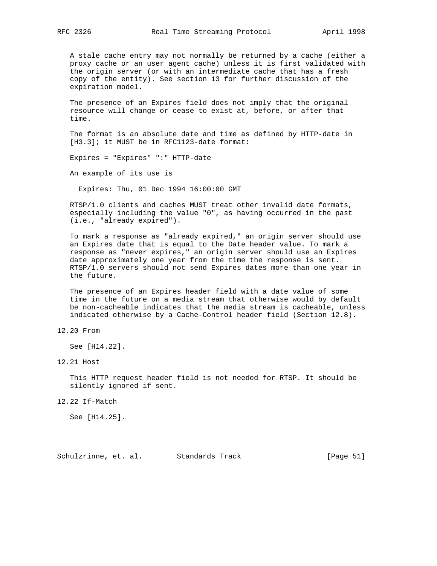A stale cache entry may not normally be returned by a cache (either a proxy cache or an user agent cache) unless it is first validated with the origin server (or with an intermediate cache that has a fresh copy of the entity). See section 13 for further discussion of the expiration model.

 The presence of an Expires field does not imply that the original resource will change or cease to exist at, before, or after that time.

 The format is an absolute date and time as defined by HTTP-date in [H3.3]; it MUST be in RFC1123-date format:

Expires = "Expires" ":" HTTP-date

An example of its use is

Expires: Thu, 01 Dec 1994 16:00:00 GMT

 RTSP/1.0 clients and caches MUST treat other invalid date formats, especially including the value "0", as having occurred in the past (i.e., "already expired").

 To mark a response as "already expired," an origin server should use an Expires date that is equal to the Date header value. To mark a response as "never expires," an origin server should use an Expires date approximately one year from the time the response is sent. RTSP/1.0 servers should not send Expires dates more than one year in the future.

 The presence of an Expires header field with a date value of some time in the future on a media stream that otherwise would by default be non-cacheable indicates that the media stream is cacheable, unless indicated otherwise by a Cache-Control header field (Section 12.8).

```
12.20 From
```
See [H14.22].

12.21 Host

 This HTTP request header field is not needed for RTSP. It should be silently ignored if sent.

12.22 If-Match

See [H14.25].

Schulzrinne, et. al. Standards Track [Page 51]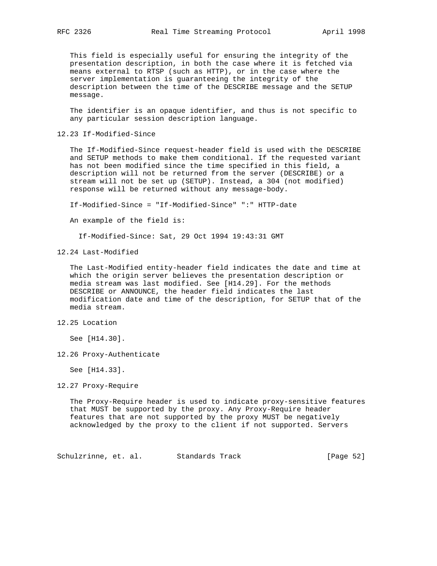This field is especially useful for ensuring the integrity of the presentation description, in both the case where it is fetched via means external to RTSP (such as HTTP), or in the case where the server implementation is guaranteeing the integrity of the description between the time of the DESCRIBE message and the SETUP message.

 The identifier is an opaque identifier, and thus is not specific to any particular session description language.

12.23 If-Modified-Since

 The If-Modified-Since request-header field is used with the DESCRIBE and SETUP methods to make them conditional. If the requested variant has not been modified since the time specified in this field, a description will not be returned from the server (DESCRIBE) or a stream will not be set up (SETUP). Instead, a 304 (not modified) response will be returned without any message-body.

If-Modified-Since = "If-Modified-Since" ":" HTTP-date

An example of the field is:

If-Modified-Since: Sat, 29 Oct 1994 19:43:31 GMT

12.24 Last-Modified

 The Last-Modified entity-header field indicates the date and time at which the origin server believes the presentation description or media stream was last modified. See [H14.29]. For the methods DESCRIBE or ANNOUNCE, the header field indicates the last modification date and time of the description, for SETUP that of the media stream.

12.25 Location

See [H14.30].

12.26 Proxy-Authenticate

See [H14.33].

12.27 Proxy-Require

 The Proxy-Require header is used to indicate proxy-sensitive features that MUST be supported by the proxy. Any Proxy-Require header features that are not supported by the proxy MUST be negatively acknowledged by the proxy to the client if not supported. Servers

Schulzrinne, et. al. Standards Track [Page 52]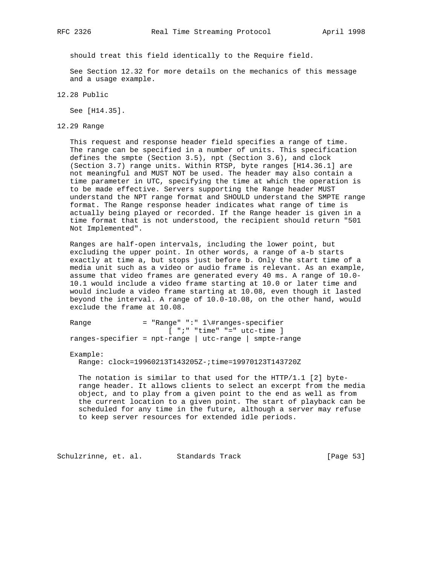should treat this field identically to the Require field.

 See Section 12.32 for more details on the mechanics of this message and a usage example.

### 12.28 Public

See [H14.35].

## 12.29 Range

 This request and response header field specifies a range of time. The range can be specified in a number of units. This specification defines the smpte (Section 3.5), npt (Section 3.6), and clock (Section 3.7) range units. Within RTSP, byte ranges [H14.36.1] are not meaningful and MUST NOT be used. The header may also contain a time parameter in UTC, specifying the time at which the operation is to be made effective. Servers supporting the Range header MUST understand the NPT range format and SHOULD understand the SMPTE range format. The Range response header indicates what range of time is actually being played or recorded. If the Range header is given in a time format that is not understood, the recipient should return "501 Not Implemented".

 Ranges are half-open intervals, including the lower point, but excluding the upper point. In other words, a range of a-b starts exactly at time a, but stops just before b. Only the start time of a media unit such as a video or audio frame is relevant. As an example, assume that video frames are generated every 40 ms. A range of 10.0- 10.1 would include a video frame starting at 10.0 or later time and would include a video frame starting at 10.08, even though it lasted beyond the interval. A range of 10.0-10.08, on the other hand, would exclude the frame at 10.08.

Range  $=$  "Range" ":" 1\#ranges-specifier  $[$  ";" "time" "=" utc-time  $]$ ranges-specifier = npt-range | utc-range | smpte-range

#### Example:

Range: clock=19960213T143205Z-;time=19970123T143720Z

The notation is similar to that used for the  $HTTP/1.1$  [2] byte range header. It allows clients to select an excerpt from the media object, and to play from a given point to the end as well as from the current location to a given point. The start of playback can be scheduled for any time in the future, although a server may refuse to keep server resources for extended idle periods.

Schulzrinne, et. al. Standards Track [Page 53]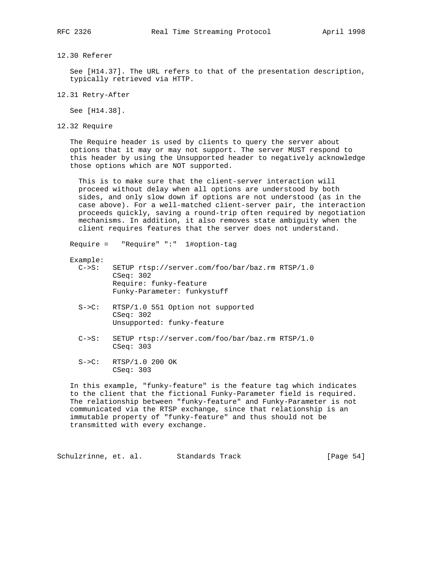## 12.30 Referer

 See [H14.37]. The URL refers to that of the presentation description, typically retrieved via HTTP.

12.31 Retry-After

See [H14.38].

12.32 Require

 The Require header is used by clients to query the server about options that it may or may not support. The server MUST respond to this header by using the Unsupported header to negatively acknowledge those options which are NOT supported.

 This is to make sure that the client-server interaction will proceed without delay when all options are understood by both sides, and only slow down if options are not understood (as in the case above). For a well-matched client-server pair, the interaction proceeds quickly, saving a round-trip often required by negotiation mechanisms. In addition, it also removes state ambiguity when the client requires features that the server does not understand.

Require = "Require" ":" 1#option-tag

Example:

 C->S: SETUP rtsp://server.com/foo/bar/baz.rm RTSP/1.0 CSeq: 302 Require: funky-feature Funky-Parameter: funkystuff

- S->C: RTSP/1.0 551 Option not supported CSeq: 302 Unsupported: funky-feature
- C->S: SETUP rtsp://server.com/foo/bar/baz.rm RTSP/1.0 CSeq: 303
- S->C: RTSP/1.0 200 OK CSeq: 303

 In this example, "funky-feature" is the feature tag which indicates to the client that the fictional Funky-Parameter field is required. The relationship between "funky-feature" and Funky-Parameter is not communicated via the RTSP exchange, since that relationship is an immutable property of "funky-feature" and thus should not be transmitted with every exchange.

Schulzrinne, et. al. Standards Track [Page 54]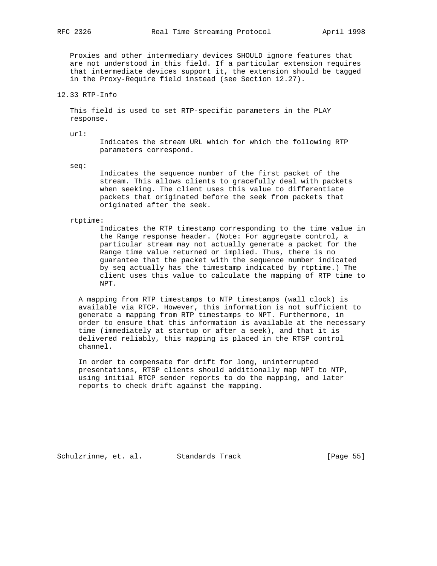Proxies and other intermediary devices SHOULD ignore features that are not understood in this field. If a particular extension requires that intermediate devices support it, the extension should be tagged in the Proxy-Require field instead (see Section 12.27).

12.33 RTP-Info

 This field is used to set RTP-specific parameters in the PLAY response.

url:

 Indicates the stream URL which for which the following RTP parameters correspond.

seq:

 Indicates the sequence number of the first packet of the stream. This allows clients to gracefully deal with packets when seeking. The client uses this value to differentiate packets that originated before the seek from packets that originated after the seek.

rtptime:

 Indicates the RTP timestamp corresponding to the time value in the Range response header. (Note: For aggregate control, a particular stream may not actually generate a packet for the Range time value returned or implied. Thus, there is no guarantee that the packet with the sequence number indicated by seq actually has the timestamp indicated by rtptime.) The client uses this value to calculate the mapping of RTP time to NPT.

 A mapping from RTP timestamps to NTP timestamps (wall clock) is available via RTCP. However, this information is not sufficient to generate a mapping from RTP timestamps to NPT. Furthermore, in order to ensure that this information is available at the necessary time (immediately at startup or after a seek), and that it is delivered reliably, this mapping is placed in the RTSP control channel.

 In order to compensate for drift for long, uninterrupted presentations, RTSP clients should additionally map NPT to NTP, using initial RTCP sender reports to do the mapping, and later reports to check drift against the mapping.

Schulzrinne, et. al. Standards Track [Page 55]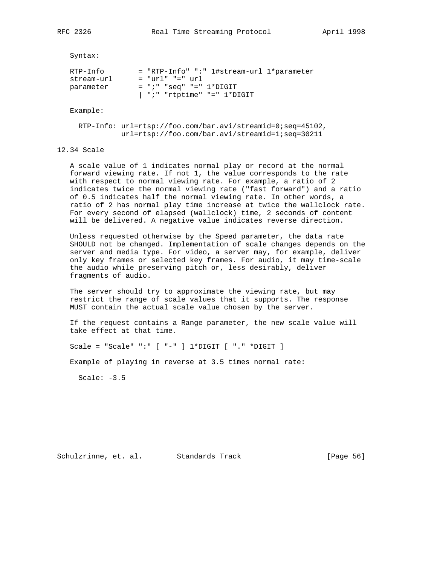Syntax:

| RTP-Info   | = "RTP-Info" ":" l#stream-url 1*parameter |
|------------|-------------------------------------------|
| stream-url | = "url" "=" url                           |
| parameter  |                                           |
|            | $\vert$ ";" "rtptime" "=" $1*$ DIGIT      |

Example:

 RTP-Info: url=rtsp://foo.com/bar.avi/streamid=0;seq=45102, url=rtsp://foo.com/bar.avi/streamid=1;seq=30211

# 12.34 Scale

 A scale value of 1 indicates normal play or record at the normal forward viewing rate. If not 1, the value corresponds to the rate with respect to normal viewing rate. For example, a ratio of 2 indicates twice the normal viewing rate ("fast forward") and a ratio of 0.5 indicates half the normal viewing rate. In other words, a ratio of 2 has normal play time increase at twice the wallclock rate. For every second of elapsed (wallclock) time, 2 seconds of content will be delivered. A negative value indicates reverse direction.

 Unless requested otherwise by the Speed parameter, the data rate SHOULD not be changed. Implementation of scale changes depends on the server and media type. For video, a server may, for example, deliver only key frames or selected key frames. For audio, it may time-scale the audio while preserving pitch or, less desirably, deliver fragments of audio.

 The server should try to approximate the viewing rate, but may restrict the range of scale values that it supports. The response MUST contain the actual scale value chosen by the server.

 If the request contains a Range parameter, the new scale value will take effect at that time.

Scale = "Scale" ":" [ "-" ] 1\*DIGIT [ "." \*DIGIT ]

Example of playing in reverse at 3.5 times normal rate:

Scale: -3.5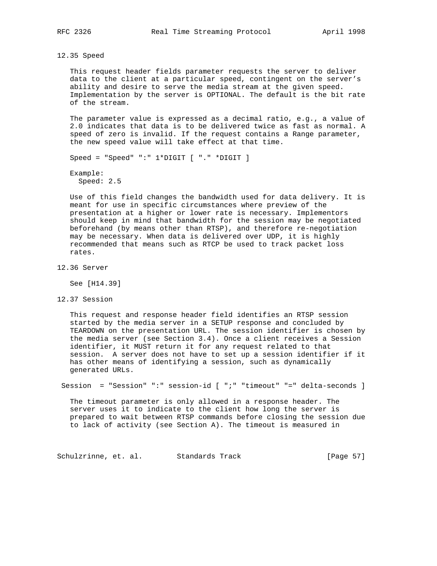12.35 Speed

 This request header fields parameter requests the server to deliver data to the client at a particular speed, contingent on the server's ability and desire to serve the media stream at the given speed. Implementation by the server is OPTIONAL. The default is the bit rate of the stream.

 The parameter value is expressed as a decimal ratio, e.g., a value of 2.0 indicates that data is to be delivered twice as fast as normal. A speed of zero is invalid. If the request contains a Range parameter, the new speed value will take effect at that time.

 Speed = "Speed" ":" 1\*DIGIT [ "." \*DIGIT ] Example:

Speed: 2.5

 Use of this field changes the bandwidth used for data delivery. It is meant for use in specific circumstances where preview of the presentation at a higher or lower rate is necessary. Implementors should keep in mind that bandwidth for the session may be negotiated beforehand (by means other than RTSP), and therefore re-negotiation may be necessary. When data is delivered over UDP, it is highly recommended that means such as RTCP be used to track packet loss rates.

12.36 Server

See [H14.39]

12.37 Session

 This request and response header field identifies an RTSP session started by the media server in a SETUP response and concluded by TEARDOWN on the presentation URL. The session identifier is chosen by the media server (see Section 3.4). Once a client receives a Session identifier, it MUST return it for any request related to that session. A server does not have to set up a session identifier if it has other means of identifying a session, such as dynamically generated URLs.

Session = "Session" ":" session-id [ ";" "timeout" "=" delta-seconds ]

 The timeout parameter is only allowed in a response header. The server uses it to indicate to the client how long the server is prepared to wait between RTSP commands before closing the session due to lack of activity (see Section A). The timeout is measured in

Schulzrinne, et. al. Standards Track [Page 57]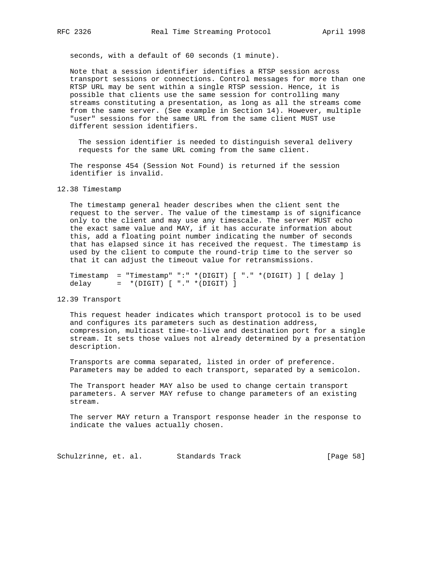seconds, with a default of 60 seconds (1 minute).

 Note that a session identifier identifies a RTSP session across transport sessions or connections. Control messages for more than one RTSP URL may be sent within a single RTSP session. Hence, it is possible that clients use the same session for controlling many streams constituting a presentation, as long as all the streams come from the same server. (See example in Section 14). However, multiple "user" sessions for the same URL from the same client MUST use different session identifiers.

 The session identifier is needed to distinguish several delivery requests for the same URL coming from the same client.

 The response 454 (Session Not Found) is returned if the session identifier is invalid.

### 12.38 Timestamp

 The timestamp general header describes when the client sent the request to the server. The value of the timestamp is of significance only to the client and may use any timescale. The server MUST echo the exact same value and MAY, if it has accurate information about this, add a floating point number indicating the number of seconds that has elapsed since it has received the request. The timestamp is used by the client to compute the round-trip time to the server so that it can adjust the timeout value for retransmissions.

 Timestamp = "Timestamp" ":" \*(DIGIT) [ "." \*(DIGIT) ] [ delay ] delay =  $*(\text{DIST})$  [ "."  $*(\text{DIST})$  ]

12.39 Transport

 This request header indicates which transport protocol is to be used and configures its parameters such as destination address, compression, multicast time-to-live and destination port for a single stream. It sets those values not already determined by a presentation description.

 Transports are comma separated, listed in order of preference. Parameters may be added to each transport, separated by a semicolon.

 The Transport header MAY also be used to change certain transport parameters. A server MAY refuse to change parameters of an existing stream.

 The server MAY return a Transport response header in the response to indicate the values actually chosen.

Schulzrinne, et. al. Standards Track [Page 58]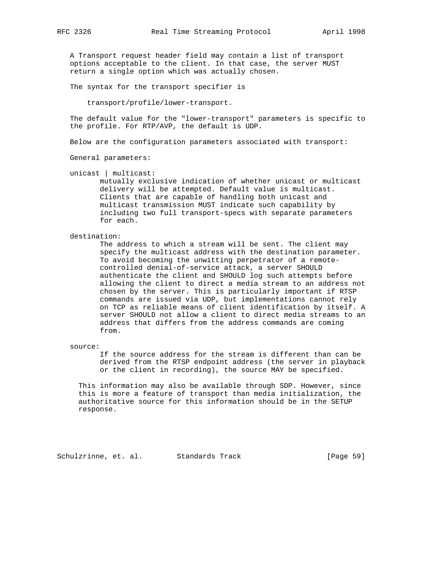A Transport request header field may contain a list of transport options acceptable to the client. In that case, the server MUST return a single option which was actually chosen.

The syntax for the transport specifier is

transport/profile/lower-transport.

 The default value for the "lower-transport" parameters is specific to the profile. For RTP/AVP, the default is UDP.

Below are the configuration parameters associated with transport:

General parameters:

unicast | multicast:

 mutually exclusive indication of whether unicast or multicast delivery will be attempted. Default value is multicast. Clients that are capable of handling both unicast and multicast transmission MUST indicate such capability by including two full transport-specs with separate parameters for each.

destination:

 The address to which a stream will be sent. The client may specify the multicast address with the destination parameter. To avoid becoming the unwitting perpetrator of a remote controlled denial-of-service attack, a server SHOULD authenticate the client and SHOULD log such attempts before allowing the client to direct a media stream to an address not chosen by the server. This is particularly important if RTSP commands are issued via UDP, but implementations cannot rely on TCP as reliable means of client identification by itself. A server SHOULD not allow a client to direct media streams to an address that differs from the address commands are coming from.

source:

 If the source address for the stream is different than can be derived from the RTSP endpoint address (the server in playback or the client in recording), the source MAY be specified.

 This information may also be available through SDP. However, since this is more a feature of transport than media initialization, the authoritative source for this information should be in the SETUP response.

Schulzrinne, et. al. Standards Track [Page 59]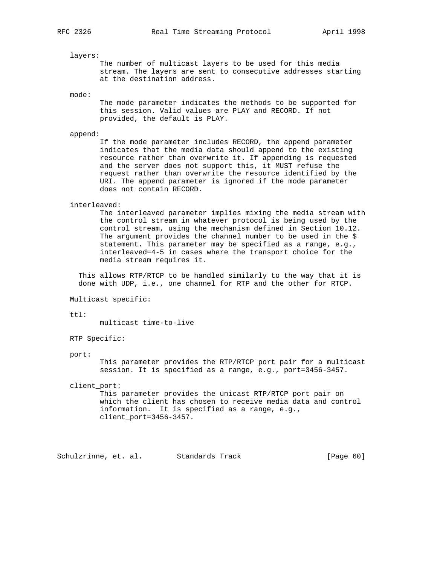layers:

 The number of multicast layers to be used for this media stream. The layers are sent to consecutive addresses starting at the destination address.

mode:

 The mode parameter indicates the methods to be supported for this session. Valid values are PLAY and RECORD. If not provided, the default is PLAY.

append:

 If the mode parameter includes RECORD, the append parameter indicates that the media data should append to the existing resource rather than overwrite it. If appending is requested and the server does not support this, it MUST refuse the request rather than overwrite the resource identified by the URI. The append parameter is ignored if the mode parameter does not contain RECORD.

#### interleaved:

 The interleaved parameter implies mixing the media stream with the control stream in whatever protocol is being used by the control stream, using the mechanism defined in Section 10.12. The argument provides the channel number to be used in the \$ statement. This parameter may be specified as a range, e.g., interleaved=4-5 in cases where the transport choice for the media stream requires it.

 This allows RTP/RTCP to be handled similarly to the way that it is done with UDP, i.e., one channel for RTP and the other for RTCP.

Multicast specific:

ttl:

multicast time-to-live

RTP Specific:

port:

 This parameter provides the RTP/RTCP port pair for a multicast session. It is specified as a range, e.g., port=3456-3457.

client\_port:

 This parameter provides the unicast RTP/RTCP port pair on which the client has chosen to receive media data and control information. It is specified as a range, e.g., client\_port=3456-3457.

Schulzrinne, et. al. Standards Track [Page 60]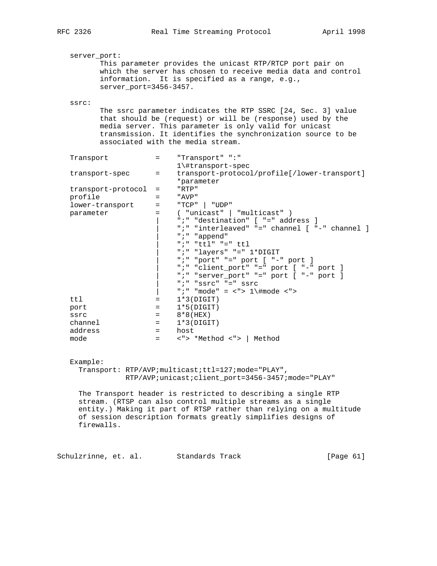server\_port: This parameter provides the unicast RTP/RTCP port pair on which the server has chosen to receive media data and control information. It is specified as a range, e.g., server\_port=3456-3457. ssrc: The ssrc parameter indicates the RTP SSRC [24, Sec. 3] value that should be (request) or will be (response) used by the media server. This parameter is only valid for unicast transmission. It identifies the synchronization source to be associated with the media stream. Transport = "Transport" ":" 1\#transport-spec<br>transport-spec = transport-protocol = transport-protocol/profile[/lower-transport] \*parameter transport-protocol = "RTP" profile  $=$  lower-transport = "TCP" | "UDP" parameter = ( "unicast" | "multicast" ) | ";" "destination" [ "=" address ] | ";" "interleaved" "=" channel [ "-" channel ] | ";" "append" | ";" "ttl" "=" ttl | ";" "layers" "=" 1\*DIGIT | ";" "port" "=" port [ "-" port ] | ";" "client\_port" "=" port [ "-" port ] | ";" "server\_port" "=" port [ "-" port ] | ";" "ssrc" "=" ssrc | ";" "mode" = <"> 1\#mode <"> ttl  $= 1*3(DIGIT)$  $port = 1*5(DIGIT)$  $\begin{array}{rcl} \texttt{ssrc} & = & 8*8(\texttt{HEX}) \\ \texttt{channel} & = & 1*3(\texttt{DIGI}) \end{array}$  $channel$  =  $1*3(DIGIT)$  address = host mode = <"> \*Method <"> | Method Example: Transport: RTP/AVP;multicast;ttl=127;mode="PLAY", RTP/AVP;unicast;client\_port=3456-3457;mode="PLAY" The Transport header is restricted to describing a single RTP stream. (RTSP can also control multiple streams as a single

 entity.) Making it part of RTSP rather than relying on a multitude of session description formats greatly simplifies designs of firewalls.

Schulzrinne, et. al. Standards Track [Page 61]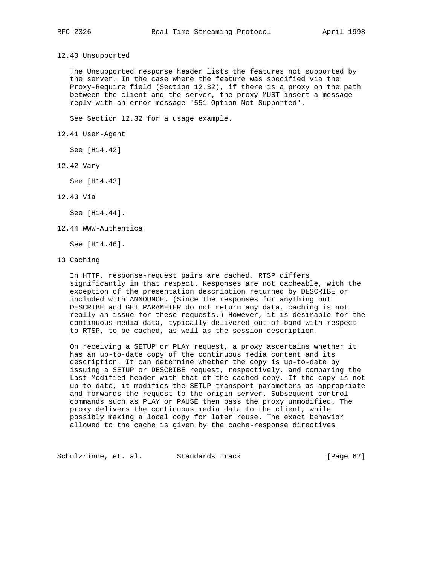12.40 Unsupported

 The Unsupported response header lists the features not supported by the server. In the case where the feature was specified via the Proxy-Require field (Section 12.32), if there is a proxy on the path between the client and the server, the proxy MUST insert a message reply with an error message "551 Option Not Supported".

See Section 12.32 for a usage example.

12.41 User-Agent

See [H14.42]

12.42 Vary

See [H14.43]

12.43 Via

See [H14.44].

12.44 WWW-Authentica

See [H14.46].

13 Caching

 In HTTP, response-request pairs are cached. RTSP differs significantly in that respect. Responses are not cacheable, with the exception of the presentation description returned by DESCRIBE or included with ANNOUNCE. (Since the responses for anything but DESCRIBE and GET\_PARAMETER do not return any data, caching is not really an issue for these requests.) However, it is desirable for the continuous media data, typically delivered out-of-band with respect to RTSP, to be cached, as well as the session description.

 On receiving a SETUP or PLAY request, a proxy ascertains whether it has an up-to-date copy of the continuous media content and its description. It can determine whether the copy is up-to-date by issuing a SETUP or DESCRIBE request, respectively, and comparing the Last-Modified header with that of the cached copy. If the copy is not up-to-date, it modifies the SETUP transport parameters as appropriate and forwards the request to the origin server. Subsequent control commands such as PLAY or PAUSE then pass the proxy unmodified. The proxy delivers the continuous media data to the client, while possibly making a local copy for later reuse. The exact behavior allowed to the cache is given by the cache-response directives

Schulzrinne, et. al. Standards Track (Page 62)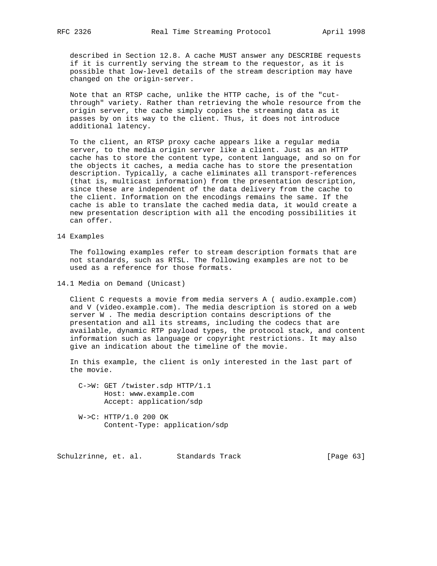described in Section 12.8. A cache MUST answer any DESCRIBE requests if it is currently serving the stream to the requestor, as it is possible that low-level details of the stream description may have changed on the origin-server.

 Note that an RTSP cache, unlike the HTTP cache, is of the "cut through" variety. Rather than retrieving the whole resource from the origin server, the cache simply copies the streaming data as it passes by on its way to the client. Thus, it does not introduce additional latency.

 To the client, an RTSP proxy cache appears like a regular media server, to the media origin server like a client. Just as an HTTP cache has to store the content type, content language, and so on for the objects it caches, a media cache has to store the presentation description. Typically, a cache eliminates all transport-references (that is, multicast information) from the presentation description, since these are independent of the data delivery from the cache to the client. Information on the encodings remains the same. If the cache is able to translate the cached media data, it would create a new presentation description with all the encoding possibilities it can offer.

14 Examples

 The following examples refer to stream description formats that are not standards, such as RTSL. The following examples are not to be used as a reference for those formats.

14.1 Media on Demand (Unicast)

 Client C requests a movie from media servers A ( audio.example.com) and V (video.example.com). The media description is stored on a web server W . The media description contains descriptions of the presentation and all its streams, including the codecs that are available, dynamic RTP payload types, the protocol stack, and content information such as language or copyright restrictions. It may also give an indication about the timeline of the movie.

 In this example, the client is only interested in the last part of the movie.

- C->W: GET /twister.sdp HTTP/1.1 Host: www.example.com Accept: application/sdp
- W->C: HTTP/1.0 200 OK Content-Type: application/sdp

Schulzrinne, et. al. Standards Track [Page 63]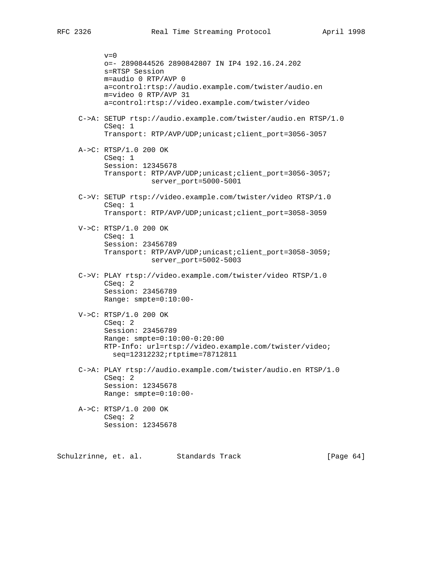$v=0$  o=- 2890844526 2890842807 IN IP4 192.16.24.202 s=RTSP Session m=audio 0 RTP/AVP 0 a=control:rtsp://audio.example.com/twister/audio.en m=video 0 RTP/AVP 31 a=control:rtsp://video.example.com/twister/video C->A: SETUP rtsp://audio.example.com/twister/audio.en RTSP/1.0 CSeq: 1 Transport: RTP/AVP/UDP;unicast;client\_port=3056-3057 A->C: RTSP/1.0 200 OK CSeq: 1 Session: 12345678 Transport: RTP/AVP/UDP;unicast;client\_port=3056-3057; server\_port=5000-5001 C->V: SETUP rtsp://video.example.com/twister/video RTSP/1.0 CSeq: 1 Transport: RTP/AVP/UDP;unicast;client\_port=3058-3059 V->C: RTSP/1.0 200 OK CSeq: 1 Session: 23456789 Transport: RTP/AVP/UDP;unicast;client\_port=3058-3059; server\_port=5002-5003 C->V: PLAY rtsp://video.example.com/twister/video RTSP/1.0 CSeq: 2 Session: 23456789 Range: smpte=0:10:00- V->C: RTSP/1.0 200 OK CSeq: 2 Session: 23456789 Range: smpte=0:10:00-0:20:00 RTP-Info: url=rtsp://video.example.com/twister/video; seq=12312232;rtptime=78712811 C->A: PLAY rtsp://audio.example.com/twister/audio.en RTSP/1.0 CSeq: 2 Session: 12345678 Range: smpte=0:10:00- A->C: RTSP/1.0 200 OK CSeq: 2 Session: 12345678

Schulzrinne, et. al. Standards Track [Page 64]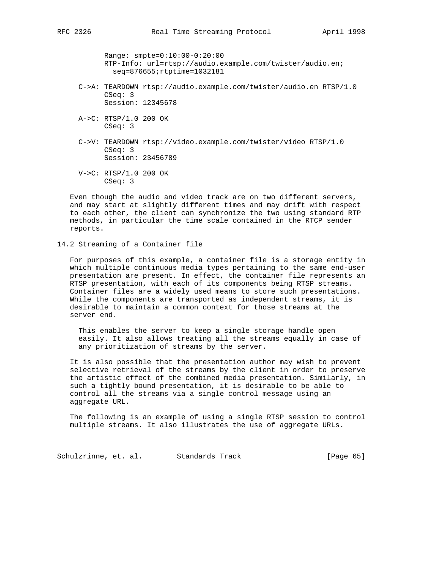Range: smpte=0:10:00-0:20:00

```
 RTP-Info: url=rtsp://audio.example.com/twister/audio.en;
   seq=876655;rtptime=1032181
```
- C->A: TEARDOWN rtsp://audio.example.com/twister/audio.en RTSP/1.0 CSeq: 3 Session: 12345678
- A->C: RTSP/1.0 200 OK CSeq: 3
- C->V: TEARDOWN rtsp://video.example.com/twister/video RTSP/1.0 CSeq: 3 Session: 23456789
- V->C: RTSP/1.0 200 OK CSeq: 3

 Even though the audio and video track are on two different servers, and may start at slightly different times and may drift with respect to each other, the client can synchronize the two using standard RTP methods, in particular the time scale contained in the RTCP sender reports.

14.2 Streaming of a Container file

 For purposes of this example, a container file is a storage entity in which multiple continuous media types pertaining to the same end-user presentation are present. In effect, the container file represents an RTSP presentation, with each of its components being RTSP streams. Container files are a widely used means to store such presentations. While the components are transported as independent streams, it is desirable to maintain a common context for those streams at the server end.

 This enables the server to keep a single storage handle open easily. It also allows treating all the streams equally in case of any prioritization of streams by the server.

 It is also possible that the presentation author may wish to prevent selective retrieval of the streams by the client in order to preserve the artistic effect of the combined media presentation. Similarly, in such a tightly bound presentation, it is desirable to be able to control all the streams via a single control message using an aggregate URL.

 The following is an example of using a single RTSP session to control multiple streams. It also illustrates the use of aggregate URLs.

Schulzrinne, et. al. Standards Track [Page 65]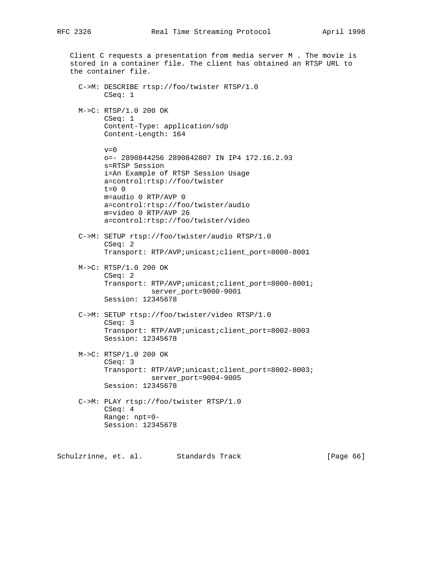Client C requests a presentation from media server M . The movie is stored in a container file. The client has obtained an RTSP URL to the container file. C->M: DESCRIBE rtsp://foo/twister RTSP/1.0 CSeq: 1 M->C: RTSP/1.0 200 OK CSeq: 1 Content-Type: application/sdp Content-Length: 164  $v=0$  o=- 2890844256 2890842807 IN IP4 172.16.2.93 s=RTSP Session i=An Example of RTSP Session Usage a=control:rtsp://foo/twister  $t=0$  0 m=audio 0 RTP/AVP 0 a=control:rtsp://foo/twister/audio m=video 0 RTP/AVP 26 a=control:rtsp://foo/twister/video C->M: SETUP rtsp://foo/twister/audio RTSP/1.0 CSeq: 2 Transport: RTP/AVP;unicast;client\_port=8000-8001 M->C: RTSP/1.0 200 OK CSeq: 2 Transport: RTP/AVP;unicast;client\_port=8000-8001; server\_port=9000-9001 Session: 12345678 C->M: SETUP rtsp://foo/twister/video RTSP/1.0 CSeq: 3 Transport: RTP/AVP;unicast;client\_port=8002-8003 Session: 12345678 M->C: RTSP/1.0 200 OK CSeq: 3 Transport: RTP/AVP;unicast;client\_port=8002-8003; server\_port=9004-9005 Session: 12345678 C->M: PLAY rtsp://foo/twister RTSP/1.0 CSeq: 4 Range: npt=0- Session: 12345678

Schulzrinne, et. al. Standards Track [Page 66]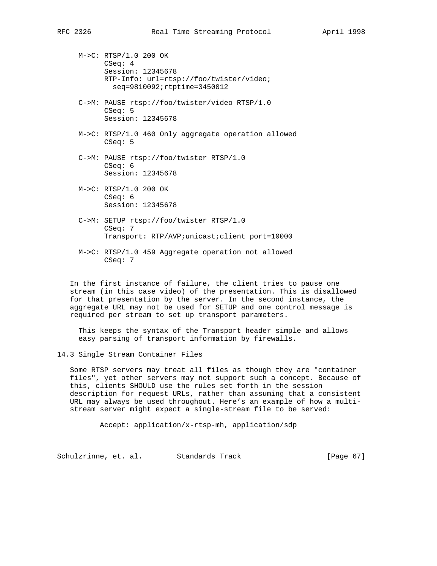M->C: RTSP/1.0 200 OK CSeq: 4 Session: 12345678 RTP-Info: url=rtsp://foo/twister/video; seq=9810092;rtptime=3450012 C->M: PAUSE rtsp://foo/twister/video RTSP/1.0 CSeq: 5 Session: 12345678 M->C: RTSP/1.0 460 Only aggregate operation allowed CSeq: 5 C->M: PAUSE rtsp://foo/twister RTSP/1.0 CSeq: 6 Session: 12345678 M->C: RTSP/1.0 200 OK CSeq: 6 Session: 12345678 C->M: SETUP rtsp://foo/twister RTSP/1.0 CSeq: 7 Transport: RTP/AVP;unicast;client\_port=10000 M->C: RTSP/1.0 459 Aggregate operation not allowed CSeq: 7

 In the first instance of failure, the client tries to pause one stream (in this case video) of the presentation. This is disallowed for that presentation by the server. In the second instance, the aggregate URL may not be used for SETUP and one control message is required per stream to set up transport parameters.

 This keeps the syntax of the Transport header simple and allows easy parsing of transport information by firewalls.

14.3 Single Stream Container Files

 Some RTSP servers may treat all files as though they are "container files", yet other servers may not support such a concept. Because of this, clients SHOULD use the rules set forth in the session description for request URLs, rather than assuming that a consistent URL may always be used throughout. Here's an example of how a multi stream server might expect a single-stream file to be served:

Accept: application/x-rtsp-mh, application/sdp

Schulzrinne, et. al. Standards Track [Page 67]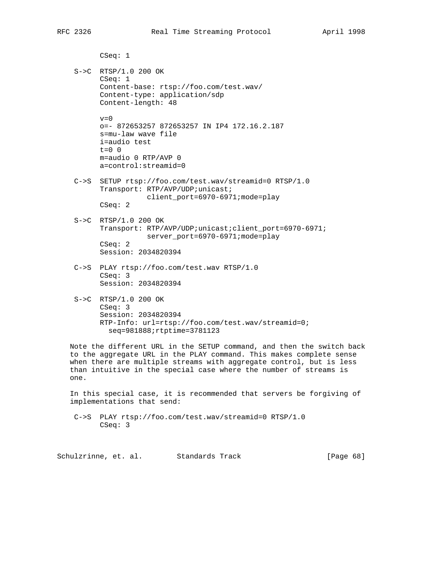```
 CSeq: 1
  S->C RTSP/1.0 200 OK
        CSeq: 1
        Content-base: rtsp://foo.com/test.wav/
        Content-type: application/sdp
        Content-length: 48
       v=0 o=- 872653257 872653257 IN IP4 172.16.2.187
        s=mu-law wave file
        i=audio test
       t=0 0
        m=audio 0 RTP/AVP 0
        a=control:streamid=0
  C->S SETUP rtsp://foo.com/test.wav/streamid=0 RTSP/1.0
        Transport: RTP/AVP/UDP;unicast;
                  client_port=6970-6971;mode=play
        CSeq: 2
  S->C RTSP/1.0 200 OK
        Transport: RTP/AVP/UDP;unicast;client_port=6970-6971;
                   server_port=6970-6971;mode=play
        CSeq: 2
        Session: 2034820394
  C->S PLAY rtsp://foo.com/test.wav RTSP/1.0
        CSeq: 3
        Session: 2034820394
  S->C RTSP/1.0 200 OK
        CSeq: 3
        Session: 2034820394
        RTP-Info: url=rtsp://foo.com/test.wav/streamid=0;
          seq=981888;rtptime=3781123
 Note the different URL in the SETUP command, and then the switch back
 to the aggregate URL in the PLAY command. This makes complete sense
when there are multiple streams with aggregate control, but is less
 than intuitive in the special case where the number of streams is
 one.
```
 In this special case, it is recommended that servers be forgiving of implementations that send:

 C->S PLAY rtsp://foo.com/test.wav/streamid=0 RTSP/1.0 CSeq: 3

Schulzrinne, et. al. Standards Track [Page 68]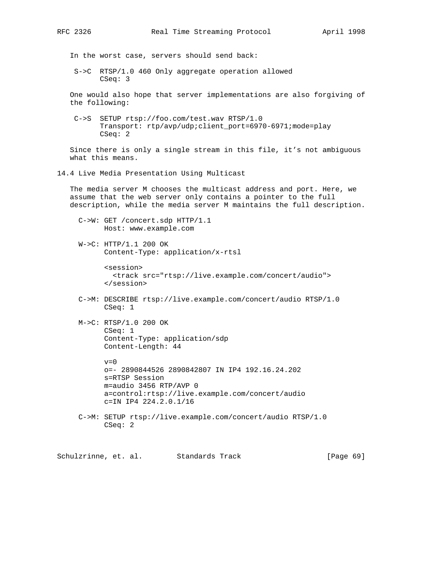In the worst case, servers should send back:

 S->C RTSP/1.0 460 Only aggregate operation allowed CSeq: 3

 One would also hope that server implementations are also forgiving of the following:

 C->S SETUP rtsp://foo.com/test.wav RTSP/1.0 Transport: rtp/avp/udp;client\_port=6970-6971;mode=play CSeq: 2

 Since there is only a single stream in this file, it's not ambiguous what this means.

14.4 Live Media Presentation Using Multicast

 The media server M chooses the multicast address and port. Here, we assume that the web server only contains a pointer to the full description, while the media server M maintains the full description.

- C->W: GET /concert.sdp HTTP/1.1 Host: www.example.com
- W->C: HTTP/1.1 200 OK Content-Type: application/x-rtsl
	- <session> <track src="rtsp://live.example.com/concert/audio"> </session>
- C->M: DESCRIBE rtsp://live.example.com/concert/audio RTSP/1.0 CSeq: 1
- M->C: RTSP/1.0 200 OK CSeq: 1 Content-Type: application/sdp Content-Length: 44

 $v=0$  o=- 2890844526 2890842807 IN IP4 192.16.24.202 s=RTSP Session m=audio 3456 RTP/AVP 0 a=control:rtsp://live.example.com/concert/audio c=IN IP4 224.2.0.1/16

 C->M: SETUP rtsp://live.example.com/concert/audio RTSP/1.0 CSeq: 2

Schulzrinne, et. al. Standards Track [Page 69]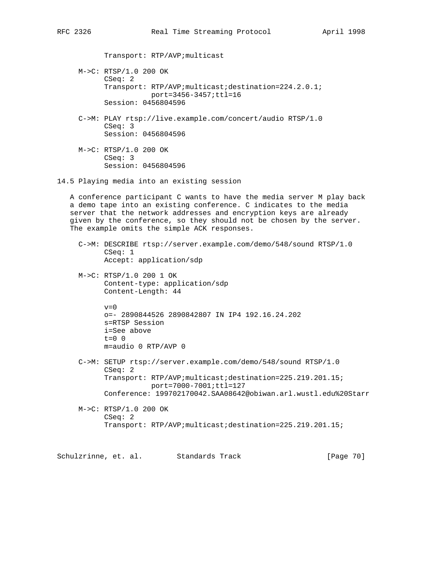Transport: RTP/AVP;multicast

 M->C: RTSP/1.0 200 OK CSeq: 2 Transport: RTP/AVP;multicast;destination=224.2.0.1; port=3456-3457;ttl=16 Session: 0456804596 C->M: PLAY rtsp://live.example.com/concert/audio RTSP/1.0 CSeq: 3 Session: 0456804596 M->C: RTSP/1.0 200 OK CSeq: 3 Session: 0456804596

 A conference participant C wants to have the media server M play back a demo tape into an existing conference. C indicates to the media server that the network addresses and encryption keys are already given by the conference, so they should not be chosen by the server. The example omits the simple ACK responses.

- C->M: DESCRIBE rtsp://server.example.com/demo/548/sound RTSP/1.0 CSeq: 1 Accept: application/sdp
- M->C: RTSP/1.0 200 1 OK Content-type: application/sdp Content-Length: 44
	- $v=0$  o=- 2890844526 2890842807 IN IP4 192.16.24.202 s=RTSP Session i=See above  $t=0$  0 m=audio 0 RTP/AVP 0
- C->M: SETUP rtsp://server.example.com/demo/548/sound RTSP/1.0 CSeq: 2 Transport: RTP/AVP;multicast;destination=225.219.201.15; port=7000-7001;ttl=127 Conference: 199702170042.SAA08642@obiwan.arl.wustl.edu%20Starr
- M->C: RTSP/1.0 200 OK CSeq: 2 Transport: RTP/AVP;multicast;destination=225.219.201.15;

Schulzrinne, et. al. Standards Track [Page 70]

<sup>14.5</sup> Playing media into an existing session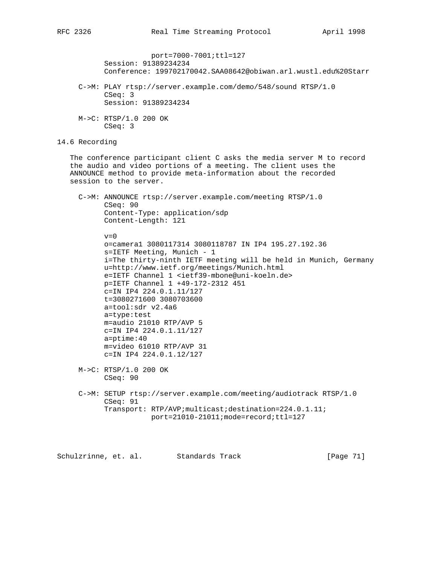```
 port=7000-7001;ttl=127
            Session: 91389234234
            Conference: 199702170042.SAA08642@obiwan.arl.wustl.edu%20Starr
      C->M: PLAY rtsp://server.example.com/demo/548/sound RTSP/1.0
            CSeq: 3
            Session: 91389234234
      M->C: RTSP/1.0 200 OK
            CSeq: 3
14.6 Recording
    The conference participant client C asks the media server M to record
    the audio and video portions of a meeting. The client uses the
    ANNOUNCE method to provide meta-information about the recorded
   session to the server.
      C->M: ANNOUNCE rtsp://server.example.com/meeting RTSP/1.0
            CSeq: 90
            Content-Type: application/sdp
            Content-Length: 121
           v=0 o=camera1 3080117314 3080118787 IN IP4 195.27.192.36
            s=IETF Meeting, Munich - 1
            i=The thirty-ninth IETF meeting will be held in Munich, Germany
            u=http://www.ietf.org/meetings/Munich.html
            e=IETF Channel 1 <ietf39-mbone@uni-koeln.de>
            p=IETF Channel 1 +49-172-2312 451
            c=IN IP4 224.0.1.11/127
            t=3080271600 3080703600
            a=tool:sdr v2.4a6
            a=type:test
            m=audio 21010 RTP/AVP 5
            c=IN IP4 224.0.1.11/127
            a=ptime:40
            m=video 61010 RTP/AVP 31
            c=IN IP4 224.0.1.12/127
     M->C: RTSP/1.0 200 OK
            CSeq: 90
      C->M: SETUP rtsp://server.example.com/meeting/audiotrack RTSP/1.0
            CSeq: 91
            Transport: RTP/AVP;multicast;destination=224.0.1.11;
                       port=21010-21011;mode=record;ttl=127
```
Schulzrinne, et. al. Standards Track [Page 71]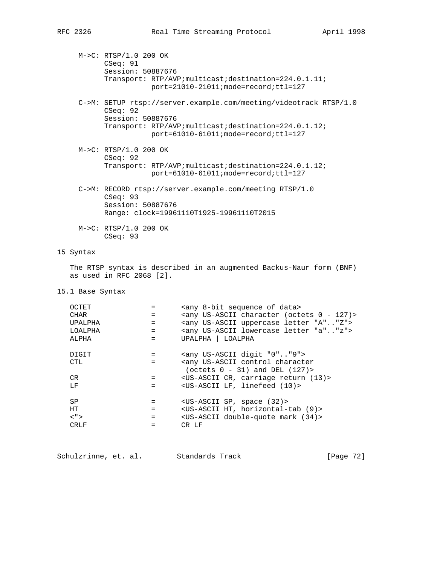M->C: RTSP/1.0 200 OK CSeq: 91 Session: 50887676 Transport: RTP/AVP;multicast;destination=224.0.1.11; port=21010-21011;mode=record;ttl=127 C->M: SETUP rtsp://server.example.com/meeting/videotrack RTSP/1.0 CSeq: 92 Session: 50887676 Transport: RTP/AVP;multicast;destination=224.0.1.12; port=61010-61011;mode=record;ttl=127 M->C: RTSP/1.0 200 OK CSeq: 92 Transport: RTP/AVP;multicast;destination=224.0.1.12; port=61010-61011;mode=record;ttl=127 C->M: RECORD rtsp://server.example.com/meeting RTSP/1.0 CSeq: 93 Session: 50887676 Range: clock=19961110T1925-19961110T2015 M->C: RTSP/1.0 200 OK

CSeq: 93

# 15 Syntax

 The RTSP syntax is described in an augmented Backus-Naur form (BNF) as used in RFC 2068 [2].

## 15.1 Base Syntax

| OCTET<br>CHAR | $=$ | <any 8-bit="" data="" of="" sequence=""><br/><math>\langle</math> <any (octets="" -="" 0="" 127)="" character="" us-ascii=""></any></any> |
|---------------|-----|-------------------------------------------------------------------------------------------------------------------------------------------|
| UPALPHA       | $=$ | <any "a""z"="" letter="" uppercase="" us-ascii=""></any>                                                                                  |
| LOALPHA       | $=$ | <any "a""z"="" letter="" lowercase="" us-ascii=""></any>                                                                                  |
| ALPHA         | $=$ | UPALPHA   LOALPHA                                                                                                                         |
| DIGIT         | $=$ | <any "0""9"="" digit="" us-ascii=""></any>                                                                                                |
| <b>CTL</b>    | $=$ | <any character<br="" control="" us-ascii="">(octets <math>0 - 31</math>) and DEL <math>(127)</math></any>                                 |
| CR.           | $=$ | <us-ascii (13)="" carriage="" cr,="" return=""></us-ascii>                                                                                |
| LF            | $=$ | <us-ascii (10)="" lf,="" linefeed=""></us-ascii>                                                                                          |
| SP.           | $=$ | $US-ASCII$ SP, space $(32)$                                                                                                               |
| HT.           | $=$ | <us-ascii (9)="" horizontal-tab="" ht,=""></us-ascii>                                                                                     |
| $\langle$ ">  | $=$ | <us-ascii (34)="" double-quote="" mark=""></us-ascii>                                                                                     |
| CRLF          |     | CR LF                                                                                                                                     |
|               |     |                                                                                                                                           |

Schulzrinne, et. al. Standards Track [Page 72]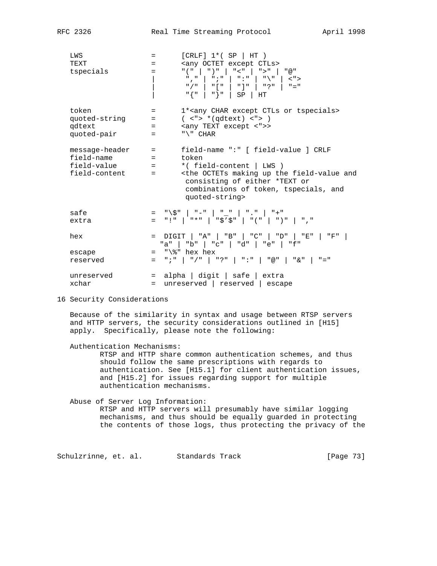| LWS<br>TEXT<br>tspecials                                                                    | $=$<br>$=$<br>$=$        | $[CHLF]$ $1*(SP   HT)$<br><any ctls="" except="" octet=""><br/><math display="block">"\, ( \begin{array}{c c c c c c} \cdots \end{array}\; \begin{array}{c c c c} \cdots \end{array}\; \begin{array}{c c c c} \cdots \end{array}\; \begin{array}{c c c c} \cdots \end{array}\; \begin{array}{c c c c} \cdots \end{array}\; \begin{array}{c c c c} \cdots \end{array}\; \begin{array}{c c c c} \cdots \end{array}\; \begin{array}{c c c c} \cdots \end{array}\; \begin{array}{c c c c} \cdots \end{array}\; \begin{array}{c c c c} \cd</math><br/><math>"\{\n"   "}\n"   SP   HT</math></any> |
|---------------------------------------------------------------------------------------------|--------------------------|----------------------------------------------------------------------------------------------------------------------------------------------------------------------------------------------------------------------------------------------------------------------------------------------------------------------------------------------------------------------------------------------------------------------------------------------------------------------------------------------------------------------------------------------------------------------------------------------|
| token<br>quoted-string<br>qdtext<br>quoted-pair                                             | $=$<br>$=$<br>$=$<br>$=$ | 1* <any char="" ctls="" except="" or="" tspecials=""><br/><math>(</math> &lt;"&gt; *(qdtext) &lt;"&gt; )<br/><any <"="" except="" text="">&gt;<br/><math>"</math> \ <math>"</math> CHAR</any></any>                                                                                                                                                                                                                                                                                                                                                                                          |
| message-header<br>field-name<br>field-value<br>$\mathcal{L} = \mathcal{L}$<br>field-content | $=$<br>$=$ $-$           | field-name ":" [ field-value ] CRLF<br>and the property of the state of<br>token<br>*(field-content   LWS )<br><the and<br="" field-value="" making="" octets="" the="" up="">consisting of either *TEXT or<br/>combinations of token, tspecials, and<br/>quoted-string&gt;</the>                                                                                                                                                                                                                                                                                                            |
| safe<br>extra                                                                               |                          | = "\\$"   "-"   "_"   "."   "+"<br>= "!"   "*"   "\$'\$"   "("   ")"   ","                                                                                                                                                                                                                                                                                                                                                                                                                                                                                                                   |
| hex<br>escape<br>reserved                                                                   |                          | = DIGIT   "A"   "B"   "C"   "D"   "E"   "F"  <br>"a"   "b"   "c"   "d"   "e"   "f"<br>$=$ "\%" hex hex<br>$= \quad " \; ; \; " \quad   \quad " \; / \; " \quad   \quad " \; ? \; " \quad   \quad " : \; " \quad   \quad " @ \; " \quad   \quad " @ \; " \quad   \quad " = \; " \;$                                                                                                                                                                                                                                                                                                           |
| unreserved<br>xchar                                                                         |                          | $=$ alpha   digit   safe   extra<br>= unreserved   reserved   escape                                                                                                                                                                                                                                                                                                                                                                                                                                                                                                                         |

16 Security Considerations

 Because of the similarity in syntax and usage between RTSP servers and HTTP servers, the security considerations outlined in [H15] apply. Specifically, please note the following:

Authentication Mechanisms:

 RTSP and HTTP share common authentication schemes, and thus should follow the same prescriptions with regards to authentication. See [H15.1] for client authentication issues, and [H15.2] for issues regarding support for multiple authentication mechanisms.

 Abuse of Server Log Information: RTSP and HTTP servers will presumably have similar logging mechanisms, and thus should be equally guarded in protecting the contents of those logs, thus protecting the privacy of the

Schulzrinne, et. al. Standards Track [Page 73]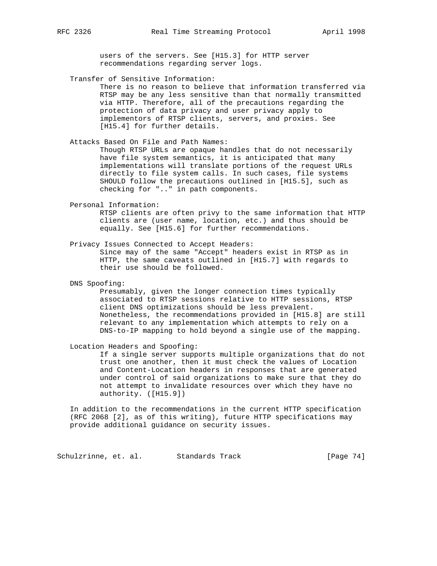users of the servers. See [H15.3] for HTTP server recommendations regarding server logs.

Transfer of Sensitive Information:

 There is no reason to believe that information transferred via RTSP may be any less sensitive than that normally transmitted via HTTP. Therefore, all of the precautions regarding the protection of data privacy and user privacy apply to implementors of RTSP clients, servers, and proxies. See [H15.4] for further details.

Attacks Based On File and Path Names:

 Though RTSP URLs are opaque handles that do not necessarily have file system semantics, it is anticipated that many implementations will translate portions of the request URLs directly to file system calls. In such cases, file systems SHOULD follow the precautions outlined in [H15.5], such as checking for ".." in path components.

Personal Information:

 RTSP clients are often privy to the same information that HTTP clients are (user name, location, etc.) and thus should be equally. See [H15.6] for further recommendations.

Privacy Issues Connected to Accept Headers:

 Since may of the same "Accept" headers exist in RTSP as in HTTP, the same caveats outlined in [H15.7] with regards to their use should be followed.

DNS Spoofing:

 Presumably, given the longer connection times typically associated to RTSP sessions relative to HTTP sessions, RTSP client DNS optimizations should be less prevalent. Nonetheless, the recommendations provided in [H15.8] are still relevant to any implementation which attempts to rely on a DNS-to-IP mapping to hold beyond a single use of the mapping.

Location Headers and Spoofing:

 If a single server supports multiple organizations that do not trust one another, then it must check the values of Location and Content-Location headers in responses that are generated under control of said organizations to make sure that they do not attempt to invalidate resources over which they have no authority. ([H15.9])

 In addition to the recommendations in the current HTTP specification (RFC 2068 [2], as of this writing), future HTTP specifications may provide additional guidance on security issues.

Schulzrinne, et. al. Standards Track [Page 74]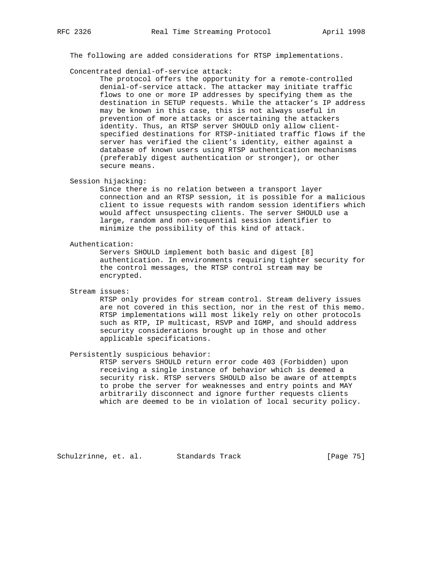The following are added considerations for RTSP implementations.

Concentrated denial-of-service attack:

 The protocol offers the opportunity for a remote-controlled denial-of-service attack. The attacker may initiate traffic flows to one or more IP addresses by specifying them as the destination in SETUP requests. While the attacker's IP address may be known in this case, this is not always useful in prevention of more attacks or ascertaining the attackers identity. Thus, an RTSP server SHOULD only allow client specified destinations for RTSP-initiated traffic flows if the server has verified the client's identity, either against a database of known users using RTSP authentication mechanisms (preferably digest authentication or stronger), or other secure means.

Session hijacking:

 Since there is no relation between a transport layer connection and an RTSP session, it is possible for a malicious client to issue requests with random session identifiers which would affect unsuspecting clients. The server SHOULD use a large, random and non-sequential session identifier to minimize the possibility of this kind of attack.

Authentication:

 Servers SHOULD implement both basic and digest [8] authentication. In environments requiring tighter security for the control messages, the RTSP control stream may be encrypted.

Stream issues:

 RTSP only provides for stream control. Stream delivery issues are not covered in this section, nor in the rest of this memo. RTSP implementations will most likely rely on other protocols such as RTP, IP multicast, RSVP and IGMP, and should address security considerations brought up in those and other applicable specifications.

# Persistently suspicious behavior:

 RTSP servers SHOULD return error code 403 (Forbidden) upon receiving a single instance of behavior which is deemed a security risk. RTSP servers SHOULD also be aware of attempts to probe the server for weaknesses and entry points and MAY arbitrarily disconnect and ignore further requests clients which are deemed to be in violation of local security policy.

Schulzrinne, et. al. Standards Track [Page 75]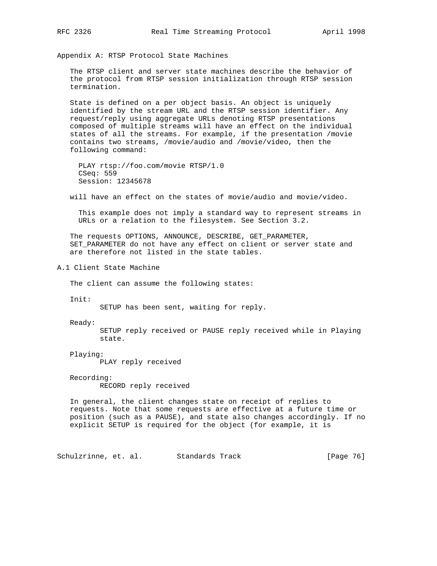Appendix A: RTSP Protocol State Machines

 The RTSP client and server state machines describe the behavior of the protocol from RTSP session initialization through RTSP session termination.

 State is defined on a per object basis. An object is uniquely identified by the stream URL and the RTSP session identifier. Any request/reply using aggregate URLs denoting RTSP presentations composed of multiple streams will have an effect on the individual states of all the streams. For example, if the presentation /movie contains two streams, /movie/audio and /movie/video, then the following command:

 PLAY rtsp://foo.com/movie RTSP/1.0 CSeq: 559 Session: 12345678

will have an effect on the states of movie/audio and movie/video.

 This example does not imply a standard way to represent streams in URLs or a relation to the filesystem. See Section 3.2.

 The requests OPTIONS, ANNOUNCE, DESCRIBE, GET\_PARAMETER, SET\_PARAMETER do not have any effect on client or server state and are therefore not listed in the state tables.

A.1 Client State Machine

The client can assume the following states:

Init:

SETUP has been sent, waiting for reply.

Ready:

 SETUP reply received or PAUSE reply received while in Playing state.

Playing:

PLAY reply received

 Recording: RECORD reply received

 In general, the client changes state on receipt of replies to requests. Note that some requests are effective at a future time or position (such as a PAUSE), and state also changes accordingly. If no explicit SETUP is required for the object (for example, it is

Schulzrinne, et. al. Standards Track [Page 76]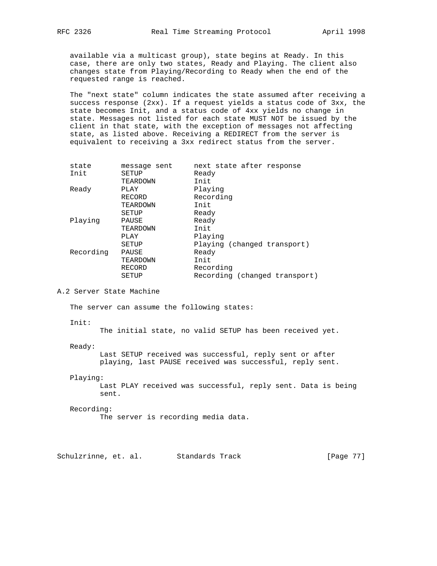available via a multicast group), state begins at Ready. In this case, there are only two states, Ready and Playing. The client also changes state from Playing/Recording to Ready when the end of the requested range is reached.

 The "next state" column indicates the state assumed after receiving a success response (2xx). If a request yields a status code of 3xx, the state becomes Init, and a status code of 4xx yields no change in state. Messages not listed for each state MUST NOT be issued by the client in that state, with the exception of messages not affecting state, as listed above. Receiving a REDIRECT from the server is equivalent to receiving a 3xx redirect status from the server.

| state     | message sent | next state after response     |
|-----------|--------------|-------------------------------|
| Init      | SETUP        | Ready                         |
|           | TEARDOWN     | Init                          |
| Ready     | PLAY         | Playing                       |
|           | RECORD       | Recording                     |
|           | TEARDOWN     | Init                          |
|           | SETUP        | Ready                         |
| Playing   | PAUSE        | Ready                         |
|           | TEARDOWN     | Init                          |
|           | PLAY         | Playing                       |
|           | SETUP        | Playing (changed transport)   |
| Recording | PAUSE        | Ready                         |
|           | TEARDOWN     | Init                          |
|           | RECORD       | Recording                     |
|           | SETUP        | Recording (changed transport) |
|           |              |                               |

## A.2 Server State Machine

The server can assume the following states:

Init:

The initial state, no valid SETUP has been received yet.

Ready:

 Last SETUP received was successful, reply sent or after playing, last PAUSE received was successful, reply sent.

#### Playing:

 Last PLAY received was successful, reply sent. Data is being sent.

#### Recording:

The server is recording media data.

Schulzrinne, et. al. Standards Track [Page 77]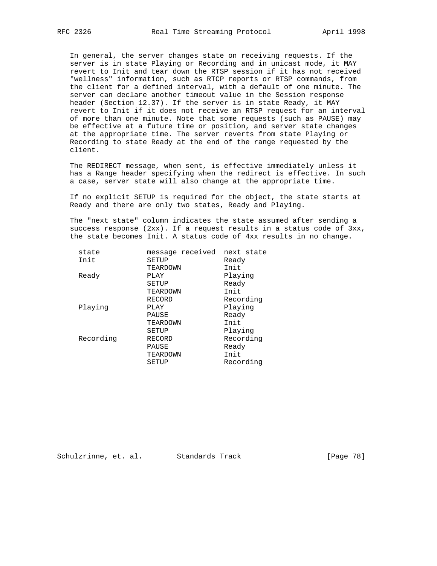In general, the server changes state on receiving requests. If the server is in state Playing or Recording and in unicast mode, it MAY revert to Init and tear down the RTSP session if it has not received "wellness" information, such as RTCP reports or RTSP commands, from the client for a defined interval, with a default of one minute. The server can declare another timeout value in the Session response header (Section 12.37). If the server is in state Ready, it MAY revert to Init if it does not receive an RTSP request for an interval of more than one minute. Note that some requests (such as PAUSE) may be effective at a future time or position, and server state changes at the appropriate time. The server reverts from state Playing or Recording to state Ready at the end of the range requested by the client.

 The REDIRECT message, when sent, is effective immediately unless it has a Range header specifying when the redirect is effective. In such a case, server state will also change at the appropriate time.

 If no explicit SETUP is required for the object, the state starts at Ready and there are only two states, Ready and Playing.

 The "next state" column indicates the state assumed after sending a success response (2xx). If a request results in a status code of 3xx, the state becomes Init. A status code of 4xx results in no change.

| state     | message received | next state |
|-----------|------------------|------------|
| Init      | SETUP            | Ready      |
|           | TEARDOWN         | Init       |
| Ready     | PLAY             | Playing    |
|           | SETUP            | Ready      |
|           | TEARDOWN         | Init       |
|           | RECORD           | Recording  |
| Playing   | PLAY             | Playing    |
|           | PAUSE            | Ready      |
|           | TEARDOWN         | Init       |
|           | SETUP            | Playing    |
| Recording | RECORD           | Recording  |
|           | PAUSE            | Ready      |
|           | TEARDOWN         | Init       |
|           | SETUP            | Recording  |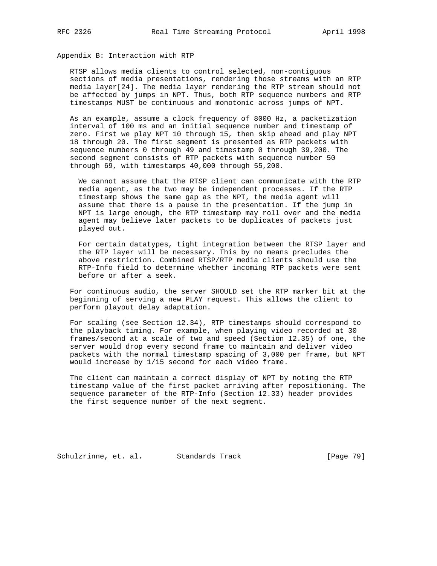Appendix B: Interaction with RTP

 RTSP allows media clients to control selected, non-contiguous sections of media presentations, rendering those streams with an RTP media layer[24]. The media layer rendering the RTP stream should not be affected by jumps in NPT. Thus, both RTP sequence numbers and RTP timestamps MUST be continuous and monotonic across jumps of NPT.

 As an example, assume a clock frequency of 8000 Hz, a packetization interval of 100 ms and an initial sequence number and timestamp of zero. First we play NPT 10 through 15, then skip ahead and play NPT 18 through 20. The first segment is presented as RTP packets with sequence numbers 0 through 49 and timestamp 0 through 39,200. The second segment consists of RTP packets with sequence number 50 through 69, with timestamps 40,000 through 55,200.

 We cannot assume that the RTSP client can communicate with the RTP media agent, as the two may be independent processes. If the RTP timestamp shows the same gap as the NPT, the media agent will assume that there is a pause in the presentation. If the jump in NPT is large enough, the RTP timestamp may roll over and the media agent may believe later packets to be duplicates of packets just played out.

 For certain datatypes, tight integration between the RTSP layer and the RTP layer will be necessary. This by no means precludes the above restriction. Combined RTSP/RTP media clients should use the RTP-Info field to determine whether incoming RTP packets were sent before or after a seek.

 For continuous audio, the server SHOULD set the RTP marker bit at the beginning of serving a new PLAY request. This allows the client to perform playout delay adaptation.

 For scaling (see Section 12.34), RTP timestamps should correspond to the playback timing. For example, when playing video recorded at 30 frames/second at a scale of two and speed (Section 12.35) of one, the server would drop every second frame to maintain and deliver video packets with the normal timestamp spacing of 3,000 per frame, but NPT would increase by 1/15 second for each video frame.

 The client can maintain a correct display of NPT by noting the RTP timestamp value of the first packet arriving after repositioning. The sequence parameter of the RTP-Info (Section 12.33) header provides the first sequence number of the next segment.

Schulzrinne, et. al. Standards Track [Page 79]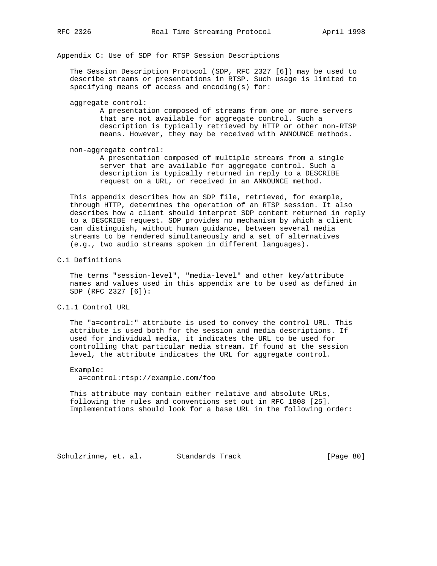Appendix C: Use of SDP for RTSP Session Descriptions

 The Session Description Protocol (SDP, RFC 2327 [6]) may be used to describe streams or presentations in RTSP. Such usage is limited to specifying means of access and encoding(s) for:

aggregate control:

 A presentation composed of streams from one or more servers that are not available for aggregate control. Such a description is typically retrieved by HTTP or other non-RTSP means. However, they may be received with ANNOUNCE methods.

non-aggregate control:

 A presentation composed of multiple streams from a single server that are available for aggregate control. Such a description is typically returned in reply to a DESCRIBE request on a URL, or received in an ANNOUNCE method.

 This appendix describes how an SDP file, retrieved, for example, through HTTP, determines the operation of an RTSP session. It also describes how a client should interpret SDP content returned in reply to a DESCRIBE request. SDP provides no mechanism by which a client can distinguish, without human guidance, between several media streams to be rendered simultaneously and a set of alternatives (e.g., two audio streams spoken in different languages).

## C.1 Definitions

 The terms "session-level", "media-level" and other key/attribute names and values used in this appendix are to be used as defined in SDP (RFC 2327 [6]):

C.1.1 Control URL

 The "a=control:" attribute is used to convey the control URL. This attribute is used both for the session and media descriptions. If used for individual media, it indicates the URL to be used for controlling that particular media stream. If found at the session level, the attribute indicates the URL for aggregate control.

 Example: a=control:rtsp://example.com/foo

 This attribute may contain either relative and absolute URLs, following the rules and conventions set out in RFC 1808 [25]. Implementations should look for a base URL in the following order:

Schulzrinne, et. al. Standards Track [Page 80]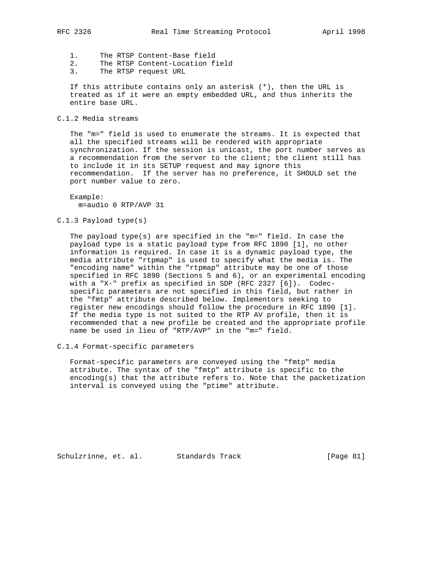- 1. The RTSP Content-Base field
- 2. The RTSP Content-Location field
- 3. The RTSP request URL

 If this attribute contains only an asterisk (\*), then the URL is treated as if it were an empty embedded URL, and thus inherits the entire base URL.

C.1.2 Media streams

 The "m=" field is used to enumerate the streams. It is expected that all the specified streams will be rendered with appropriate synchronization. If the session is unicast, the port number serves as a recommendation from the server to the client; the client still has to include it in its SETUP request and may ignore this recommendation. If the server has no preference, it SHOULD set the port number value to zero.

 Example: m=audio 0 RTP/AVP 31

# C.1.3 Payload type(s)

 The payload type(s) are specified in the "m=" field. In case the payload type is a static payload type from RFC 1890 [1], no other information is required. In case it is a dynamic payload type, the media attribute "rtpmap" is used to specify what the media is. The "encoding name" within the "rtpmap" attribute may be one of those specified in RFC 1890 (Sections 5 and 6), or an experimental encoding with a "X-" prefix as specified in SDP (RFC 2327 [6]). Codec specific parameters are not specified in this field, but rather in the "fmtp" attribute described below. Implementors seeking to register new encodings should follow the procedure in RFC 1890 [1]. If the media type is not suited to the RTP AV profile, then it is recommended that a new profile be created and the appropriate profile name be used in lieu of "RTP/AVP" in the "m=" field.

C.1.4 Format-specific parameters

 Format-specific parameters are conveyed using the "fmtp" media attribute. The syntax of the "fmtp" attribute is specific to the encoding(s) that the attribute refers to. Note that the packetization interval is conveyed using the "ptime" attribute.

Schulzrinne, et. al. Standards Track [Page 81]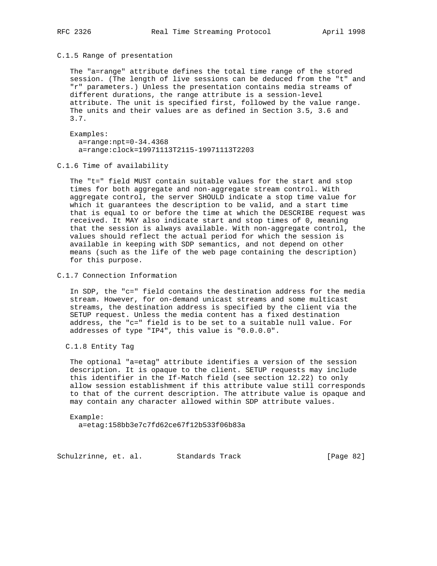# C.1.5 Range of presentation

 The "a=range" attribute defines the total time range of the stored session. (The length of live sessions can be deduced from the "t" and "r" parameters.) Unless the presentation contains media streams of different durations, the range attribute is a session-level attribute. The unit is specified first, followed by the value range. The units and their values are as defined in Section 3.5, 3.6 and 3.7.

 Examples: a=range:npt=0-34.4368 a=range:clock=19971113T2115-19971113T2203

C.1.6 Time of availability

 The "t=" field MUST contain suitable values for the start and stop times for both aggregate and non-aggregate stream control. With aggregate control, the server SHOULD indicate a stop time value for which it guarantees the description to be valid, and a start time that is equal to or before the time at which the DESCRIBE request was received. It MAY also indicate start and stop times of 0, meaning that the session is always available. With non-aggregate control, the values should reflect the actual period for which the session is available in keeping with SDP semantics, and not depend on other means (such as the life of the web page containing the description) for this purpose.

C.1.7 Connection Information

 In SDP, the "c=" field contains the destination address for the media stream. However, for on-demand unicast streams and some multicast streams, the destination address is specified by the client via the SETUP request. Unless the media content has a fixed destination address, the "c=" field is to be set to a suitable null value. For addresses of type "IP4", this value is "0.0.0.0".

C.1.8 Entity Tag

 The optional "a=etag" attribute identifies a version of the session description. It is opaque to the client. SETUP requests may include this identifier in the If-Match field (see section 12.22) to only allow session establishment if this attribute value still corresponds to that of the current description. The attribute value is opaque and may contain any character allowed within SDP attribute values.

 Example: a=etag:158bb3e7c7fd62ce67f12b533f06b83a

Schulzrinne, et. al. Standards Track [Page 82]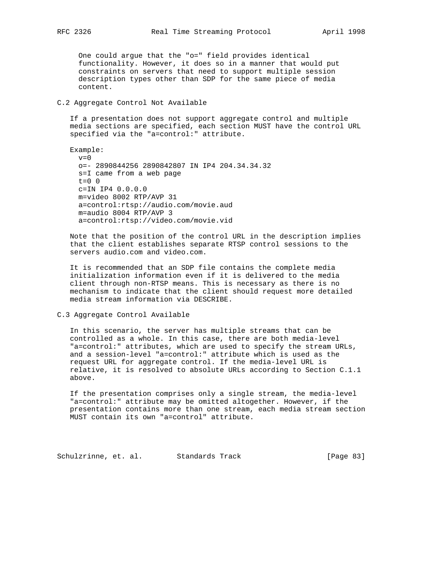One could argue that the "o=" field provides identical functionality. However, it does so in a manner that would put constraints on servers that need to support multiple session description types other than SDP for the same piece of media content.

## C.2 Aggregate Control Not Available

 If a presentation does not support aggregate control and multiple media sections are specified, each section MUST have the control URL specified via the "a=control:" attribute.

 Example:  $v=0$  o=- 2890844256 2890842807 IN IP4 204.34.34.32 s=I came from a web page  $t=0$  0 c=IN IP4 0.0.0.0 m=video 8002 RTP/AVP 31 a=control:rtsp://audio.com/movie.aud m=audio 8004 RTP/AVP 3 a=control:rtsp://video.com/movie.vid

 Note that the position of the control URL in the description implies that the client establishes separate RTSP control sessions to the servers audio.com and video.com.

 It is recommended that an SDP file contains the complete media initialization information even if it is delivered to the media client through non-RTSP means. This is necessary as there is no mechanism to indicate that the client should request more detailed media stream information via DESCRIBE.

C.3 Aggregate Control Available

 In this scenario, the server has multiple streams that can be controlled as a whole. In this case, there are both media-level "a=control:" attributes, which are used to specify the stream URLs, and a session-level "a=control:" attribute which is used as the request URL for aggregate control. If the media-level URL is relative, it is resolved to absolute URLs according to Section C.1.1 above.

 If the presentation comprises only a single stream, the media-level "a=control:" attribute may be omitted altogether. However, if the presentation contains more than one stream, each media stream section MUST contain its own "a=control" attribute.

Schulzrinne, et. al. Standards Track [Page 83]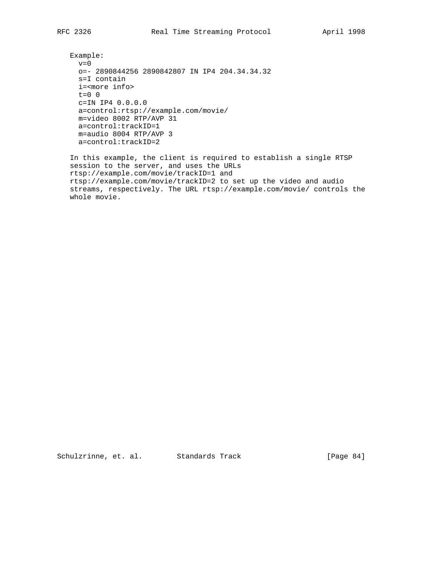```
 Example:
v=0 o=- 2890844256 2890842807 IN IP4 204.34.34.32
 s=I contain
 i=<more info>
t=0 0
 c=IN IP4 0.0.0.0
 a=control:rtsp://example.com/movie/
 m=video 8002 RTP/AVP 31
 a=control:trackID=1
 m=audio 8004 RTP/AVP 3
 a=control:trackID=2
```
 In this example, the client is required to establish a single RTSP session to the server, and uses the URLs rtsp://example.com/movie/trackID=1 and rtsp://example.com/movie/trackID=2 to set up the video and audio streams, respectively. The URL rtsp://example.com/movie/ controls the whole movie.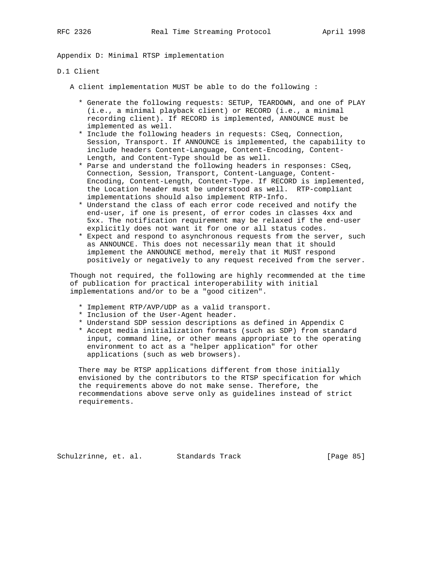Appendix D: Minimal RTSP implementation

D.1 Client

A client implementation MUST be able to do the following :

- \* Generate the following requests: SETUP, TEARDOWN, and one of PLAY (i.e., a minimal playback client) or RECORD (i.e., a minimal recording client). If RECORD is implemented, ANNOUNCE must be implemented as well.
- \* Include the following headers in requests: CSeq, Connection, Session, Transport. If ANNOUNCE is implemented, the capability to include headers Content-Language, Content-Encoding, Content- Length, and Content-Type should be as well.
- \* Parse and understand the following headers in responses: CSeq, Connection, Session, Transport, Content-Language, Content- Encoding, Content-Length, Content-Type. If RECORD is implemented, the Location header must be understood as well. RTP-compliant implementations should also implement RTP-Info.
- \* Understand the class of each error code received and notify the end-user, if one is present, of error codes in classes 4xx and 5xx. The notification requirement may be relaxed if the end-user explicitly does not want it for one or all status codes.
- \* Expect and respond to asynchronous requests from the server, such as ANNOUNCE. This does not necessarily mean that it should implement the ANNOUNCE method, merely that it MUST respond positively or negatively to any request received from the server.

 Though not required, the following are highly recommended at the time of publication for practical interoperability with initial implementations and/or to be a "good citizen".

- \* Implement RTP/AVP/UDP as a valid transport.
- \* Inclusion of the User-Agent header.
- \* Understand SDP session descriptions as defined in Appendix C
- \* Accept media initialization formats (such as SDP) from standard input, command line, or other means appropriate to the operating environment to act as a "helper application" for other applications (such as web browsers).

 There may be RTSP applications different from those initially envisioned by the contributors to the RTSP specification for which the requirements above do not make sense. Therefore, the recommendations above serve only as guidelines instead of strict requirements.

Schulzrinne, et. al. Standards Track [Page 85]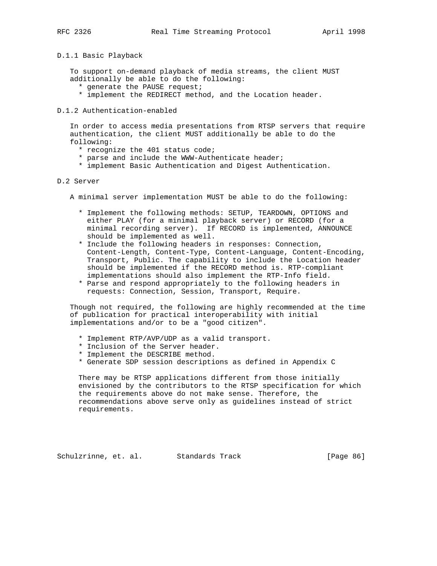# D.1.1 Basic Playback

 To support on-demand playback of media streams, the client MUST additionally be able to do the following:

- \* generate the PAUSE request;
- \* implement the REDIRECT method, and the Location header.

#### D.1.2 Authentication-enabled

 In order to access media presentations from RTSP servers that require authentication, the client MUST additionally be able to do the following:

- \* recognize the 401 status code;
- \* parse and include the WWW-Authenticate header;
- \* implement Basic Authentication and Digest Authentication.

# D.2 Server

A minimal server implementation MUST be able to do the following:

- \* Implement the following methods: SETUP, TEARDOWN, OPTIONS and either PLAY (for a minimal playback server) or RECORD (for a minimal recording server). If RECORD is implemented, ANNOUNCE should be implemented as well.
- \* Include the following headers in responses: Connection, Content-Length, Content-Type, Content-Language, Content-Encoding, Transport, Public. The capability to include the Location header should be implemented if the RECORD method is. RTP-compliant implementations should also implement the RTP-Info field.
- \* Parse and respond appropriately to the following headers in requests: Connection, Session, Transport, Require.

 Though not required, the following are highly recommended at the time of publication for practical interoperability with initial implementations and/or to be a "good citizen".

- \* Implement RTP/AVP/UDP as a valid transport.
- \* Inclusion of the Server header.
- \* Implement the DESCRIBE method.
- \* Generate SDP session descriptions as defined in Appendix C

 There may be RTSP applications different from those initially envisioned by the contributors to the RTSP specification for which the requirements above do not make sense. Therefore, the recommendations above serve only as guidelines instead of strict requirements.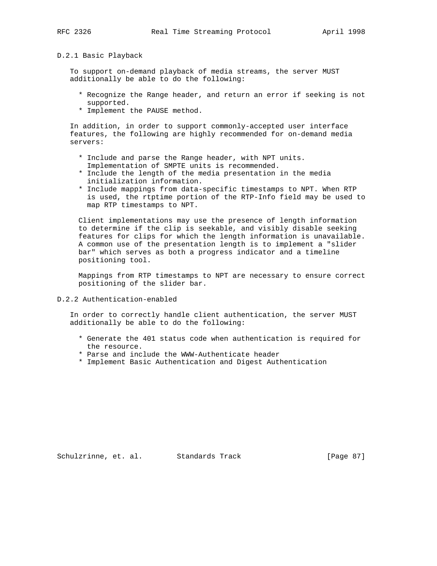## D.2.1 Basic Playback

 To support on-demand playback of media streams, the server MUST additionally be able to do the following:

- \* Recognize the Range header, and return an error if seeking is not supported.
- \* Implement the PAUSE method.

 In addition, in order to support commonly-accepted user interface features, the following are highly recommended for on-demand media servers:

- \* Include and parse the Range header, with NPT units. Implementation of SMPTE units is recommended.
- \* Include the length of the media presentation in the media initialization information.
- \* Include mappings from data-specific timestamps to NPT. When RTP is used, the rtptime portion of the RTP-Info field may be used to map RTP timestamps to NPT.

 Client implementations may use the presence of length information to determine if the clip is seekable, and visibly disable seeking features for clips for which the length information is unavailable. A common use of the presentation length is to implement a "slider bar" which serves as both a progress indicator and a timeline positioning tool.

 Mappings from RTP timestamps to NPT are necessary to ensure correct positioning of the slider bar.

D.2.2 Authentication-enabled

 In order to correctly handle client authentication, the server MUST additionally be able to do the following:

- \* Generate the 401 status code when authentication is required for the resource.
- \* Parse and include the WWW-Authenticate header
- \* Implement Basic Authentication and Digest Authentication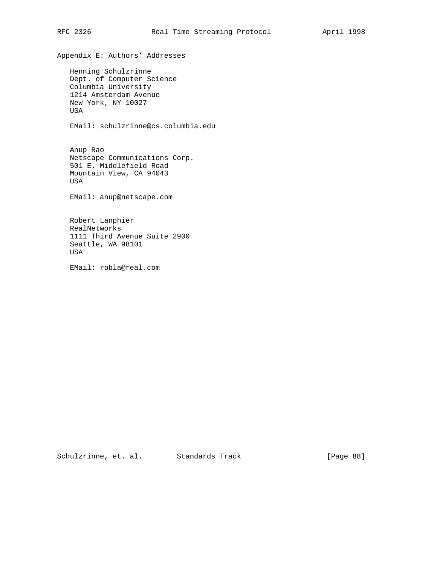Appendix E: Authors' Addresses Henning Schulzrinne Dept. of Computer Science Columbia University 1214 Amsterdam Avenue New York, NY 10027 USA EMail: schulzrinne@cs.columbia.edu Anup Rao Netscape Communications Corp. 501 E. Middlefield Road Mountain View, CA 94043 USA EMail: anup@netscape.com

 Robert Lanphier RealNetworks 1111 Third Avenue Suite 2900 Seattle, WA 98101 USA

EMail: robla@real.com

Schulzrinne, et. al. Standards Track [Page 88]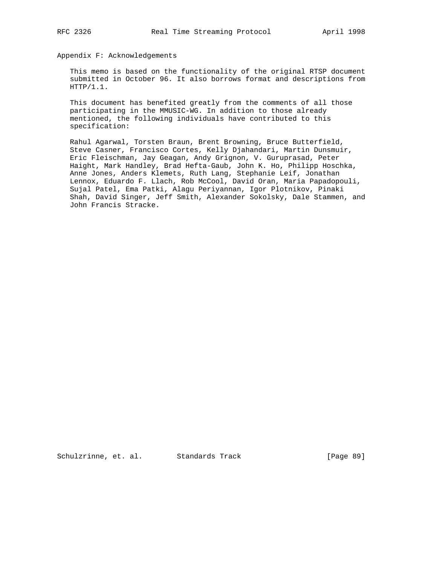Appendix F: Acknowledgements

 This memo is based on the functionality of the original RTSP document submitted in October 96. It also borrows format and descriptions from HTTP/1.1.

 This document has benefited greatly from the comments of all those participating in the MMUSIC-WG. In addition to those already mentioned, the following individuals have contributed to this specification:

 Rahul Agarwal, Torsten Braun, Brent Browning, Bruce Butterfield, Steve Casner, Francisco Cortes, Kelly Djahandari, Martin Dunsmuir, Eric Fleischman, Jay Geagan, Andy Grignon, V. Guruprasad, Peter Haight, Mark Handley, Brad Hefta-Gaub, John K. Ho, Philipp Hoschka, Anne Jones, Anders Klemets, Ruth Lang, Stephanie Leif, Jonathan Lennox, Eduardo F. Llach, Rob McCool, David Oran, Maria Papadopouli, Sujal Patel, Ema Patki, Alagu Periyannan, Igor Plotnikov, Pinaki Shah, David Singer, Jeff Smith, Alexander Sokolsky, Dale Stammen, and John Francis Stracke.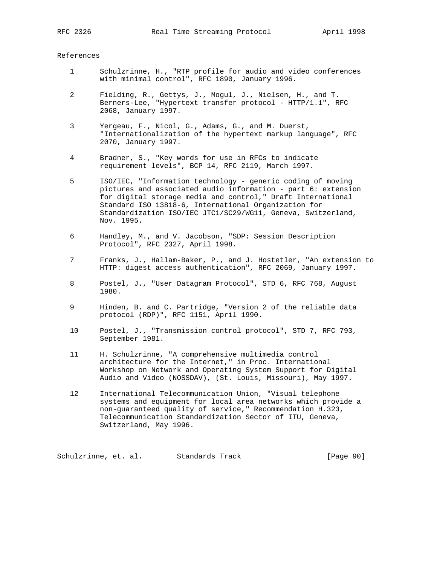#### References

- 1 Schulzrinne, H., "RTP profile for audio and video conferences with minimal control", RFC 1890, January 1996.
- 2 Fielding, R., Gettys, J., Mogul, J., Nielsen, H., and T. Berners-Lee, "Hypertext transfer protocol - HTTP/1.1", RFC 2068, January 1997.
- 3 Yergeau, F., Nicol, G., Adams, G., and M. Duerst, "Internationalization of the hypertext markup language", RFC 2070, January 1997.
- 4 Bradner, S., "Key words for use in RFCs to indicate requirement levels", BCP 14, RFC 2119, March 1997.
- 5 ISO/IEC, "Information technology generic coding of moving pictures and associated audio information - part 6: extension for digital storage media and control," Draft International Standard ISO 13818-6, International Organization for Standardization ISO/IEC JTC1/SC29/WG11, Geneva, Switzerland, Nov. 1995.
- 6 Handley, M., and V. Jacobson, "SDP: Session Description Protocol", RFC 2327, April 1998.
- 7 Franks, J., Hallam-Baker, P., and J. Hostetler, "An extension to HTTP: digest access authentication", RFC 2069, January 1997.
- 8 Postel, J., "User Datagram Protocol", STD 6, RFC 768, August 1980.
- 9 Hinden, B. and C. Partridge, "Version 2 of the reliable data protocol (RDP)", RFC 1151, April 1990.
- 10 Postel, J., "Transmission control protocol", STD 7, RFC 793, September 1981.
- 11 H. Schulzrinne, "A comprehensive multimedia control architecture for the Internet," in Proc. International Workshop on Network and Operating System Support for Digital Audio and Video (NOSSDAV), (St. Louis, Missouri), May 1997.
- 12 International Telecommunication Union, "Visual telephone systems and equipment for local area networks which provide a non-guaranteed quality of service," Recommendation H.323, Telecommunication Standardization Sector of ITU, Geneva, Switzerland, May 1996.

Schulzrinne, et. al. Standards Track [Page 90]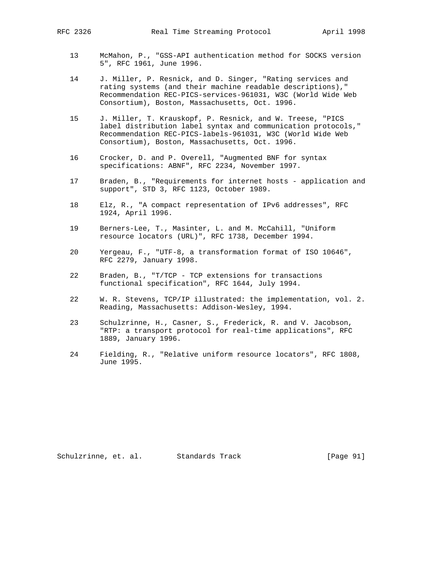- 13 McMahon, P., "GSS-API authentication method for SOCKS version 5", RFC 1961, June 1996.
- 14 J. Miller, P. Resnick, and D. Singer, "Rating services and rating systems (and their machine readable descriptions)," Recommendation REC-PICS-services-961031, W3C (World Wide Web Consortium), Boston, Massachusetts, Oct. 1996.
- 15 J. Miller, T. Krauskopf, P. Resnick, and W. Treese, "PICS label distribution label syntax and communication protocols," Recommendation REC-PICS-labels-961031, W3C (World Wide Web Consortium), Boston, Massachusetts, Oct. 1996.
- 16 Crocker, D. and P. Overell, "Augmented BNF for syntax specifications: ABNF", RFC 2234, November 1997.
- 17 Braden, B., "Requirements for internet hosts application and support", STD 3, RFC 1123, October 1989.
- 18 Elz, R., "A compact representation of IPv6 addresses", RFC 1924, April 1996.
- 19 Berners-Lee, T., Masinter, L. and M. McCahill, "Uniform resource locators (URL)", RFC 1738, December 1994.
- 20 Yergeau, F., "UTF-8, a transformation format of ISO 10646", RFC 2279, January 1998.
- 22 Braden, B., "T/TCP TCP extensions for transactions functional specification", RFC 1644, July 1994.
- 22 W. R. Stevens, TCP/IP illustrated: the implementation, vol. 2. Reading, Massachusetts: Addison-Wesley, 1994.
- 23 Schulzrinne, H., Casner, S., Frederick, R. and V. Jacobson, "RTP: a transport protocol for real-time applications", RFC 1889, January 1996.
- 24 Fielding, R., "Relative uniform resource locators", RFC 1808, June 1995.

Schulzrinne, et. al. Standards Track [Page 91]